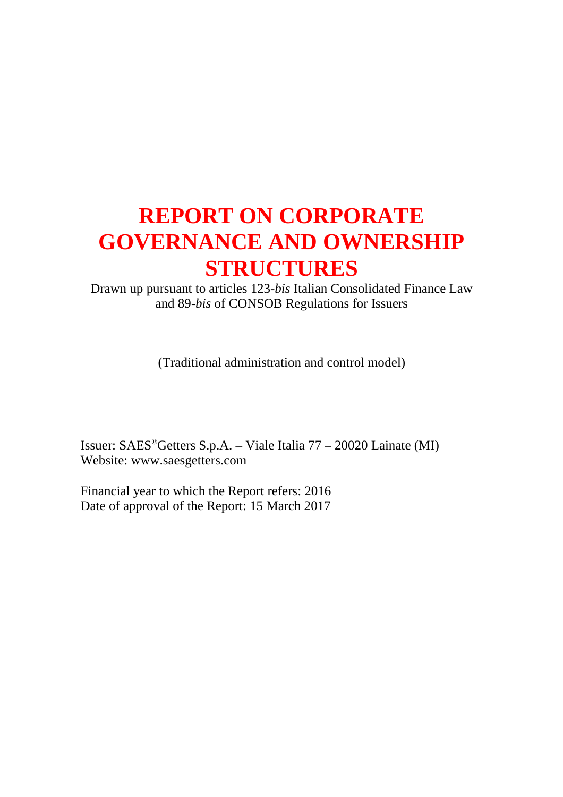# **REPORT ON CORPORATE GOVERNANCE AND OWNERSHIP STRUCTURES**

Drawn up pursuant to articles 123-*bis* Italian Consolidated Finance Law and 89-*bis* of CONSOB Regulations for Issuers

(Traditional administration and control model)

Issuer: SAES®Getters S.p.A. – Viale Italia 77 – 20020 Lainate (MI) Website: www.saesgetters.com

Financial year to which the Report refers: 2016 Date of approval of the Report: 15 March 2017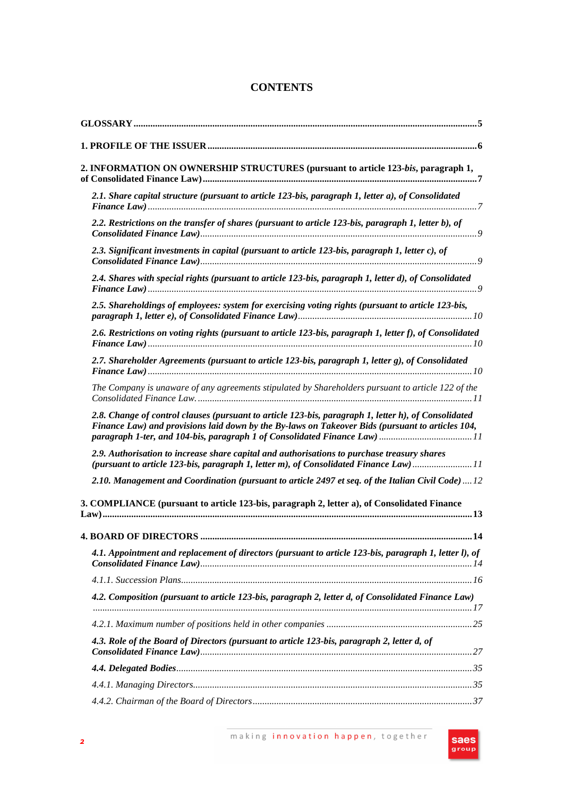# **CONTENTS**

| 2. INFORMATION ON OWNERSHIP STRUCTURES (pursuant to article 123-bis, paragraph 1,                                                                                                                                                                                                     |
|---------------------------------------------------------------------------------------------------------------------------------------------------------------------------------------------------------------------------------------------------------------------------------------|
| 2.1. Share capital structure (pursuant to article 123-bis, paragraph 1, letter a), of Consolidated                                                                                                                                                                                    |
| 2.2. Restrictions on the transfer of shares (pursuant to article 123-bis, paragraph 1, letter b), of                                                                                                                                                                                  |
| 2.3. Significant investments in capital (pursuant to article 123-bis, paragraph 1, letter c), of                                                                                                                                                                                      |
| 2.4. Shares with special rights (pursuant to article 123-bis, paragraph 1, letter d), of Consolidated                                                                                                                                                                                 |
| 2.5. Shareholdings of employees: system for exercising voting rights (pursuant to article 123-bis,                                                                                                                                                                                    |
| 2.6. Restrictions on voting rights (pursuant to article 123-bis, paragraph 1, letter f), of Consolidated                                                                                                                                                                              |
| 2.7. Shareholder Agreements (pursuant to article 123-bis, paragraph 1, letter g), of Consolidated                                                                                                                                                                                     |
| The Company is unaware of any agreements stipulated by Shareholders pursuant to article 122 of the                                                                                                                                                                                    |
| 2.8. Change of control clauses (pursuant to article 123-bis, paragraph 1, letter h), of Consolidated<br>Finance Law) and provisions laid down by the By-laws on Takeover Bids (pursuant to articles 104,<br>paragraph 1-ter, and 104-bis, paragraph 1 of Consolidated Finance Law) 11 |
| 2.9. Authorisation to increase share capital and authorisations to purchase treasury shares<br>(pursuant to article 123-bis, paragraph 1, letter m), of Consolidated Finance Law)11                                                                                                   |
| 2.10. Management and Coordination (pursuant to article 2497 et seq. of the Italian Civil Code) 12                                                                                                                                                                                     |
| 3. COMPLIANCE (pursuant to article 123-bis, paragraph 2, letter a), of Consolidated Finance                                                                                                                                                                                           |
|                                                                                                                                                                                                                                                                                       |
| 4.1. Appointment and replacement of directors (pursuant to article 123-bis, paragraph 1, letter l), of                                                                                                                                                                                |
|                                                                                                                                                                                                                                                                                       |
| 4.2. Composition (pursuant to article 123-bis, paragraph 2, letter d, of Consolidated Finance Law)                                                                                                                                                                                    |
|                                                                                                                                                                                                                                                                                       |
| 4.3. Role of the Board of Directors (pursuant to article 123-bis, paragraph 2, letter d, of                                                                                                                                                                                           |
|                                                                                                                                                                                                                                                                                       |
|                                                                                                                                                                                                                                                                                       |
|                                                                                                                                                                                                                                                                                       |

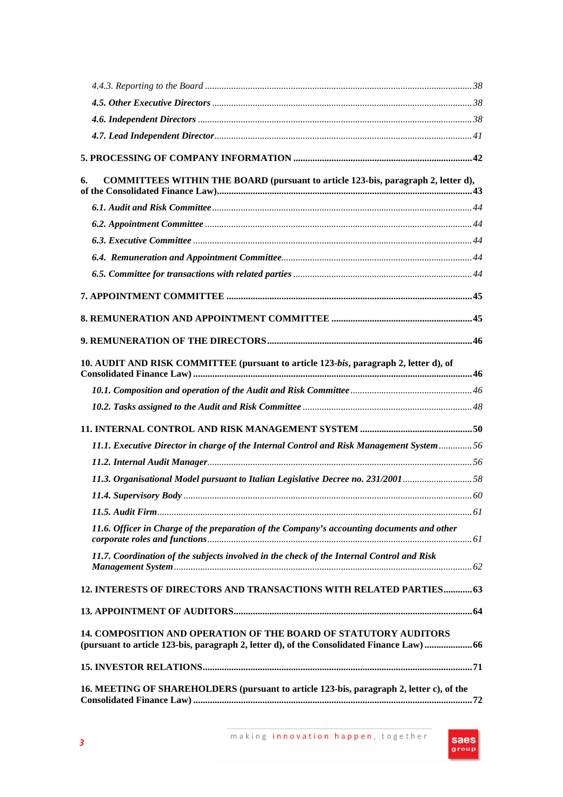| COMMITTEES WITHIN THE BOARD (pursuant to article 123-bis, paragraph 2, letter d),<br>6.                                                                               |  |
|-----------------------------------------------------------------------------------------------------------------------------------------------------------------------|--|
|                                                                                                                                                                       |  |
|                                                                                                                                                                       |  |
|                                                                                                                                                                       |  |
|                                                                                                                                                                       |  |
|                                                                                                                                                                       |  |
|                                                                                                                                                                       |  |
|                                                                                                                                                                       |  |
|                                                                                                                                                                       |  |
| 10. AUDIT AND RISK COMMITTEE (pursuant to article 123-bis, paragraph 2, letter d), of                                                                                 |  |
|                                                                                                                                                                       |  |
|                                                                                                                                                                       |  |
|                                                                                                                                                                       |  |
| 11.1. Executive Director in charge of the Internal Control and Risk Management System 56                                                                              |  |
|                                                                                                                                                                       |  |
| 11.3. Organisational Model pursuant to Italian Legislative Decree no. 231/200158                                                                                      |  |
|                                                                                                                                                                       |  |
|                                                                                                                                                                       |  |
| 11.6. Officer in Charge of the preparation of the Company's accounting documents and other                                                                            |  |
| 11.7. Coordination of the subjects involved in the check of the Internal Control and Risk                                                                             |  |
| 12. INTERESTS OF DIRECTORS AND TRANSACTIONS WITH RELATED PARTIES 63                                                                                                   |  |
|                                                                                                                                                                       |  |
| <b>14. COMPOSITION AND OPERATION OF THE BOARD OF STATUTORY AUDITORS</b><br>(pursuant to article 123-bis, paragraph 2, letter d), of the Consolidated Finance Law)  66 |  |
|                                                                                                                                                                       |  |
| 16. MEETING OF SHAREHOLDERS (pursuant to article 123-bis, paragraph 2, letter c), of the                                                                              |  |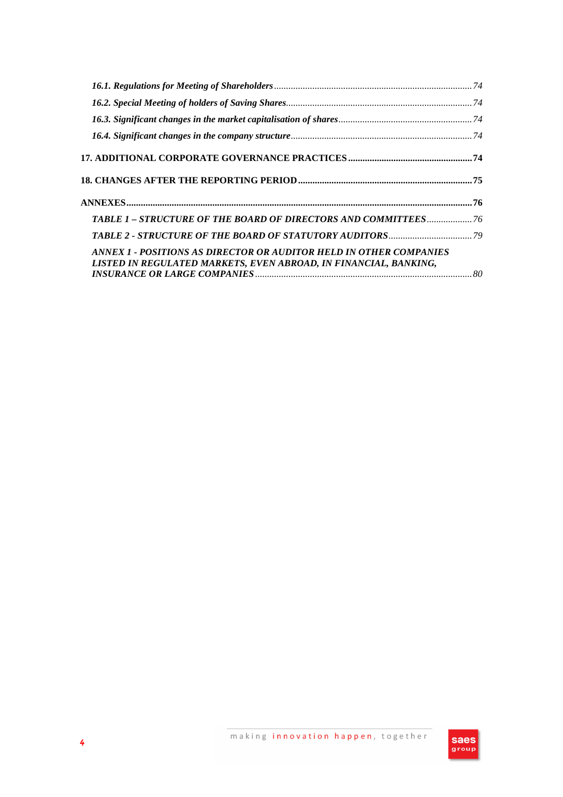| TABLE 1 - STRUCTURE OF THE BOARD OF DIRECTORS AND COMMITTEES 76                                                                        |  |
|----------------------------------------------------------------------------------------------------------------------------------------|--|
|                                                                                                                                        |  |
| ANNEX 1 - POSITIONS AS DIRECTOR OR AUDITOR HELD IN OTHER COMPANIES<br>LISTED IN REGULATED MARKETS, EVEN ABROAD, IN FINANCIAL, BANKING, |  |

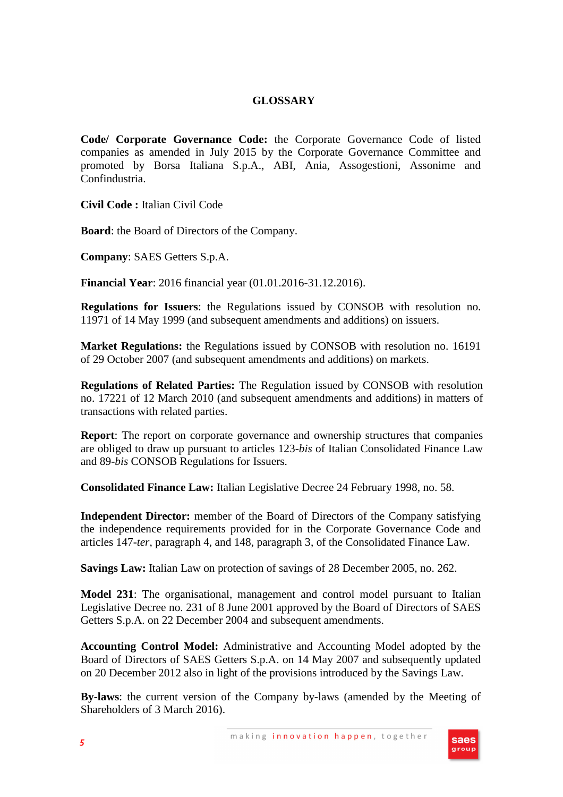#### **GLOSSARY**

**Code/ Corporate Governance Code:** the Corporate Governance Code of listed companies as amended in July 2015 by the Corporate Governance Committee and promoted by Borsa Italiana S.p.A., ABI, Ania, Assogestioni, Assonime and Confindustria.

**Civil Code :** Italian Civil Code

**Board**: the Board of Directors of the Company.

**Company**: SAES Getters S.p.A.

**Financial Year**: 2016 financial year (01.01.2016-31.12.2016).

**Regulations for Issuers**: the Regulations issued by CONSOB with resolution no. 11971 of 14 May 1999 (and subsequent amendments and additions) on issuers.

**Market Regulations:** the Regulations issued by CONSOB with resolution no. 16191 of 29 October 2007 (and subsequent amendments and additions) on markets.

**Regulations of Related Parties:** The Regulation issued by CONSOB with resolution no. 17221 of 12 March 2010 (and subsequent amendments and additions) in matters of transactions with related parties.

**Report**: The report on corporate governance and ownership structures that companies are obliged to draw up pursuant to articles 123-*bis* of Italian Consolidated Finance Law and 89-*bis* CONSOB Regulations for Issuers.

**Consolidated Finance Law:** Italian Legislative Decree 24 February 1998, no. 58.

**Independent Director:** member of the Board of Directors of the Company satisfying the independence requirements provided for in the Corporate Governance Code and articles 147-*ter*, paragraph 4, and 148, paragraph 3, of the Consolidated Finance Law.

**Savings Law:** Italian Law on protection of savings of 28 December 2005, no. 262.

**Model 231**: The organisational, management and control model pursuant to Italian Legislative Decree no. 231 of 8 June 2001 approved by the Board of Directors of SAES Getters S.p.A. on 22 December 2004 and subsequent amendments.

**Accounting Control Model:** Administrative and Accounting Model adopted by the Board of Directors of SAES Getters S.p.A. on 14 May 2007 and subsequently updated on 20 December 2012 also in light of the provisions introduced by the Savings Law.

**By-laws**: the current version of the Company by-laws (amended by the Meeting of Shareholders of 3 March 2016).

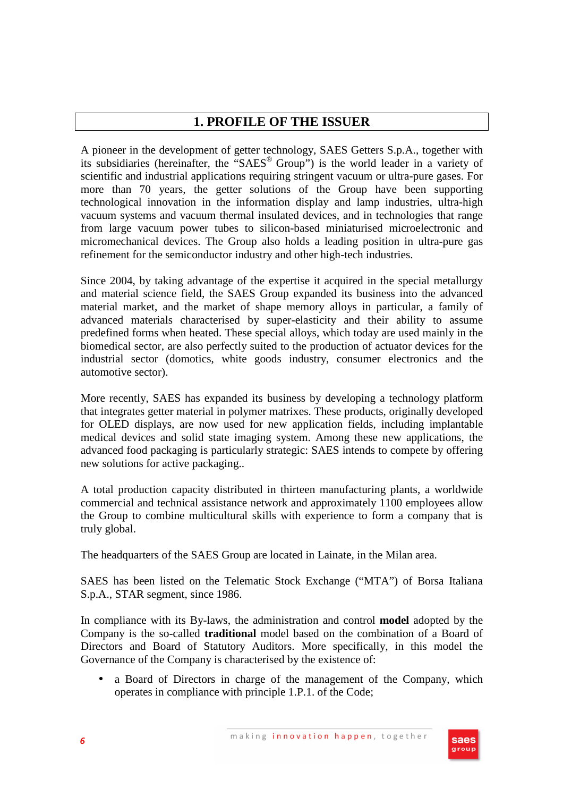# **1. PROFILE OF THE ISSUER**

A pioneer in the development of getter technology, SAES Getters S.p.A., together with its subsidiaries (hereinafter, the "SAES<sup>®</sup> Group") is the world leader in a variety of scientific and industrial applications requiring stringent vacuum or ultra-pure gases. For more than 70 years, the getter solutions of the Group have been supporting technological innovation in the information display and lamp industries, ultra-high vacuum systems and vacuum thermal insulated devices, and in technologies that range from large vacuum power tubes to silicon-based miniaturised microelectronic and micromechanical devices. The Group also holds a leading position in ultra-pure gas refinement for the semiconductor industry and other high-tech industries.

Since 2004, by taking advantage of the expertise it acquired in the special metallurgy and material science field, the SAES Group expanded its business into the advanced material market, and the market of shape memory alloys in particular, a family of advanced materials characterised by super-elasticity and their ability to assume predefined forms when heated. These special alloys, which today are used mainly in the biomedical sector, are also perfectly suited to the production of actuator devices for the industrial sector (domotics, white goods industry, consumer electronics and the automotive sector).

More recently, SAES has expanded its business by developing a technology platform that integrates getter material in polymer matrixes. These products, originally developed for OLED displays, are now used for new application fields, including implantable medical devices and solid state imaging system. Among these new applications, the advanced food packaging is particularly strategic: SAES intends to compete by offering new solutions for active packaging..

A total production capacity distributed in thirteen manufacturing plants, a worldwide commercial and technical assistance network and approximately 1100 employees allow the Group to combine multicultural skills with experience to form a company that is truly global.

The headquarters of the SAES Group are located in Lainate, in the Milan area.

SAES has been listed on the Telematic Stock Exchange ("MTA") of Borsa Italiana S.p.A., STAR segment, since 1986.

In compliance with its By-laws, the administration and control **model** adopted by the Company is the so-called **traditional** model based on the combination of a Board of Directors and Board of Statutory Auditors. More specifically, in this model the Governance of the Company is characterised by the existence of:

• a Board of Directors in charge of the management of the Company, which operates in compliance with principle 1.P.1. of the Code;

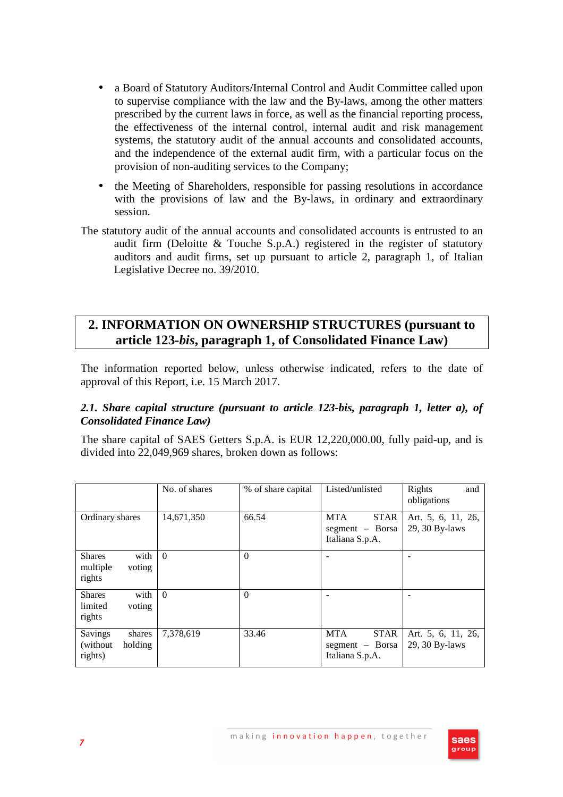- a Board of Statutory Auditors/Internal Control and Audit Committee called upon to supervise compliance with the law and the By-laws, among the other matters prescribed by the current laws in force, as well as the financial reporting process, the effectiveness of the internal control, internal audit and risk management systems, the statutory audit of the annual accounts and consolidated accounts, and the independence of the external audit firm, with a particular focus on the provision of non-auditing services to the Company;
- the Meeting of Shareholders, responsible for passing resolutions in accordance with the provisions of law and the By-laws, in ordinary and extraordinary session.
- The statutory audit of the annual accounts and consolidated accounts is entrusted to an audit firm (Deloitte & Touche S.p.A.) registered in the register of statutory auditors and audit firms, set up pursuant to article 2, paragraph 1, of Italian Legislative Decree no. 39/2010.

# **2. INFORMATION ON OWNERSHIP STRUCTURES (pursuant to article 123-***bis***, paragraph 1, of Consolidated Finance Law)**

The information reported below, unless otherwise indicated, refers to the date of approval of this Report, i.e. 15 March 2017.

## *2.1. Share capital structure (pursuant to article 123-bis, paragraph 1, letter a), of Consolidated Finance Law)*

The share capital of SAES Getters S.p.A. is EUR 12,220,000.00, fully paid-up, and is divided into 22,049,969 shares, broken down as follows:

|                                                       | No. of shares | % of share capital | Listed/unlisted                                                 | Rights<br>and<br>obligations         |
|-------------------------------------------------------|---------------|--------------------|-----------------------------------------------------------------|--------------------------------------|
| Ordinary shares                                       | 14,671,350    | 66.54              | <b>STAR</b><br><b>MTA</b><br>segment - Borsa<br>Italiana S.p.A. | Art. 5, 6, 11, 26,<br>29, 30 By-laws |
| with<br><b>Shares</b><br>multiple<br>voting<br>rights | $\theta$      | $\Omega$           |                                                                 |                                      |
| with<br><b>Shares</b><br>limited<br>voting<br>rights  | $\theta$      | $\theta$           |                                                                 |                                      |
| Savings<br>shares<br>(without)<br>holding<br>rights)  | 7,378,619     | 33.46              | <b>MTA</b><br><b>STAR</b><br>segment - Borsa<br>Italiana S.p.A. | Art. 5, 6, 11, 26,<br>29, 30 By-laws |

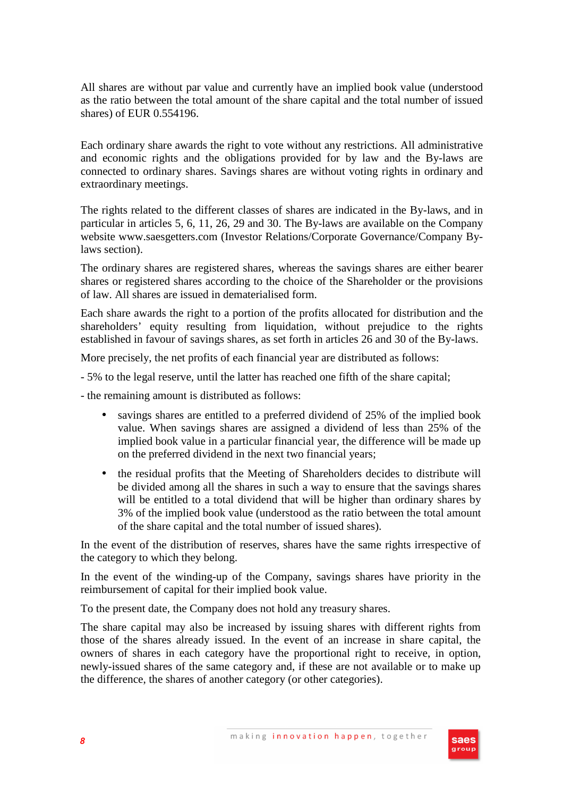All shares are without par value and currently have an implied book value (understood as the ratio between the total amount of the share capital and the total number of issued shares) of EUR 0.554196.

Each ordinary share awards the right to vote without any restrictions. All administrative and economic rights and the obligations provided for by law and the By-laws are connected to ordinary shares. Savings shares are without voting rights in ordinary and extraordinary meetings.

The rights related to the different classes of shares are indicated in the By-laws, and in particular in articles 5, 6, 11, 26, 29 and 30. The By-laws are available on the Company website www.saesgetters.com (Investor Relations/Corporate Governance/Company Bylaws section).

The ordinary shares are registered shares, whereas the savings shares are either bearer shares or registered shares according to the choice of the Shareholder or the provisions of law. All shares are issued in dematerialised form.

Each share awards the right to a portion of the profits allocated for distribution and the shareholders' equity resulting from liquidation, without prejudice to the rights established in favour of savings shares, as set forth in articles 26 and 30 of the By-laws.

More precisely, the net profits of each financial year are distributed as follows:

- 5% to the legal reserve, until the latter has reached one fifth of the share capital;

- the remaining amount is distributed as follows:

- savings shares are entitled to a preferred dividend of 25% of the implied book value. When savings shares are assigned a dividend of less than 25% of the implied book value in a particular financial year, the difference will be made up on the preferred dividend in the next two financial years;
- the residual profits that the Meeting of Shareholders decides to distribute will be divided among all the shares in such a way to ensure that the savings shares will be entitled to a total dividend that will be higher than ordinary shares by 3% of the implied book value (understood as the ratio between the total amount of the share capital and the total number of issued shares).

In the event of the distribution of reserves, shares have the same rights irrespective of the category to which they belong.

In the event of the winding-up of the Company, savings shares have priority in the reimbursement of capital for their implied book value.

To the present date, the Company does not hold any treasury shares.

The share capital may also be increased by issuing shares with different rights from those of the shares already issued. In the event of an increase in share capital, the owners of shares in each category have the proportional right to receive, in option, newly-issued shares of the same category and, if these are not available or to make up the difference, the shares of another category (or other categories).

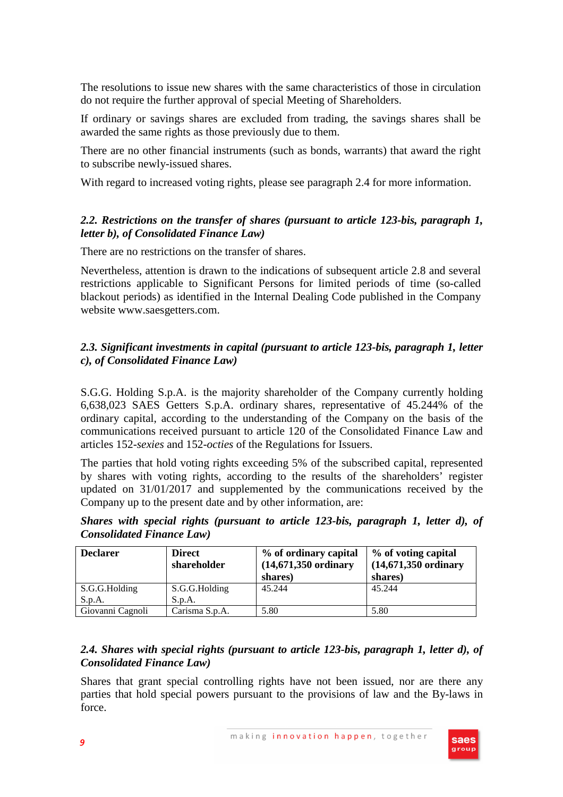The resolutions to issue new shares with the same characteristics of those in circulation do not require the further approval of special Meeting of Shareholders.

If ordinary or savings shares are excluded from trading, the savings shares shall be awarded the same rights as those previously due to them.

There are no other financial instruments (such as bonds, warrants) that award the right to subscribe newly-issued shares.

With regard to increased voting rights, please see paragraph 2.4 for more information.

## *2.2. Restrictions on the transfer of shares (pursuant to article 123-bis, paragraph 1, letter b), of Consolidated Finance Law)*

There are no restrictions on the transfer of shares.

Nevertheless, attention is drawn to the indications of subsequent article 2.8 and several restrictions applicable to Significant Persons for limited periods of time (so-called blackout periods) as identified in the Internal Dealing Code published in the Company website www.saesgetters.com.

# *2.3. Significant investments in capital (pursuant to article 123-bis, paragraph 1, letter c), of Consolidated Finance Law)*

S.G.G. Holding S.p.A. is the majority shareholder of the Company currently holding 6,638,023 SAES Getters S.p.A. ordinary shares, representative of 45.244% of the ordinary capital, according to the understanding of the Company on the basis of the communications received pursuant to article 120 of the Consolidated Finance Law and articles 152-*sexies* and 152-*octies* of the Regulations for Issuers.

The parties that hold voting rights exceeding 5% of the subscribed capital, represented by shares with voting rights, according to the results of the shareholders' register updated on 31/01/2017 and supplemented by the communications received by the Company up to the present date and by other information, are:

|  |                                   |  |  | Shares with special rights (pursuant to article 123-bis, paragraph 1, letter d), of |  |  |
|--|-----------------------------------|--|--|-------------------------------------------------------------------------------------|--|--|
|  | <b>Consolidated Finance Law</b> ) |  |  |                                                                                     |  |  |

| <b>Declarer</b>  | <b>Direct</b><br>shareholder | % of ordinary capital<br>$(14,671,350 \text{ ordinary})$<br>shares) | % of voting capital<br>$(14,671,350 \text{ ordinary})$<br>shares) |
|------------------|------------------------------|---------------------------------------------------------------------|-------------------------------------------------------------------|
| S.G.G.Holding    | S.G.G.Holding                | 45.244                                                              | 45.244                                                            |
| S.p.A.           | S.p.A.                       |                                                                     |                                                                   |
| Giovanni Cagnoli | Carisma S.p.A.               | 5.80                                                                | 5.80                                                              |

# *2.4. Shares with special rights (pursuant to article 123-bis, paragraph 1, letter d), of Consolidated Finance Law)*

Shares that grant special controlling rights have not been issued, nor are there any parties that hold special powers pursuant to the provisions of law and the By-laws in force.

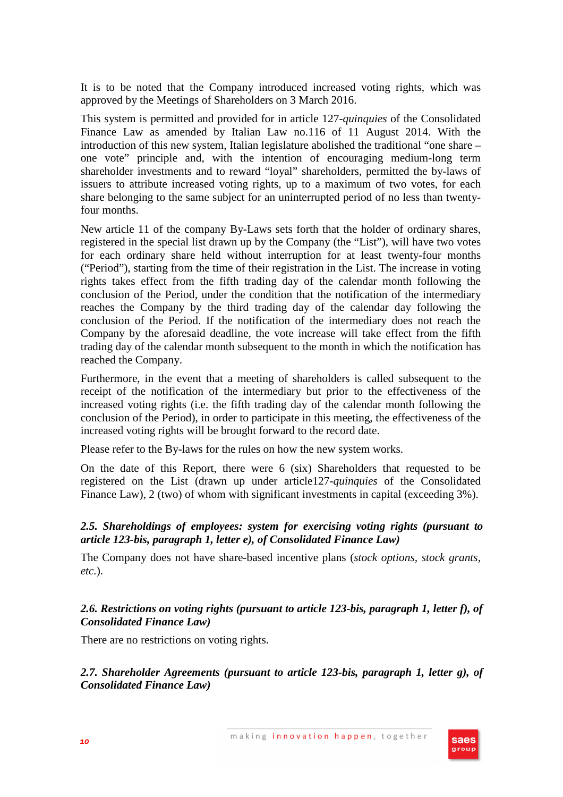It is to be noted that the Company introduced increased voting rights, which was approved by the Meetings of Shareholders on 3 March 2016.

This system is permitted and provided for in article 127-*quinquies* of the Consolidated Finance Law as amended by Italian Law no.116 of 11 August 2014. With the introduction of this new system, Italian legislature abolished the traditional "one share – one vote" principle and, with the intention of encouraging medium-long term shareholder investments and to reward "loyal" shareholders, permitted the by-laws of issuers to attribute increased voting rights, up to a maximum of two votes, for each share belonging to the same subject for an uninterrupted period of no less than twentyfour months.

New article 11 of the company By-Laws sets forth that the holder of ordinary shares, registered in the special list drawn up by the Company (the "List"), will have two votes for each ordinary share held without interruption for at least twenty-four months ("Period"), starting from the time of their registration in the List. The increase in voting rights takes effect from the fifth trading day of the calendar month following the conclusion of the Period, under the condition that the notification of the intermediary reaches the Company by the third trading day of the calendar day following the conclusion of the Period. If the notification of the intermediary does not reach the Company by the aforesaid deadline, the vote increase will take effect from the fifth trading day of the calendar month subsequent to the month in which the notification has reached the Company.

Furthermore, in the event that a meeting of shareholders is called subsequent to the receipt of the notification of the intermediary but prior to the effectiveness of the increased voting rights (i.e. the fifth trading day of the calendar month following the conclusion of the Period), in order to participate in this meeting, the effectiveness of the increased voting rights will be brought forward to the record date.

Please refer to the By-laws for the rules on how the new system works.

On the date of this Report, there were 6 (six) Shareholders that requested to be registered on the List (drawn up under article127-*quinquies* of the Consolidated Finance Law), 2 (two) of whom with significant investments in capital (exceeding 3%).

## *2.5. Shareholdings of employees: system for exercising voting rights (pursuant to article 123-bis, paragraph 1, letter e), of Consolidated Finance Law)*

The Company does not have share-based incentive plans (*stock options, stock grants, etc.*).

## *2.6. Restrictions on voting rights (pursuant to article 123-bis, paragraph 1, letter f), of Consolidated Finance Law)*

There are no restrictions on voting rights.

*2.7. Shareholder Agreements (pursuant to article 123-bis, paragraph 1, letter g), of Consolidated Finance Law)* 

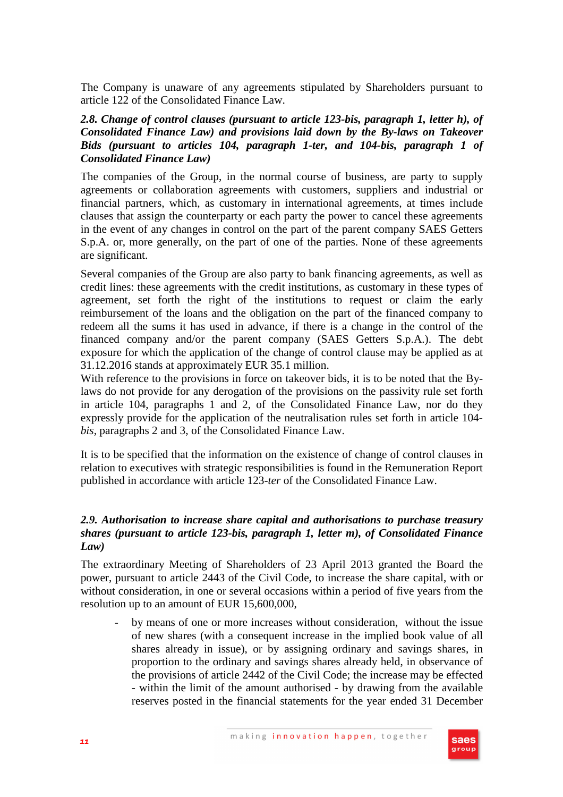The Company is unaware of any agreements stipulated by Shareholders pursuant to article 122 of the Consolidated Finance Law.

#### *2.8. Change of control clauses (pursuant to article 123-bis, paragraph 1, letter h), of Consolidated Finance Law) and provisions laid down by the By-laws on Takeover Bids (pursuant to articles 104, paragraph 1-ter, and 104-bis, paragraph 1 of Consolidated Finance Law)*

The companies of the Group, in the normal course of business, are party to supply agreements or collaboration agreements with customers, suppliers and industrial or financial partners, which, as customary in international agreements, at times include clauses that assign the counterparty or each party the power to cancel these agreements in the event of any changes in control on the part of the parent company SAES Getters S.p.A. or, more generally, on the part of one of the parties. None of these agreements are significant.

Several companies of the Group are also party to bank financing agreements, as well as credit lines: these agreements with the credit institutions, as customary in these types of agreement, set forth the right of the institutions to request or claim the early reimbursement of the loans and the obligation on the part of the financed company to redeem all the sums it has used in advance, if there is a change in the control of the financed company and/or the parent company (SAES Getters S.p.A.). The debt exposure for which the application of the change of control clause may be applied as at 31.12.2016 stands at approximately EUR 35.1 million.

With reference to the provisions in force on takeover bids, it is to be noted that the Bylaws do not provide for any derogation of the provisions on the passivity rule set forth in article 104, paragraphs 1 and 2, of the Consolidated Finance Law, nor do they expressly provide for the application of the neutralisation rules set forth in article 104 *bis*, paragraphs 2 and 3, of the Consolidated Finance Law.

It is to be specified that the information on the existence of change of control clauses in relation to executives with strategic responsibilities is found in the Remuneration Report published in accordance with article 123-*ter* of the Consolidated Finance Law.

#### *2.9. Authorisation to increase share capital and authorisations to purchase treasury shares (pursuant to article 123-bis, paragraph 1, letter m), of Consolidated Finance Law)*

The extraordinary Meeting of Shareholders of 23 April 2013 granted the Board the power, pursuant to article 2443 of the Civil Code, to increase the share capital, with or without consideration, in one or several occasions within a period of five years from the resolution up to an amount of EUR 15,600,000,

by means of one or more increases without consideration, without the issue of new shares (with a consequent increase in the implied book value of all shares already in issue), or by assigning ordinary and savings shares, in proportion to the ordinary and savings shares already held, in observance of the provisions of article 2442 of the Civil Code; the increase may be effected - within the limit of the amount authorised - by drawing from the available reserves posted in the financial statements for the year ended 31 December

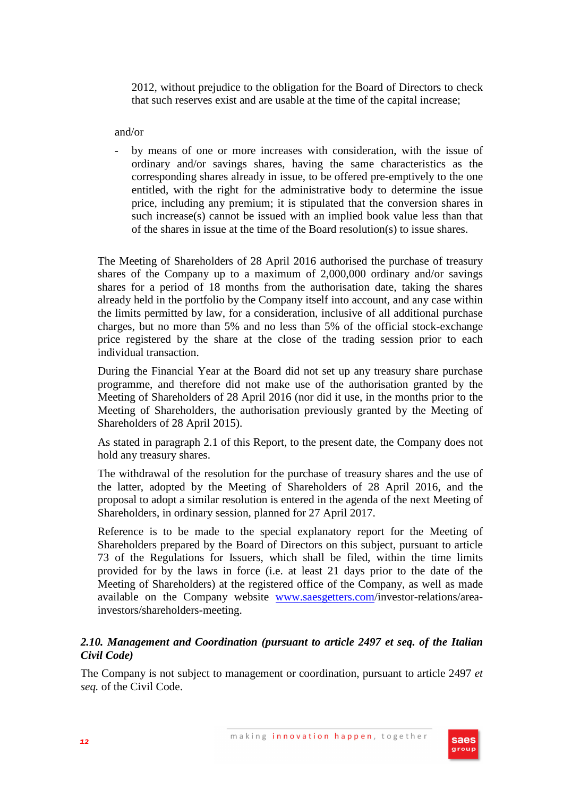2012, without prejudice to the obligation for the Board of Directors to check that such reserves exist and are usable at the time of the capital increase;

and/or

- by means of one or more increases with consideration, with the issue of ordinary and/or savings shares, having the same characteristics as the corresponding shares already in issue, to be offered pre-emptively to the one entitled, with the right for the administrative body to determine the issue price, including any premium; it is stipulated that the conversion shares in such increase(s) cannot be issued with an implied book value less than that of the shares in issue at the time of the Board resolution(s) to issue shares.

The Meeting of Shareholders of 28 April 2016 authorised the purchase of treasury shares of the Company up to a maximum of 2,000,000 ordinary and/or savings shares for a period of 18 months from the authorisation date, taking the shares already held in the portfolio by the Company itself into account, and any case within the limits permitted by law, for a consideration, inclusive of all additional purchase charges, but no more than 5% and no less than 5% of the official stock-exchange price registered by the share at the close of the trading session prior to each individual transaction.

During the Financial Year at the Board did not set up any treasury share purchase programme, and therefore did not make use of the authorisation granted by the Meeting of Shareholders of 28 April 2016 (nor did it use, in the months prior to the Meeting of Shareholders, the authorisation previously granted by the Meeting of Shareholders of 28 April 2015).

As stated in paragraph 2.1 of this Report, to the present date, the Company does not hold any treasury shares.

The withdrawal of the resolution for the purchase of treasury shares and the use of the latter, adopted by the Meeting of Shareholders of 28 April 2016, and the proposal to adopt a similar resolution is entered in the agenda of the next Meeting of Shareholders, in ordinary session, planned for 27 April 2017.

Reference is to be made to the special explanatory report for the Meeting of Shareholders prepared by the Board of Directors on this subject, pursuant to article 73 of the Regulations for Issuers, which shall be filed, within the time limits provided for by the laws in force (i.e. at least 21 days prior to the date of the Meeting of Shareholders) at the registered office of the Company, as well as made available on the Company website www.saesgetters.com/investor-relations/areainvestors/shareholders-meeting.

# *2.10. Management and Coordination (pursuant to article 2497 et seq. of the Italian Civil Code)*

The Company is not subject to management or coordination, pursuant to article 2497 *et seq.* of the Civil Code.

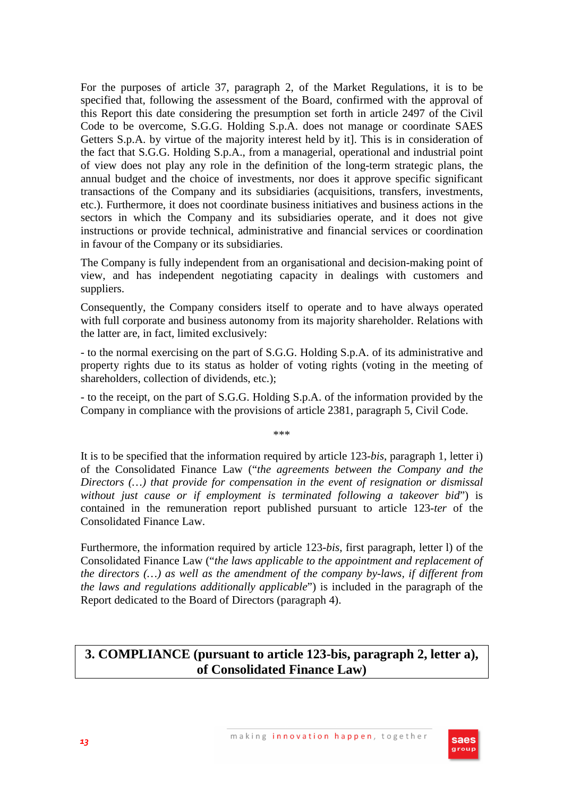For the purposes of article 37, paragraph 2, of the Market Regulations, it is to be specified that, following the assessment of the Board, confirmed with the approval of this Report this date considering the presumption set forth in article 2497 of the Civil Code to be overcome, S.G.G. Holding S.p.A. does not manage or coordinate SAES Getters S.p.A. by virtue of the majority interest held by it]. This is in consideration of the fact that S.G.G. Holding S.p.A., from a managerial, operational and industrial point of view does not play any role in the definition of the long-term strategic plans, the annual budget and the choice of investments, nor does it approve specific significant transactions of the Company and its subsidiaries (acquisitions, transfers, investments, etc.). Furthermore, it does not coordinate business initiatives and business actions in the sectors in which the Company and its subsidiaries operate, and it does not give instructions or provide technical, administrative and financial services or coordination in favour of the Company or its subsidiaries.

The Company is fully independent from an organisational and decision-making point of view, and has independent negotiating capacity in dealings with customers and suppliers.

Consequently, the Company considers itself to operate and to have always operated with full corporate and business autonomy from its majority shareholder. Relations with the latter are, in fact, limited exclusively:

- to the normal exercising on the part of S.G.G. Holding S.p.A. of its administrative and property rights due to its status as holder of voting rights (voting in the meeting of shareholders, collection of dividends, etc.);

- to the receipt, on the part of S.G.G. Holding S.p.A. of the information provided by the Company in compliance with the provisions of article 2381, paragraph 5, Civil Code.

\*\*\*

It is to be specified that the information required by article 123-*bis*, paragraph 1, letter i) of the Consolidated Finance Law ("*the agreements between the Company and the Directors (…) that provide for compensation in the event of resignation or dismissal without just cause or if employment is terminated following a takeover bid*") is contained in the remuneration report published pursuant to article 123-*ter* of the Consolidated Finance Law.

Furthermore, the information required by article 123-*bis*, first paragraph, letter l) of the Consolidated Finance Law ("*the laws applicable to the appointment and replacement of the directors (…) as well as the amendment of the company by-laws, if different from the laws and regulations additionally applicable*") is included in the paragraph of the Report dedicated to the Board of Directors (paragraph 4).

# **3. COMPLIANCE (pursuant to article 123-bis, paragraph 2, letter a), of Consolidated Finance Law)**

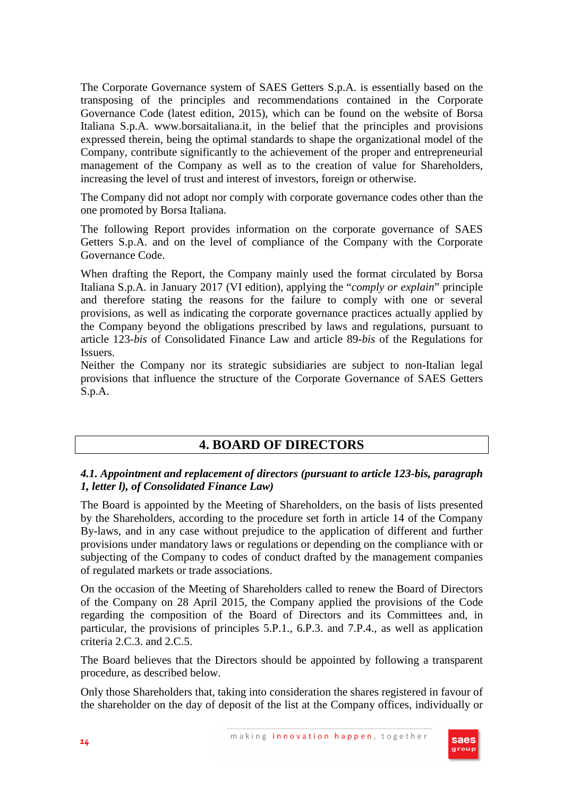The Corporate Governance system of SAES Getters S.p.A. is essentially based on the transposing of the principles and recommendations contained in the Corporate Governance Code (latest edition, 2015), which can be found on the website of Borsa Italiana S.p.A. www.borsaitaliana.it, in the belief that the principles and provisions expressed therein, being the optimal standards to shape the organizational model of the Company, contribute significantly to the achievement of the proper and entrepreneurial management of the Company as well as to the creation of value for Shareholders, increasing the level of trust and interest of investors, foreign or otherwise.

The Company did not adopt nor comply with corporate governance codes other than the one promoted by Borsa Italiana.

The following Report provides information on the corporate governance of SAES Getters S.p.A. and on the level of compliance of the Company with the Corporate Governance Code.

When drafting the Report, the Company mainly used the format circulated by Borsa Italiana S.p.A. in January 2017 (VI edition), applying the "*comply or explain*" principle and therefore stating the reasons for the failure to comply with one or several provisions, as well as indicating the corporate governance practices actually applied by the Company beyond the obligations prescribed by laws and regulations, pursuant to article 123-*bis* of Consolidated Finance Law and article 89-*bis* of the Regulations for Issuers.

Neither the Company nor its strategic subsidiaries are subject to non-Italian legal provisions that influence the structure of the Corporate Governance of SAES Getters S.p.A.

# **4. BOARD OF DIRECTORS**

# *4.1. Appointment and replacement of directors (pursuant to article 123-bis, paragraph 1, letter l), of Consolidated Finance Law)*

The Board is appointed by the Meeting of Shareholders, on the basis of lists presented by the Shareholders, according to the procedure set forth in article 14 of the Company By-laws, and in any case without prejudice to the application of different and further provisions under mandatory laws or regulations or depending on the compliance with or subjecting of the Company to codes of conduct drafted by the management companies of regulated markets or trade associations.

On the occasion of the Meeting of Shareholders called to renew the Board of Directors of the Company on 28 April 2015, the Company applied the provisions of the Code regarding the composition of the Board of Directors and its Committees and, in particular, the provisions of principles 5.P.1., 6.P.3. and 7.P.4., as well as application criteria 2.C.3. and 2.C.5.

The Board believes that the Directors should be appointed by following a transparent procedure, as described below.

Only those Shareholders that, taking into consideration the shares registered in favour of the shareholder on the day of deposit of the list at the Company offices, individually or

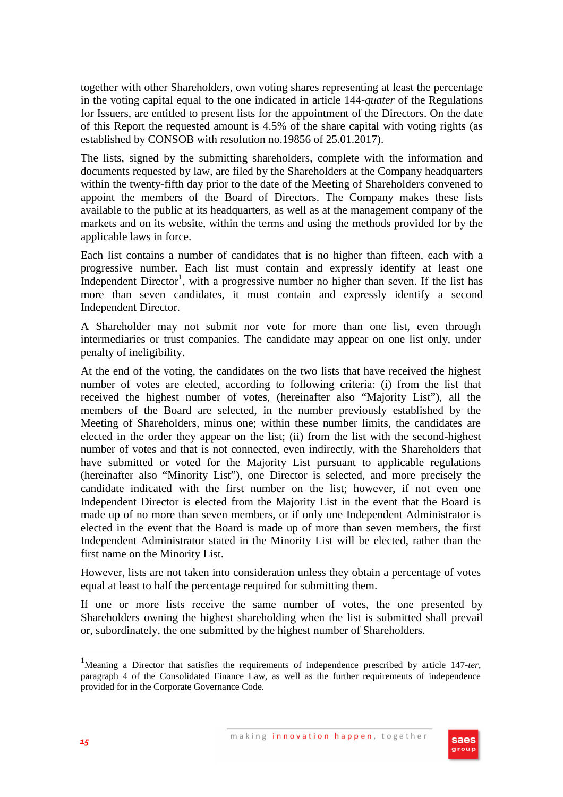together with other Shareholders, own voting shares representing at least the percentage in the voting capital equal to the one indicated in article 144-*quater* of the Regulations for Issuers, are entitled to present lists for the appointment of the Directors. On the date of this Report the requested amount is 4.5% of the share capital with voting rights (as established by CONSOB with resolution no.19856 of 25.01.2017).

The lists, signed by the submitting shareholders, complete with the information and documents requested by law, are filed by the Shareholders at the Company headquarters within the twenty-fifth day prior to the date of the Meeting of Shareholders convened to appoint the members of the Board of Directors. The Company makes these lists available to the public at its headquarters, as well as at the management company of the markets and on its website, within the terms and using the methods provided for by the applicable laws in force.

Each list contains a number of candidates that is no higher than fifteen, each with a progressive number. Each list must contain and expressly identify at least one Independent Director<sup>1</sup>, with a progressive number no higher than seven. If the list has more than seven candidates, it must contain and expressly identify a second Independent Director.

A Shareholder may not submit nor vote for more than one list, even through intermediaries or trust companies. The candidate may appear on one list only, under penalty of ineligibility.

At the end of the voting, the candidates on the two lists that have received the highest number of votes are elected, according to following criteria: (i) from the list that received the highest number of votes, (hereinafter also "Majority List"), all the members of the Board are selected, in the number previously established by the Meeting of Shareholders, minus one; within these number limits, the candidates are elected in the order they appear on the list; (ii) from the list with the second-highest number of votes and that is not connected, even indirectly, with the Shareholders that have submitted or voted for the Majority List pursuant to applicable regulations (hereinafter also "Minority List"), one Director is selected, and more precisely the candidate indicated with the first number on the list; however, if not even one Independent Director is elected from the Majority List in the event that the Board is made up of no more than seven members, or if only one Independent Administrator is elected in the event that the Board is made up of more than seven members, the first Independent Administrator stated in the Minority List will be elected, rather than the first name on the Minority List.

However, lists are not taken into consideration unless they obtain a percentage of votes equal at least to half the percentage required for submitting them.

If one or more lists receive the same number of votes, the one presented by Shareholders owning the highest shareholding when the list is submitted shall prevail or, subordinately, the one submitted by the highest number of Shareholders.

<sup>1</sup>Meaning a Director that satisfies the requirements of independence prescribed by article 147*-ter*, paragraph 4 of the Consolidated Finance Law, as well as the further requirements of independence provided for in the Corporate Governance Code.



 $\overline{a}$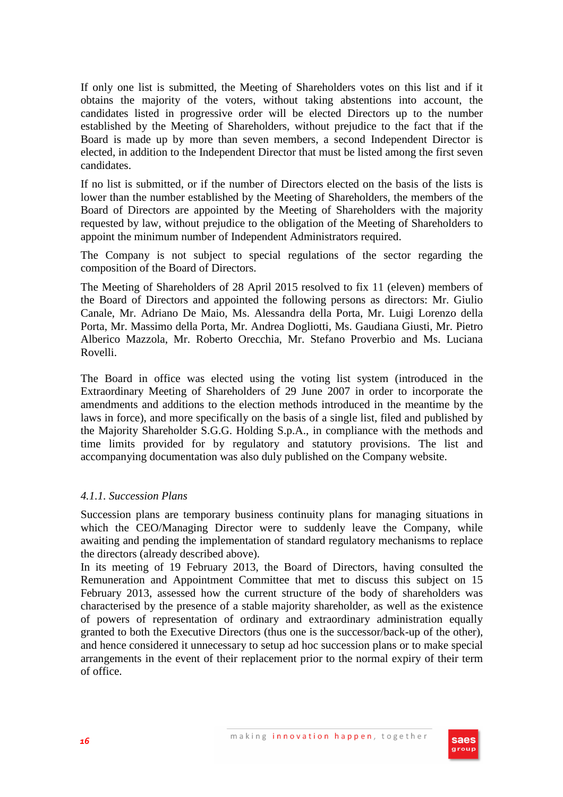If only one list is submitted, the Meeting of Shareholders votes on this list and if it obtains the majority of the voters, without taking abstentions into account, the candidates listed in progressive order will be elected Directors up to the number established by the Meeting of Shareholders, without prejudice to the fact that if the Board is made up by more than seven members, a second Independent Director is elected, in addition to the Independent Director that must be listed among the first seven candidates.

If no list is submitted, or if the number of Directors elected on the basis of the lists is lower than the number established by the Meeting of Shareholders, the members of the Board of Directors are appointed by the Meeting of Shareholders with the majority requested by law, without prejudice to the obligation of the Meeting of Shareholders to appoint the minimum number of Independent Administrators required.

The Company is not subject to special regulations of the sector regarding the composition of the Board of Directors.

The Meeting of Shareholders of 28 April 2015 resolved to fix 11 (eleven) members of the Board of Directors and appointed the following persons as directors: Mr. Giulio Canale, Mr. Adriano De Maio, Ms. Alessandra della Porta, Mr. Luigi Lorenzo della Porta, Mr. Massimo della Porta, Mr. Andrea Dogliotti, Ms. Gaudiana Giusti, Mr. Pietro Alberico Mazzola, Mr. Roberto Orecchia, Mr. Stefano Proverbio and Ms. Luciana Rovelli.

The Board in office was elected using the voting list system (introduced in the Extraordinary Meeting of Shareholders of 29 June 2007 in order to incorporate the amendments and additions to the election methods introduced in the meantime by the laws in force), and more specifically on the basis of a single list, filed and published by the Majority Shareholder S.G.G. Holding S.p.A., in compliance with the methods and time limits provided for by regulatory and statutory provisions. The list and accompanying documentation was also duly published on the Company website.

## *4.1.1. Succession Plans*

Succession plans are temporary business continuity plans for managing situations in which the CEO/Managing Director were to suddenly leave the Company, while awaiting and pending the implementation of standard regulatory mechanisms to replace the directors (already described above).

In its meeting of 19 February 2013, the Board of Directors, having consulted the Remuneration and Appointment Committee that met to discuss this subject on 15 February 2013, assessed how the current structure of the body of shareholders was characterised by the presence of a stable majority shareholder, as well as the existence of powers of representation of ordinary and extraordinary administration equally granted to both the Executive Directors (thus one is the successor/back-up of the other), and hence considered it unnecessary to setup ad hoc succession plans or to make special arrangements in the event of their replacement prior to the normal expiry of their term of office.

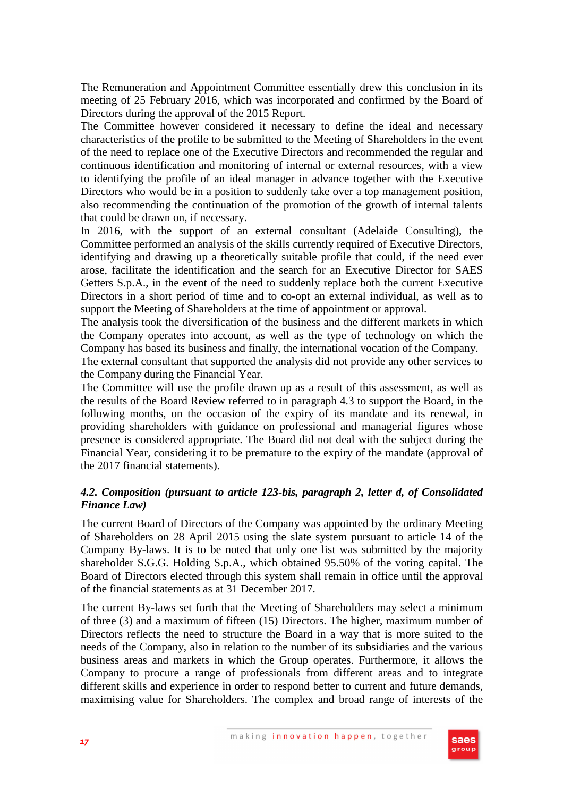The Remuneration and Appointment Committee essentially drew this conclusion in its meeting of 25 February 2016, which was incorporated and confirmed by the Board of Directors during the approval of the 2015 Report.

The Committee however considered it necessary to define the ideal and necessary characteristics of the profile to be submitted to the Meeting of Shareholders in the event of the need to replace one of the Executive Directors and recommended the regular and continuous identification and monitoring of internal or external resources, with a view to identifying the profile of an ideal manager in advance together with the Executive Directors who would be in a position to suddenly take over a top management position, also recommending the continuation of the promotion of the growth of internal talents that could be drawn on, if necessary.

In 2016, with the support of an external consultant (Adelaide Consulting), the Committee performed an analysis of the skills currently required of Executive Directors, identifying and drawing up a theoretically suitable profile that could, if the need ever arose, facilitate the identification and the search for an Executive Director for SAES Getters S.p.A., in the event of the need to suddenly replace both the current Executive Directors in a short period of time and to co-opt an external individual, as well as to support the Meeting of Shareholders at the time of appointment or approval.

The analysis took the diversification of the business and the different markets in which the Company operates into account, as well as the type of technology on which the Company has based its business and finally, the international vocation of the Company.

The external consultant that supported the analysis did not provide any other services to the Company during the Financial Year.

The Committee will use the profile drawn up as a result of this assessment, as well as the results of the Board Review referred to in paragraph 4.3 to support the Board, in the following months, on the occasion of the expiry of its mandate and its renewal, in providing shareholders with guidance on professional and managerial figures whose presence is considered appropriate. The Board did not deal with the subject during the Financial Year, considering it to be premature to the expiry of the mandate (approval of the 2017 financial statements).

# *4.2. Composition (pursuant to article 123-bis, paragraph 2, letter d, of Consolidated Finance Law)*

The current Board of Directors of the Company was appointed by the ordinary Meeting of Shareholders on 28 April 2015 using the slate system pursuant to article 14 of the Company By-laws. It is to be noted that only one list was submitted by the majority shareholder S.G.G. Holding S.p.A., which obtained 95.50% of the voting capital. The Board of Directors elected through this system shall remain in office until the approval of the financial statements as at 31 December 2017.

The current By-laws set forth that the Meeting of Shareholders may select a minimum of three (3) and a maximum of fifteen (15) Directors. The higher, maximum number of Directors reflects the need to structure the Board in a way that is more suited to the needs of the Company, also in relation to the number of its subsidiaries and the various business areas and markets in which the Group operates. Furthermore, it allows the Company to procure a range of professionals from different areas and to integrate different skills and experience in order to respond better to current and future demands, maximising value for Shareholders. The complex and broad range of interests of the

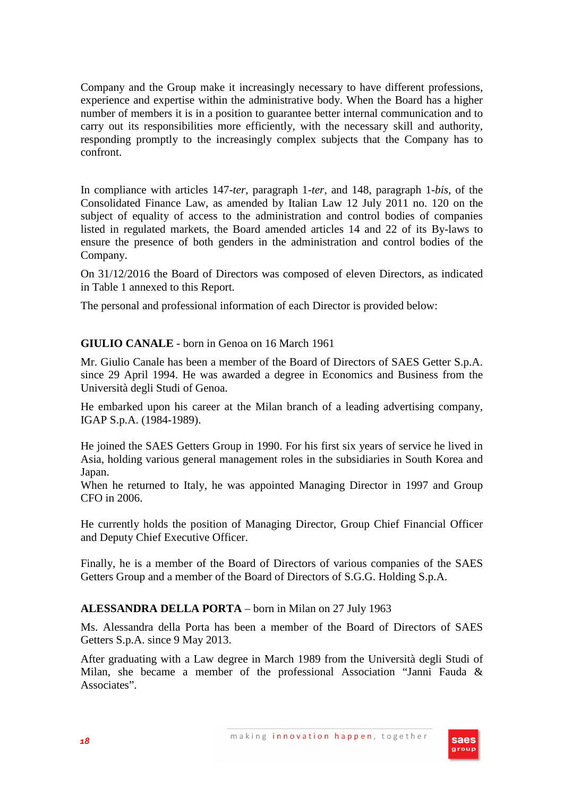Company and the Group make it increasingly necessary to have different professions, experience and expertise within the administrative body. When the Board has a higher number of members it is in a position to guarantee better internal communication and to carry out its responsibilities more efficiently, with the necessary skill and authority, responding promptly to the increasingly complex subjects that the Company has to confront.

In compliance with articles 147-*ter,* paragraph 1-*ter,* and 148, paragraph 1-*bis,* of the Consolidated Finance Law, as amended by Italian Law 12 July 2011 no. 120 on the subject of equality of access to the administration and control bodies of companies listed in regulated markets, the Board amended articles 14 and 22 of its By-laws to ensure the presence of both genders in the administration and control bodies of the Company.

On 31/12/2016 the Board of Directors was composed of eleven Directors, as indicated in Table 1 annexed to this Report.

The personal and professional information of each Director is provided below:

# **GIULIO CANALE** - born in Genoa on 16 March 1961

Mr. Giulio Canale has been a member of the Board of Directors of SAES Getter S.p.A. since 29 April 1994. He was awarded a degree in Economics and Business from the Università degli Studi of Genoa.

He embarked upon his career at the Milan branch of a leading advertising company, IGAP S.p.A. (1984-1989).

He joined the SAES Getters Group in 1990. For his first six years of service he lived in Asia, holding various general management roles in the subsidiaries in South Korea and Japan.

When he returned to Italy, he was appointed Managing Director in 1997 and Group CFO in 2006.

He currently holds the position of Managing Director, Group Chief Financial Officer and Deputy Chief Executive Officer.

Finally, he is a member of the Board of Directors of various companies of the SAES Getters Group and a member of the Board of Directors of S.G.G. Holding S.p.A.

# **ALESSANDRA DELLA PORTA** – born in Milan on 27 July 1963

Ms. Alessandra della Porta has been a member of the Board of Directors of SAES Getters S.p.A. since 9 May 2013.

After graduating with a Law degree in March 1989 from the Università degli Studi of Milan, she became a member of the professional Association "Janni Fauda & Associates".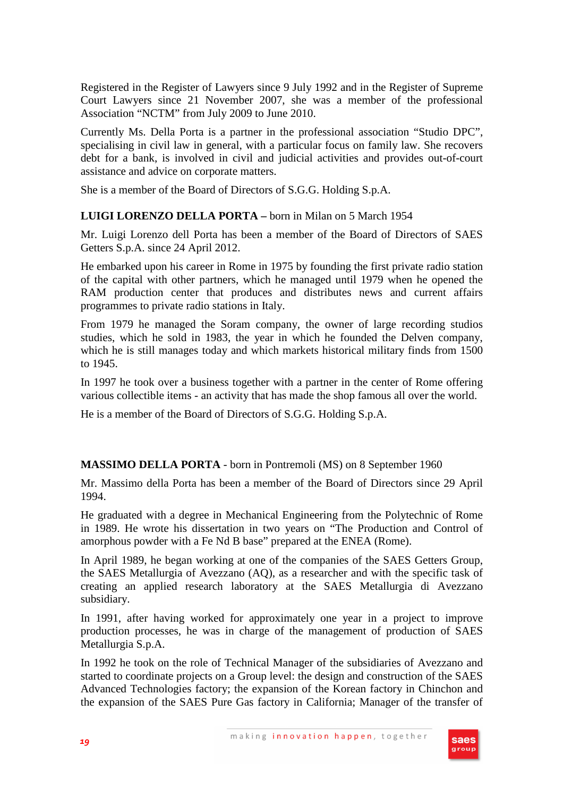Registered in the Register of Lawyers since 9 July 1992 and in the Register of Supreme Court Lawyers since 21 November 2007, she was a member of the professional Association "NCTM" from July 2009 to June 2010.

Currently Ms. Della Porta is a partner in the professional association "Studio DPC", specialising in civil law in general, with a particular focus on family law. She recovers debt for a bank, is involved in civil and judicial activities and provides out-of-court assistance and advice on corporate matters.

She is a member of the Board of Directors of S.G.G. Holding S.p.A.

# **LUIGI LORENZO DELLA PORTA –** born in Milan on 5 March 1954

Mr. Luigi Lorenzo dell Porta has been a member of the Board of Directors of SAES Getters S.p.A. since 24 April 2012.

He embarked upon his career in Rome in 1975 by founding the first private radio station of the capital with other partners, which he managed until 1979 when he opened the RAM production center that produces and distributes news and current affairs programmes to private radio stations in Italy.

From 1979 he managed the Soram company, the owner of large recording studios studies, which he sold in 1983, the year in which he founded the Delven company, which he is still manages today and which markets historical military finds from 1500 to 1945.

In 1997 he took over a business together with a partner in the center of Rome offering various collectible items - an activity that has made the shop famous all over the world.

He is a member of the Board of Directors of S.G.G. Holding S.p.A.

## **MASSIMO DELLA PORTA** - born in Pontremoli (MS) on 8 September 1960

Mr. Massimo della Porta has been a member of the Board of Directors since 29 April 1994.

He graduated with a degree in Mechanical Engineering from the Polytechnic of Rome in 1989. He wrote his dissertation in two years on "The Production and Control of amorphous powder with a Fe Nd B base" prepared at the ENEA (Rome).

In April 1989, he began working at one of the companies of the SAES Getters Group, the SAES Metallurgia of Avezzano (AQ), as a researcher and with the specific task of creating an applied research laboratory at the SAES Metallurgia di Avezzano subsidiary.

In 1991, after having worked for approximately one year in a project to improve production processes, he was in charge of the management of production of SAES Metallurgia S.p.A.

In 1992 he took on the role of Technical Manager of the subsidiaries of Avezzano and started to coordinate projects on a Group level: the design and construction of the SAES Advanced Technologies factory; the expansion of the Korean factory in Chinchon and the expansion of the SAES Pure Gas factory in California; Manager of the transfer of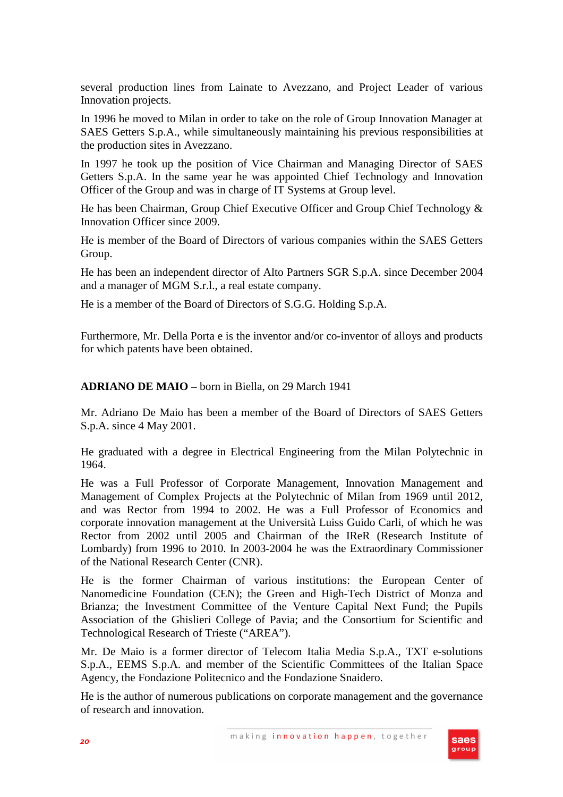several production lines from Lainate to Avezzano, and Project Leader of various Innovation projects.

In 1996 he moved to Milan in order to take on the role of Group Innovation Manager at SAES Getters S.p.A., while simultaneously maintaining his previous responsibilities at the production sites in Avezzano.

In 1997 he took up the position of Vice Chairman and Managing Director of SAES Getters S.p.A. In the same year he was appointed Chief Technology and Innovation Officer of the Group and was in charge of IT Systems at Group level.

He has been Chairman, Group Chief Executive Officer and Group Chief Technology & Innovation Officer since 2009.

He is member of the Board of Directors of various companies within the SAES Getters Group.

He has been an independent director of Alto Partners SGR S.p.A. since December 2004 and a manager of MGM S.r.l., a real estate company.

He is a member of the Board of Directors of S.G.G. Holding S.p.A.

Furthermore, Mr. Della Porta e is the inventor and/or co-inventor of alloys and products for which patents have been obtained.

#### **ADRIANO DE MAIO –** born in Biella, on 29 March 1941

Mr. Adriano De Maio has been a member of the Board of Directors of SAES Getters S.p.A. since 4 May 2001.

He graduated with a degree in Electrical Engineering from the Milan Polytechnic in 1964.

He was a Full Professor of Corporate Management, Innovation Management and Management of Complex Projects at the Polytechnic of Milan from 1969 until 2012, and was Rector from 1994 to 2002. He was a Full Professor of Economics and corporate innovation management at the Università Luiss Guido Carli, of which he was Rector from 2002 until 2005 and Chairman of the IReR (Research Institute of Lombardy) from 1996 to 2010. In 2003-2004 he was the Extraordinary Commissioner of the National Research Center (CNR).

He is the former Chairman of various institutions: the European Center of Nanomedicine Foundation (CEN); the Green and High-Tech District of Monza and Brianza; the Investment Committee of the Venture Capital Next Fund; the Pupils Association of the Ghislieri College of Pavia; and the Consortium for Scientific and Technological Research of Trieste ("AREA").

Mr. De Maio is a former director of Telecom Italia Media S.p.A., TXT e-solutions S.p.A., EEMS S.p.A. and member of the Scientific Committees of the Italian Space Agency, the Fondazione Politecnico and the Fondazione Snaidero.

He is the author of numerous publications on corporate management and the governance of research and innovation.

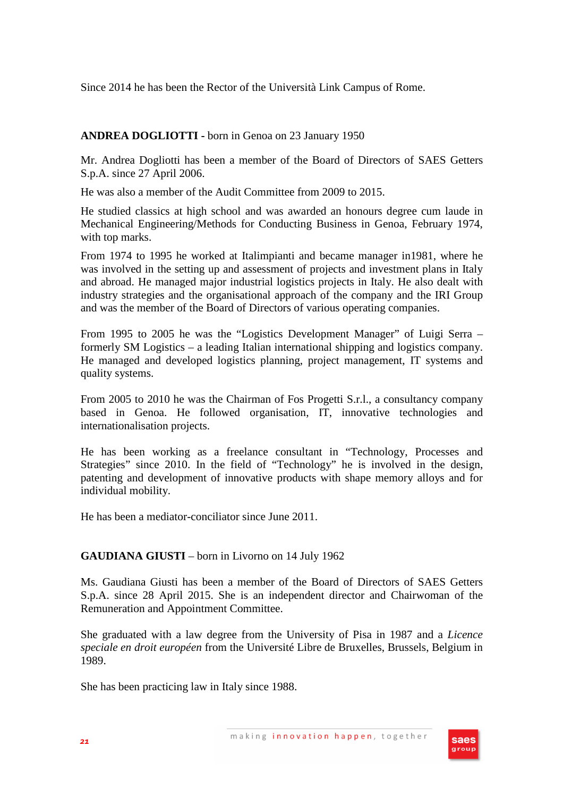Since 2014 he has been the Rector of the Università Link Campus of Rome.

# **ANDREA DOGLIOTTI -** born in Genoa on 23 January 1950

Mr. Andrea Dogliotti has been a member of the Board of Directors of SAES Getters S.p.A. since 27 April 2006.

He was also a member of the Audit Committee from 2009 to 2015.

He studied classics at high school and was awarded an honours degree cum laude in Mechanical Engineering/Methods for Conducting Business in Genoa, February 1974, with top marks.

From 1974 to 1995 he worked at Italimpianti and became manager in1981, where he was involved in the setting up and assessment of projects and investment plans in Italy and abroad. He managed major industrial logistics projects in Italy. He also dealt with industry strategies and the organisational approach of the company and the IRI Group and was the member of the Board of Directors of various operating companies.

From 1995 to 2005 he was the "Logistics Development Manager" of Luigi Serra – formerly SM Logistics – a leading Italian international shipping and logistics company. He managed and developed logistics planning, project management, IT systems and quality systems.

From 2005 to 2010 he was the Chairman of Fos Progetti S.r.l., a consultancy company based in Genoa. He followed organisation, IT, innovative technologies and internationalisation projects.

He has been working as a freelance consultant in "Technology, Processes and Strategies" since 2010. In the field of "Technology" he is involved in the design, patenting and development of innovative products with shape memory alloys and for individual mobility.

He has been a mediator-conciliator since June 2011.

## **GAUDIANA GIUSTI** – born in Livorno on 14 July 1962

Ms. Gaudiana Giusti has been a member of the Board of Directors of SAES Getters S.p.A. since 28 April 2015. She is an independent director and Chairwoman of the Remuneration and Appointment Committee.

She graduated with a law degree from the University of Pisa in 1987 and a *Licence speciale en droit européen* from the Université Libre de Bruxelles, Brussels, Belgium in 1989.

She has been practicing law in Italy since 1988.

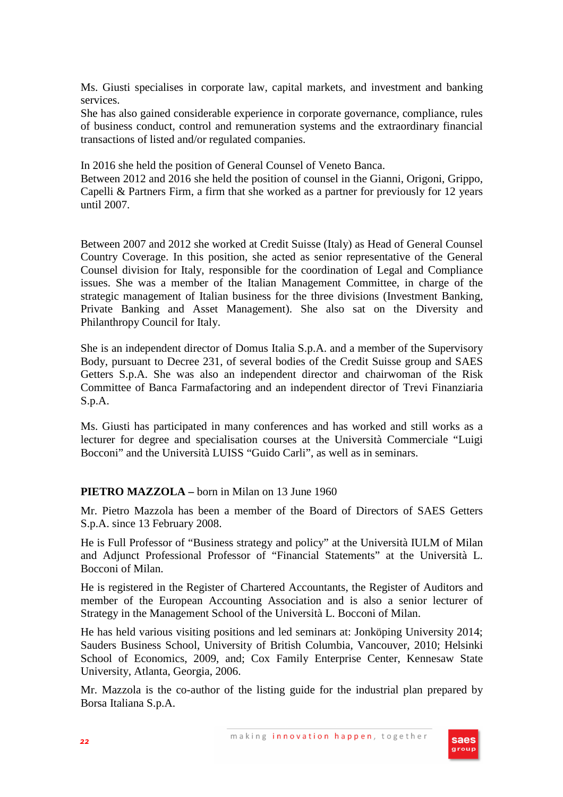Ms. Giusti specialises in corporate law, capital markets, and investment and banking services.

She has also gained considerable experience in corporate governance, compliance, rules of business conduct, control and remuneration systems and the extraordinary financial transactions of listed and/or regulated companies.

In 2016 she held the position of General Counsel of Veneto Banca.

Between 2012 and 2016 she held the position of counsel in the Gianni, Origoni, Grippo, Capelli & Partners Firm, a firm that she worked as a partner for previously for 12 years until 2007.

Between 2007 and 2012 she worked at Credit Suisse (Italy) as Head of General Counsel Country Coverage. In this position, she acted as senior representative of the General Counsel division for Italy, responsible for the coordination of Legal and Compliance issues. She was a member of the Italian Management Committee, in charge of the strategic management of Italian business for the three divisions (Investment Banking, Private Banking and Asset Management). She also sat on the Diversity and Philanthropy Council for Italy.

She is an independent director of Domus Italia S.p.A. and a member of the Supervisory Body, pursuant to Decree 231, of several bodies of the Credit Suisse group and SAES Getters S.p.A. She was also an independent director and chairwoman of the Risk Committee of Banca Farmafactoring and an independent director of Trevi Finanziaria S.p.A.

Ms. Giusti has participated in many conferences and has worked and still works as a lecturer for degree and specialisation courses at the Università Commerciale "Luigi Bocconi" and the Università LUISS "Guido Carli", as well as in seminars.

## **PIETRO MAZZOLA –** born in Milan on 13 June 1960

Mr. Pietro Mazzola has been a member of the Board of Directors of SAES Getters S.p.A. since 13 February 2008.

He is Full Professor of "Business strategy and policy" at the Università IULM of Milan and Adjunct Professional Professor of "Financial Statements" at the Università L. Bocconi of Milan.

He is registered in the Register of Chartered Accountants, the Register of Auditors and member of the European Accounting Association and is also a senior lecturer of Strategy in the Management School of the Università L. Bocconi of Milan.

He has held various visiting positions and led seminars at: Jonköping University 2014; Sauders Business School, University of British Columbia, Vancouver, 2010; Helsinki School of Economics, 2009, and; Cox Family Enterprise Center, Kennesaw State University, Atlanta, Georgia, 2006.

Mr. Mazzola is the co-author of the listing guide for the industrial plan prepared by Borsa Italiana S.p.A.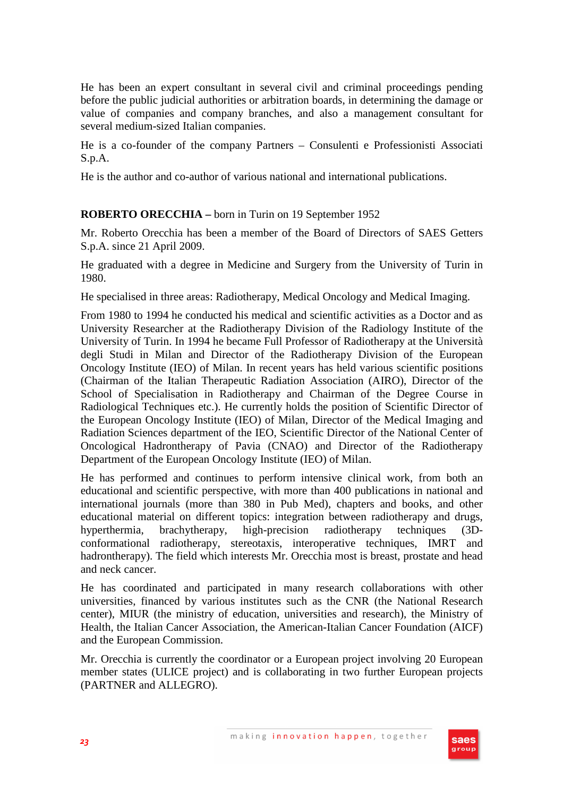He has been an expert consultant in several civil and criminal proceedings pending before the public judicial authorities or arbitration boards, in determining the damage or value of companies and company branches, and also a management consultant for several medium-sized Italian companies.

He is a co-founder of the company Partners – Consulenti e Professionisti Associati S.p.A.

He is the author and co-author of various national and international publications.

## **ROBERTO ORECCHIA –** born in Turin on 19 September 1952

Mr. Roberto Orecchia has been a member of the Board of Directors of SAES Getters S.p.A. since 21 April 2009.

He graduated with a degree in Medicine and Surgery from the University of Turin in 1980.

He specialised in three areas: Radiotherapy, Medical Oncology and Medical Imaging.

From 1980 to 1994 he conducted his medical and scientific activities as a Doctor and as University Researcher at the Radiotherapy Division of the Radiology Institute of the University of Turin. In 1994 he became Full Professor of Radiotherapy at the Università degli Studi in Milan and Director of the Radiotherapy Division of the European Oncology Institute (IEO) of Milan. In recent years has held various scientific positions (Chairman of the Italian Therapeutic Radiation Association (AIRO), Director of the School of Specialisation in Radiotherapy and Chairman of the Degree Course in Radiological Techniques etc.). He currently holds the position of Scientific Director of the European Oncology Institute (IEO) of Milan, Director of the Medical Imaging and Radiation Sciences department of the IEO, Scientific Director of the National Center of Oncological Hadrontherapy of Pavia (CNAO) and Director of the Radiotherapy Department of the European Oncology Institute (IEO) of Milan.

He has performed and continues to perform intensive clinical work, from both an educational and scientific perspective, with more than 400 publications in national and international journals (more than 380 in Pub Med), chapters and books, and other educational material on different topics: integration between radiotherapy and drugs, hyperthermia, brachytherapy, high-precision radiotherapy techniques (3Dconformational radiotherapy, stereotaxis, interoperative techniques, IMRT and hadrontherapy). The field which interests Mr. Orecchia most is breast, prostate and head and neck cancer.

He has coordinated and participated in many research collaborations with other universities, financed by various institutes such as the CNR (the National Research center), MIUR (the ministry of education, universities and research), the Ministry of Health, the Italian Cancer Association, the American-Italian Cancer Foundation (AICF) and the European Commission.

Mr. Orecchia is currently the coordinator or a European project involving 20 European member states (ULICE project) and is collaborating in two further European projects (PARTNER and ALLEGRO).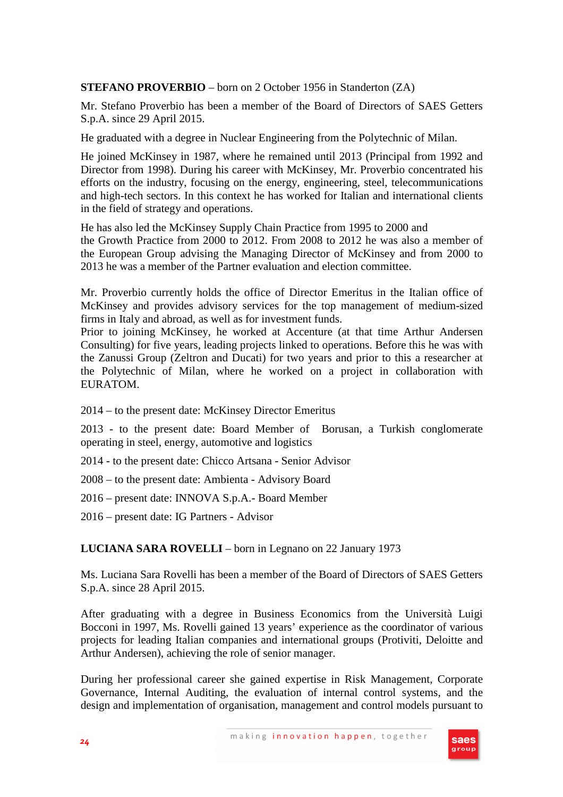## **STEFANO PROVERBIO** – born on 2 October 1956 in Standerton (ZA)

Mr. Stefano Proverbio has been a member of the Board of Directors of SAES Getters S.p.A. since 29 April 2015.

He graduated with a degree in Nuclear Engineering from the Polytechnic of Milan.

He joined McKinsey in 1987, where he remained until 2013 (Principal from 1992 and Director from 1998). During his career with McKinsey, Mr. Proverbio concentrated his efforts on the industry, focusing on the energy, engineering, steel, telecommunications and high-tech sectors. In this context he has worked for Italian and international clients in the field of strategy and operations.

He has also led the McKinsey Supply Chain Practice from 1995 to 2000 and the Growth Practice from 2000 to 2012. From 2008 to 2012 he was also a member of the European Group advising the Managing Director of McKinsey and from 2000 to 2013 he was a member of the Partner evaluation and election committee.

Mr. Proverbio currently holds the office of Director Emeritus in the Italian office of McKinsey and provides advisory services for the top management of medium-sized firms in Italy and abroad, as well as for investment funds.

Prior to joining McKinsey, he worked at Accenture (at that time Arthur Andersen Consulting) for five years, leading projects linked to operations. Before this he was with the Zanussi Group (Zeltron and Ducati) for two years and prior to this a researcher at the Polytechnic of Milan, where he worked on a project in collaboration with EURATOM.

2014 – to the present date: McKinsey Director Emeritus

2013 - to the present date: Board Member of Borusan, a Turkish conglomerate operating in steel, energy, automotive and logistics

2014 - to the present date: Chicco Artsana - Senior Advisor

2008 – to the present date: Ambienta - Advisory Board

2016 – present date: INNOVA S.p.A.- Board Member

2016 – present date: IG Partners - Advisor

**LUCIANA SARA ROVELLI** – born in Legnano on 22 January 1973

Ms. Luciana Sara Rovelli has been a member of the Board of Directors of SAES Getters S.p.A. since 28 April 2015.

After graduating with a degree in Business Economics from the Università Luigi Bocconi in 1997, Ms. Rovelli gained 13 years' experience as the coordinator of various projects for leading Italian companies and international groups (Protiviti, Deloitte and Arthur Andersen), achieving the role of senior manager.

During her professional career she gained expertise in Risk Management, Corporate Governance, Internal Auditing, the evaluation of internal control systems, and the design and implementation of organisation, management and control models pursuant to

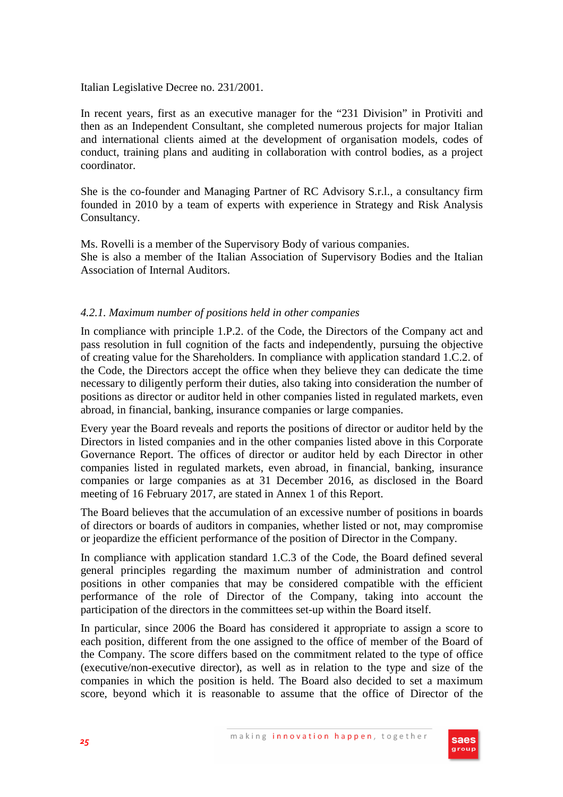Italian Legislative Decree no. 231/2001.

In recent years, first as an executive manager for the "231 Division" in Protiviti and then as an Independent Consultant, she completed numerous projects for major Italian and international clients aimed at the development of organisation models, codes of conduct, training plans and auditing in collaboration with control bodies, as a project coordinator.

She is the co-founder and Managing Partner of RC Advisory S.r.l., a consultancy firm founded in 2010 by a team of experts with experience in Strategy and Risk Analysis Consultancy.

Ms. Rovelli is a member of the Supervisory Body of various companies. She is also a member of the Italian Association of Supervisory Bodies and the Italian Association of Internal Auditors.

## *4.2.1. Maximum number of positions held in other companies*

In compliance with principle 1.P.2. of the Code, the Directors of the Company act and pass resolution in full cognition of the facts and independently, pursuing the objective of creating value for the Shareholders. In compliance with application standard 1.C.2. of the Code, the Directors accept the office when they believe they can dedicate the time necessary to diligently perform their duties, also taking into consideration the number of positions as director or auditor held in other companies listed in regulated markets, even abroad, in financial, banking, insurance companies or large companies.

Every year the Board reveals and reports the positions of director or auditor held by the Directors in listed companies and in the other companies listed above in this Corporate Governance Report. The offices of director or auditor held by each Director in other companies listed in regulated markets, even abroad, in financial, banking, insurance companies or large companies as at 31 December 2016, as disclosed in the Board meeting of 16 February 2017, are stated in Annex 1 of this Report.

The Board believes that the accumulation of an excessive number of positions in boards of directors or boards of auditors in companies, whether listed or not, may compromise or jeopardize the efficient performance of the position of Director in the Company.

In compliance with application standard 1.C.3 of the Code, the Board defined several general principles regarding the maximum number of administration and control positions in other companies that may be considered compatible with the efficient performance of the role of Director of the Company, taking into account the participation of the directors in the committees set-up within the Board itself.

In particular, since 2006 the Board has considered it appropriate to assign a score to each position, different from the one assigned to the office of member of the Board of the Company. The score differs based on the commitment related to the type of office (executive/non-executive director), as well as in relation to the type and size of the companies in which the position is held. The Board also decided to set a maximum score, beyond which it is reasonable to assume that the office of Director of the

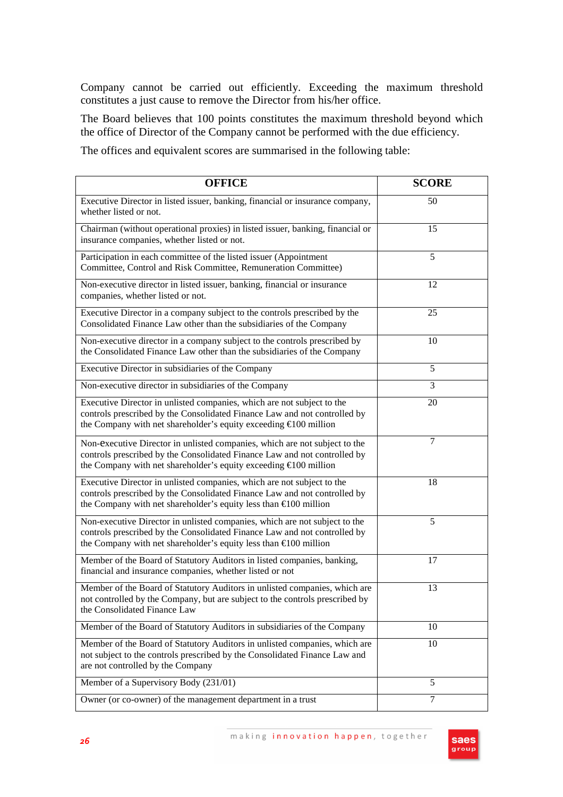Company cannot be carried out efficiently. Exceeding the maximum threshold constitutes a just cause to remove the Director from his/her office.

The Board believes that 100 points constitutes the maximum threshold beyond which the office of Director of the Company cannot be performed with the due efficiency.

The offices and equivalent scores are summarised in the following table:

| <b>OFFICE</b>                                                                                                                                                                                                                         | <b>SCORE</b>   |
|---------------------------------------------------------------------------------------------------------------------------------------------------------------------------------------------------------------------------------------|----------------|
| Executive Director in listed issuer, banking, financial or insurance company,<br>whether listed or not.                                                                                                                               | 50             |
| Chairman (without operational proxies) in listed issuer, banking, financial or<br>insurance companies, whether listed or not.                                                                                                         | 15             |
| Participation in each committee of the listed issuer (Appointment<br>Committee, Control and Risk Committee, Remuneration Committee)                                                                                                   | 5              |
| Non-executive director in listed issuer, banking, financial or insurance<br>companies, whether listed or not.                                                                                                                         | 12             |
| Executive Director in a company subject to the controls prescribed by the<br>Consolidated Finance Law other than the subsidiaries of the Company                                                                                      | 25             |
| Non-executive director in a company subject to the controls prescribed by<br>the Consolidated Finance Law other than the subsidiaries of the Company                                                                                  | 10             |
| Executive Director in subsidiaries of the Company                                                                                                                                                                                     | 5              |
| Non-executive director in subsidiaries of the Company                                                                                                                                                                                 | 3              |
| Executive Director in unlisted companies, which are not subject to the<br>controls prescribed by the Consolidated Finance Law and not controlled by<br>the Company with net shareholder's equity exceeding €100 million               | 20             |
| Non-executive Director in unlisted companies, which are not subject to the<br>controls prescribed by the Consolidated Finance Law and not controlled by<br>the Company with net shareholder's equity exceeding $\epsilon$ 100 million | 7              |
| Executive Director in unlisted companies, which are not subject to the<br>controls prescribed by the Consolidated Finance Law and not controlled by<br>the Company with net shareholder's equity less than $\epsilon$ 100 million     | 18             |
| Non-executive Director in unlisted companies, which are not subject to the<br>controls prescribed by the Consolidated Finance Law and not controlled by<br>the Company with net shareholder's equity less than $\epsilon$ 100 million | 5              |
| Member of the Board of Statutory Auditors in listed companies, banking,<br>financial and insurance companies, whether listed or not                                                                                                   | 17             |
| Member of the Board of Statutory Auditors in unlisted companies, which are<br>not controlled by the Company, but are subject to the controls prescribed by<br>the Consolidated Finance Law                                            | 13             |
| Member of the Board of Statutory Auditors in subsidiaries of the Company                                                                                                                                                              | 10             |
| Member of the Board of Statutory Auditors in unlisted companies, which are<br>not subject to the controls prescribed by the Consolidated Finance Law and<br>are not controlled by the Company                                         | 10             |
| Member of a Supervisory Body (231/01)                                                                                                                                                                                                 | 5              |
| Owner (or co-owner) of the management department in a trust                                                                                                                                                                           | $\overline{7}$ |

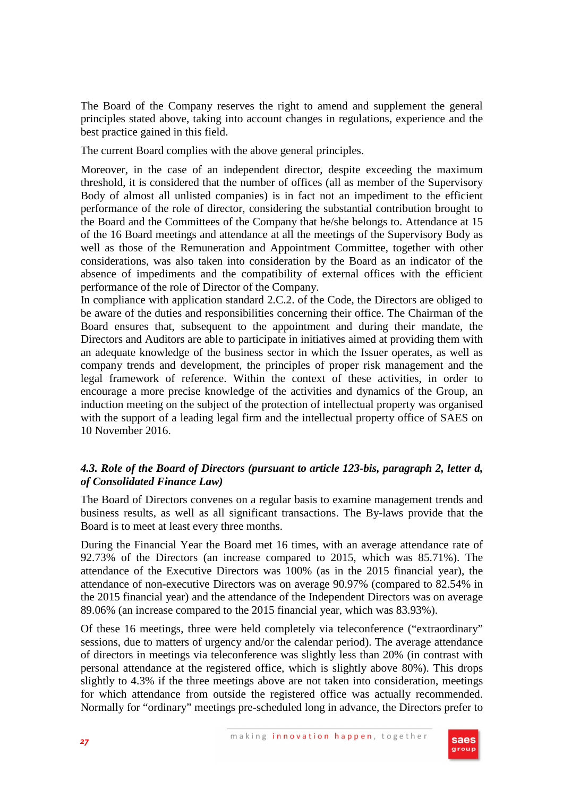The Board of the Company reserves the right to amend and supplement the general principles stated above, taking into account changes in regulations, experience and the best practice gained in this field.

The current Board complies with the above general principles.

Moreover, in the case of an independent director, despite exceeding the maximum threshold, it is considered that the number of offices (all as member of the Supervisory Body of almost all unlisted companies) is in fact not an impediment to the efficient performance of the role of director, considering the substantial contribution brought to the Board and the Committees of the Company that he/she belongs to. Attendance at 15 of the 16 Board meetings and attendance at all the meetings of the Supervisory Body as well as those of the Remuneration and Appointment Committee, together with other considerations, was also taken into consideration by the Board as an indicator of the absence of impediments and the compatibility of external offices with the efficient performance of the role of Director of the Company.

In compliance with application standard 2.C.2. of the Code, the Directors are obliged to be aware of the duties and responsibilities concerning their office. The Chairman of the Board ensures that, subsequent to the appointment and during their mandate, the Directors and Auditors are able to participate in initiatives aimed at providing them with an adequate knowledge of the business sector in which the Issuer operates, as well as company trends and development, the principles of proper risk management and the legal framework of reference. Within the context of these activities, in order to encourage a more precise knowledge of the activities and dynamics of the Group, an induction meeting on the subject of the protection of intellectual property was organised with the support of a leading legal firm and the intellectual property office of SAES on 10 November 2016.

# *4.3. Role of the Board of Directors (pursuant to article 123-bis, paragraph 2, letter d, of Consolidated Finance Law)*

The Board of Directors convenes on a regular basis to examine management trends and business results, as well as all significant transactions. The By-laws provide that the Board is to meet at least every three months.

During the Financial Year the Board met 16 times, with an average attendance rate of 92.73% of the Directors (an increase compared to 2015, which was 85.71%). The attendance of the Executive Directors was 100% (as in the 2015 financial year), the attendance of non-executive Directors was on average 90.97% (compared to 82.54% in the 2015 financial year) and the attendance of the Independent Directors was on average 89.06% (an increase compared to the 2015 financial year, which was 83.93%).

Of these 16 meetings, three were held completely via teleconference ("extraordinary" sessions, due to matters of urgency and/or the calendar period). The average attendance of directors in meetings via teleconference was slightly less than 20% (in contrast with personal attendance at the registered office, which is slightly above 80%). This drops slightly to 4.3% if the three meetings above are not taken into consideration, meetings for which attendance from outside the registered office was actually recommended. Normally for "ordinary" meetings pre-scheduled long in advance, the Directors prefer to

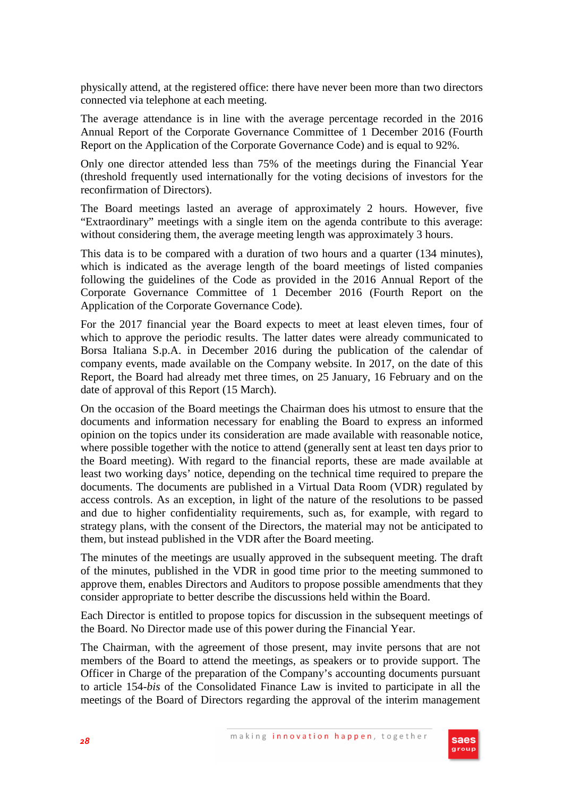physically attend, at the registered office: there have never been more than two directors connected via telephone at each meeting.

The average attendance is in line with the average percentage recorded in the 2016 Annual Report of the Corporate Governance Committee of 1 December 2016 (Fourth Report on the Application of the Corporate Governance Code) and is equal to 92%.

Only one director attended less than 75% of the meetings during the Financial Year (threshold frequently used internationally for the voting decisions of investors for the reconfirmation of Directors).

The Board meetings lasted an average of approximately 2 hours. However, five "Extraordinary" meetings with a single item on the agenda contribute to this average: without considering them, the average meeting length was approximately 3 hours.

This data is to be compared with a duration of two hours and a quarter (134 minutes), which is indicated as the average length of the board meetings of listed companies following the guidelines of the Code as provided in the 2016 Annual Report of the Corporate Governance Committee of 1 December 2016 (Fourth Report on the Application of the Corporate Governance Code).

For the 2017 financial year the Board expects to meet at least eleven times, four of which to approve the periodic results. The latter dates were already communicated to Borsa Italiana S.p.A. in December 2016 during the publication of the calendar of company events, made available on the Company website. In 2017, on the date of this Report, the Board had already met three times, on 25 January, 16 February and on the date of approval of this Report (15 March).

On the occasion of the Board meetings the Chairman does his utmost to ensure that the documents and information necessary for enabling the Board to express an informed opinion on the topics under its consideration are made available with reasonable notice, where possible together with the notice to attend (generally sent at least ten days prior to the Board meeting). With regard to the financial reports, these are made available at least two working days' notice, depending on the technical time required to prepare the documents. The documents are published in a Virtual Data Room (VDR) regulated by access controls. As an exception, in light of the nature of the resolutions to be passed and due to higher confidentiality requirements, such as, for example, with regard to strategy plans, with the consent of the Directors, the material may not be anticipated to them, but instead published in the VDR after the Board meeting.

The minutes of the meetings are usually approved in the subsequent meeting. The draft of the minutes, published in the VDR in good time prior to the meeting summoned to approve them, enables Directors and Auditors to propose possible amendments that they consider appropriate to better describe the discussions held within the Board.

Each Director is entitled to propose topics for discussion in the subsequent meetings of the Board. No Director made use of this power during the Financial Year.

The Chairman, with the agreement of those present, may invite persons that are not members of the Board to attend the meetings, as speakers or to provide support. The Officer in Charge of the preparation of the Company's accounting documents pursuant to article 154-*bis* of the Consolidated Finance Law is invited to participate in all the meetings of the Board of Directors regarding the approval of the interim management

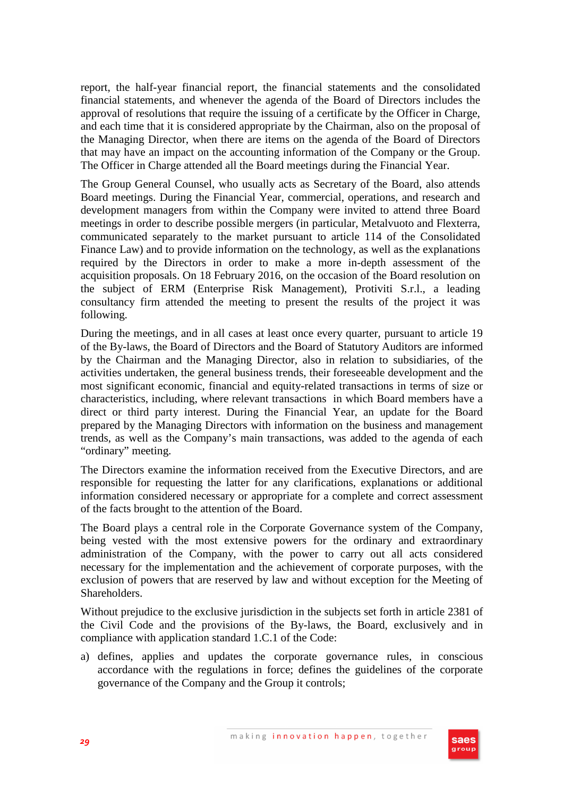report, the half-year financial report, the financial statements and the consolidated financial statements, and whenever the agenda of the Board of Directors includes the approval of resolutions that require the issuing of a certificate by the Officer in Charge, and each time that it is considered appropriate by the Chairman, also on the proposal of the Managing Director, when there are items on the agenda of the Board of Directors that may have an impact on the accounting information of the Company or the Group. The Officer in Charge attended all the Board meetings during the Financial Year.

The Group General Counsel, who usually acts as Secretary of the Board, also attends Board meetings. During the Financial Year, commercial, operations, and research and development managers from within the Company were invited to attend three Board meetings in order to describe possible mergers (in particular, Metalvuoto and Flexterra, communicated separately to the market pursuant to article 114 of the Consolidated Finance Law) and to provide information on the technology, as well as the explanations required by the Directors in order to make a more in-depth assessment of the acquisition proposals. On 18 February 2016, on the occasion of the Board resolution on the subject of ERM (Enterprise Risk Management), Protiviti S.r.l., a leading consultancy firm attended the meeting to present the results of the project it was following.

During the meetings, and in all cases at least once every quarter, pursuant to article 19 of the By-laws, the Board of Directors and the Board of Statutory Auditors are informed by the Chairman and the Managing Director, also in relation to subsidiaries, of the activities undertaken, the general business trends, their foreseeable development and the most significant economic, financial and equity-related transactions in terms of size or characteristics, including, where relevant transactions in which Board members have a direct or third party interest. During the Financial Year, an update for the Board prepared by the Managing Directors with information on the business and management trends, as well as the Company's main transactions, was added to the agenda of each "ordinary" meeting.

The Directors examine the information received from the Executive Directors, and are responsible for requesting the latter for any clarifications, explanations or additional information considered necessary or appropriate for a complete and correct assessment of the facts brought to the attention of the Board.

The Board plays a central role in the Corporate Governance system of the Company, being vested with the most extensive powers for the ordinary and extraordinary administration of the Company, with the power to carry out all acts considered necessary for the implementation and the achievement of corporate purposes, with the exclusion of powers that are reserved by law and without exception for the Meeting of Shareholders.

Without prejudice to the exclusive jurisdiction in the subjects set forth in article 2381 of the Civil Code and the provisions of the By-laws, the Board, exclusively and in compliance with application standard 1.C.1 of the Code:

a) defines, applies and updates the corporate governance rules, in conscious accordance with the regulations in force; defines the guidelines of the corporate governance of the Company and the Group it controls;

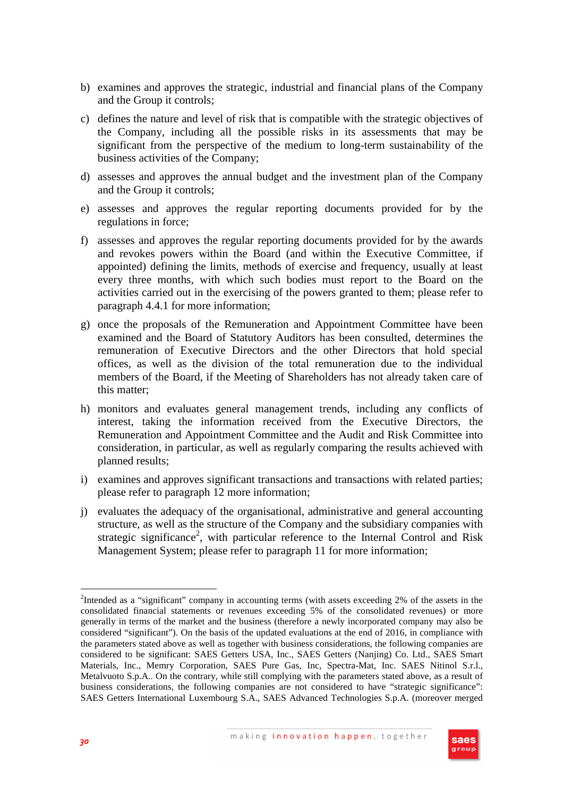- b) examines and approves the strategic, industrial and financial plans of the Company and the Group it controls;
- c) defines the nature and level of risk that is compatible with the strategic objectives of the Company, including all the possible risks in its assessments that may be significant from the perspective of the medium to long-term sustainability of the business activities of the Company;
- d) assesses and approves the annual budget and the investment plan of the Company and the Group it controls;
- e) assesses and approves the regular reporting documents provided for by the regulations in force;
- f) assesses and approves the regular reporting documents provided for by the awards and revokes powers within the Board (and within the Executive Committee, if appointed) defining the limits, methods of exercise and frequency, usually at least every three months, with which such bodies must report to the Board on the activities carried out in the exercising of the powers granted to them; please refer to paragraph 4.4.1 for more information;
- g) once the proposals of the Remuneration and Appointment Committee have been examined and the Board of Statutory Auditors has been consulted, determines the remuneration of Executive Directors and the other Directors that hold special offices, as well as the division of the total remuneration due to the individual members of the Board, if the Meeting of Shareholders has not already taken care of this matter;
- h) monitors and evaluates general management trends, including any conflicts of interest, taking the information received from the Executive Directors, the Remuneration and Appointment Committee and the Audit and Risk Committee into consideration, in particular, as well as regularly comparing the results achieved with planned results;
- i) examines and approves significant transactions and transactions with related parties; please refer to paragraph 12 more information;
- j) evaluates the adequacy of the organisational, administrative and general accounting structure, as well as the structure of the Company and the subsidiary companies with strategic significance<sup>2</sup>, with particular reference to the Internal Control and Risk Management System; please refer to paragraph 11 for more information;



 $\overline{a}$ 

<sup>&</sup>lt;sup>2</sup>Intended as a "significant" company in accounting terms (with assets exceeding 2% of the assets in the consolidated financial statements or revenues exceeding 5% of the consolidated revenues) or more generally in terms of the market and the business (therefore a newly incorporated company may also be considered "significant"). On the basis of the updated evaluations at the end of 2016, in compliance with the parameters stated above as well as together with business considerations, the following companies are considered to be significant: SAES Getters USA, Inc., SAES Getters (Nanjing) Co. Ltd., SAES Smart Materials, Inc., Memry Corporation, SAES Pure Gas, Inc, Spectra-Mat, Inc. SAES Nitinol S.r.l., Metalvuoto S.p.A.. On the contrary, while still complying with the parameters stated above, as a result of business considerations, the following companies are not considered to have "strategic significance": SAES Getters International Luxembourg S.A., SAES Advanced Technologies S.p.A. (moreover merged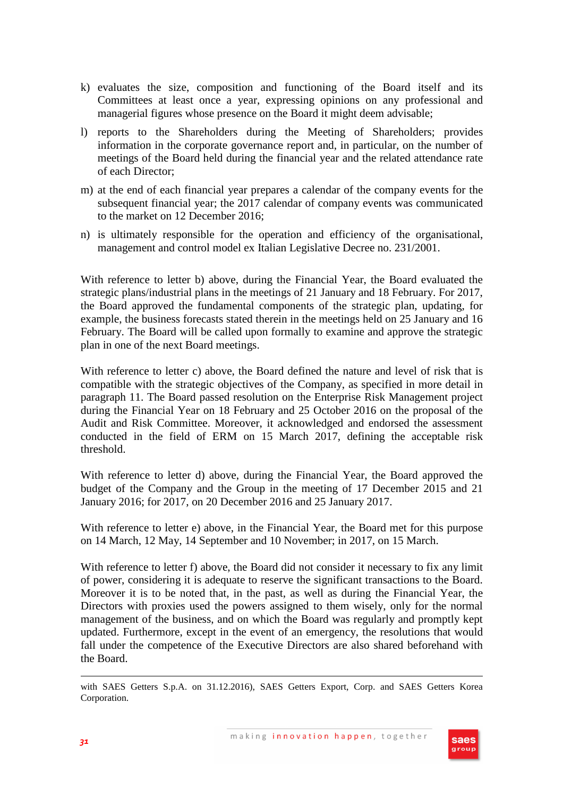- k) evaluates the size, composition and functioning of the Board itself and its Committees at least once a year, expressing opinions on any professional and managerial figures whose presence on the Board it might deem advisable;
- l) reports to the Shareholders during the Meeting of Shareholders; provides information in the corporate governance report and, in particular, on the number of meetings of the Board held during the financial year and the related attendance rate of each Director;
- m) at the end of each financial year prepares a calendar of the company events for the subsequent financial year; the 2017 calendar of company events was communicated to the market on 12 December 2016;
- n) is ultimately responsible for the operation and efficiency of the organisational, management and control model ex Italian Legislative Decree no. 231/2001.

With reference to letter b) above, during the Financial Year, the Board evaluated the strategic plans/industrial plans in the meetings of 21 January and 18 February. For 2017, the Board approved the fundamental components of the strategic plan, updating, for example, the business forecasts stated therein in the meetings held on 25 January and 16 February. The Board will be called upon formally to examine and approve the strategic plan in one of the next Board meetings.

With reference to letter c) above, the Board defined the nature and level of risk that is compatible with the strategic objectives of the Company, as specified in more detail in paragraph 11. The Board passed resolution on the Enterprise Risk Management project during the Financial Year on 18 February and 25 October 2016 on the proposal of the Audit and Risk Committee. Moreover, it acknowledged and endorsed the assessment conducted in the field of ERM on 15 March 2017, defining the acceptable risk threshold.

With reference to letter d) above, during the Financial Year, the Board approved the budget of the Company and the Group in the meeting of 17 December 2015 and 21 January 2016; for 2017, on 20 December 2016 and 25 January 2017.

With reference to letter e) above, in the Financial Year, the Board met for this purpose on 14 March, 12 May, 14 September and 10 November; in 2017, on 15 March.

With reference to letter f) above, the Board did not consider it necessary to fix any limit of power, considering it is adequate to reserve the significant transactions to the Board. Moreover it is to be noted that, in the past, as well as during the Financial Year, the Directors with proxies used the powers assigned to them wisely, only for the normal management of the business, and on which the Board was regularly and promptly kept updated. Furthermore, except in the event of an emergency, the resolutions that would fall under the competence of the Executive Directors are also shared beforehand with the Board.

with SAES Getters S.p.A. on 31.12.2016), SAES Getters Export, Corp. and SAES Getters Korea Corporation.



 $\overline{a}$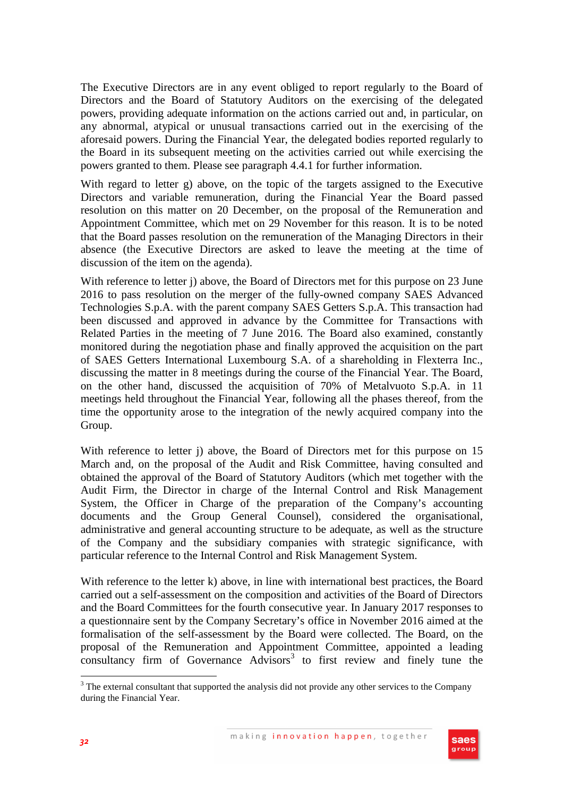The Executive Directors are in any event obliged to report regularly to the Board of Directors and the Board of Statutory Auditors on the exercising of the delegated powers, providing adequate information on the actions carried out and, in particular, on any abnormal, atypical or unusual transactions carried out in the exercising of the aforesaid powers. During the Financial Year, the delegated bodies reported regularly to the Board in its subsequent meeting on the activities carried out while exercising the powers granted to them. Please see paragraph 4.4.1 for further information.

With regard to letter g) above, on the topic of the targets assigned to the Executive Directors and variable remuneration, during the Financial Year the Board passed resolution on this matter on 20 December, on the proposal of the Remuneration and Appointment Committee, which met on 29 November for this reason. It is to be noted that the Board passes resolution on the remuneration of the Managing Directors in their absence (the Executive Directors are asked to leave the meeting at the time of discussion of the item on the agenda).

With reference to letter j) above, the Board of Directors met for this purpose on 23 June 2016 to pass resolution on the merger of the fully-owned company SAES Advanced Technologies S.p.A. with the parent company SAES Getters S.p.A. This transaction had been discussed and approved in advance by the Committee for Transactions with Related Parties in the meeting of 7 June 2016. The Board also examined, constantly monitored during the negotiation phase and finally approved the acquisition on the part of SAES Getters International Luxembourg S.A. of a shareholding in Flexterra Inc., discussing the matter in 8 meetings during the course of the Financial Year. The Board, on the other hand, discussed the acquisition of 70% of Metalvuoto S.p.A. in 11 meetings held throughout the Financial Year, following all the phases thereof, from the time the opportunity arose to the integration of the newly acquired company into the Group.

With reference to letter j) above, the Board of Directors met for this purpose on 15 March and, on the proposal of the Audit and Risk Committee, having consulted and obtained the approval of the Board of Statutory Auditors (which met together with the Audit Firm, the Director in charge of the Internal Control and Risk Management System, the Officer in Charge of the preparation of the Company's accounting documents and the Group General Counsel), considered the organisational, administrative and general accounting structure to be adequate, as well as the structure of the Company and the subsidiary companies with strategic significance, with particular reference to the Internal Control and Risk Management System.

With reference to the letter k) above, in line with international best practices, the Board carried out a self-assessment on the composition and activities of the Board of Directors and the Board Committees for the fourth consecutive year. In January 2017 responses to a questionnaire sent by the Company Secretary's office in November 2016 aimed at the formalisation of the self-assessment by the Board were collected. The Board, on the proposal of the Remuneration and Appointment Committee, appointed a leading  $\frac{1}{2}$  consultancy firm of Governance Advisors<sup>3</sup> to first review and finely tune the

<sup>&</sup>lt;sup>3</sup> The external consultant that supported the analysis did not provide any other services to the Company during the Financial Year.

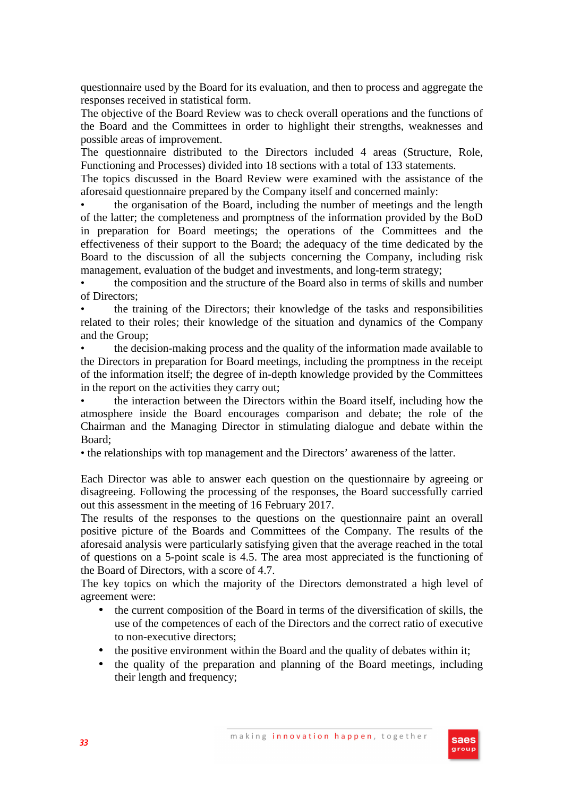questionnaire used by the Board for its evaluation, and then to process and aggregate the responses received in statistical form.

The objective of the Board Review was to check overall operations and the functions of the Board and the Committees in order to highlight their strengths, weaknesses and possible areas of improvement.

The questionnaire distributed to the Directors included 4 areas (Structure, Role, Functioning and Processes) divided into 18 sections with a total of 133 statements.

The topics discussed in the Board Review were examined with the assistance of the aforesaid questionnaire prepared by the Company itself and concerned mainly:

• the organisation of the Board, including the number of meetings and the length of the latter; the completeness and promptness of the information provided by the BoD in preparation for Board meetings; the operations of the Committees and the effectiveness of their support to the Board; the adequacy of the time dedicated by the Board to the discussion of all the subjects concerning the Company, including risk management, evaluation of the budget and investments, and long-term strategy;

• the composition and the structure of the Board also in terms of skills and number of Directors;

• the training of the Directors; their knowledge of the tasks and responsibilities related to their roles; their knowledge of the situation and dynamics of the Company and the Group;

• the decision-making process and the quality of the information made available to the Directors in preparation for Board meetings, including the promptness in the receipt of the information itself; the degree of in-depth knowledge provided by the Committees in the report on the activities they carry out;

• the interaction between the Directors within the Board itself, including how the atmosphere inside the Board encourages comparison and debate; the role of the Chairman and the Managing Director in stimulating dialogue and debate within the Board;

• the relationships with top management and the Directors' awareness of the latter.

Each Director was able to answer each question on the questionnaire by agreeing or disagreeing. Following the processing of the responses, the Board successfully carried out this assessment in the meeting of 16 February 2017.

The results of the responses to the questions on the questionnaire paint an overall positive picture of the Boards and Committees of the Company. The results of the aforesaid analysis were particularly satisfying given that the average reached in the total of questions on a 5-point scale is 4.5. The area most appreciated is the functioning of the Board of Directors, with a score of 4.7.

The key topics on which the majority of the Directors demonstrated a high level of agreement were:

- the current composition of the Board in terms of the diversification of skills, the use of the competences of each of the Directors and the correct ratio of executive to non-executive directors;
- the positive environment within the Board and the quality of debates within it;
- the quality of the preparation and planning of the Board meetings, including their length and frequency;

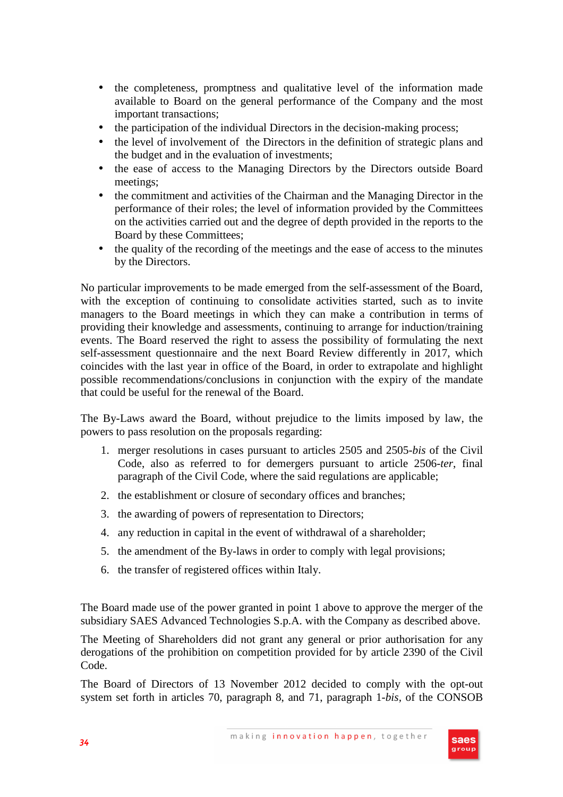- the completeness, promptness and qualitative level of the information made available to Board on the general performance of the Company and the most important transactions;
- the participation of the individual Directors in the decision-making process;
- the level of involvement of the Directors in the definition of strategic plans and the budget and in the evaluation of investments;
- the ease of access to the Managing Directors by the Directors outside Board meetings;
- the commitment and activities of the Chairman and the Managing Director in the performance of their roles; the level of information provided by the Committees on the activities carried out and the degree of depth provided in the reports to the Board by these Committees;
- the quality of the recording of the meetings and the ease of access to the minutes by the Directors.

No particular improvements to be made emerged from the self-assessment of the Board, with the exception of continuing to consolidate activities started, such as to invite managers to the Board meetings in which they can make a contribution in terms of providing their knowledge and assessments, continuing to arrange for induction/training events. The Board reserved the right to assess the possibility of formulating the next self-assessment questionnaire and the next Board Review differently in 2017, which coincides with the last year in office of the Board, in order to extrapolate and highlight possible recommendations/conclusions in conjunction with the expiry of the mandate that could be useful for the renewal of the Board.

The By-Laws award the Board, without prejudice to the limits imposed by law, the powers to pass resolution on the proposals regarding:

- 1. merger resolutions in cases pursuant to articles 2505 and 2505-*bis* of the Civil Code, also as referred to for demergers pursuant to article 2506-*ter*, final paragraph of the Civil Code, where the said regulations are applicable;
- 2. the establishment or closure of secondary offices and branches;
- 3. the awarding of powers of representation to Directors;
- 4. any reduction in capital in the event of withdrawal of a shareholder;
- 5. the amendment of the By-laws in order to comply with legal provisions;
- 6. the transfer of registered offices within Italy.

The Board made use of the power granted in point 1 above to approve the merger of the subsidiary SAES Advanced Technologies S.p.A. with the Company as described above.

The Meeting of Shareholders did not grant any general or prior authorisation for any derogations of the prohibition on competition provided for by article 2390 of the Civil Code.

The Board of Directors of 13 November 2012 decided to comply with the opt-out system set forth in articles 70, paragraph 8, and 71, paragraph 1-*bis,* of the CONSOB

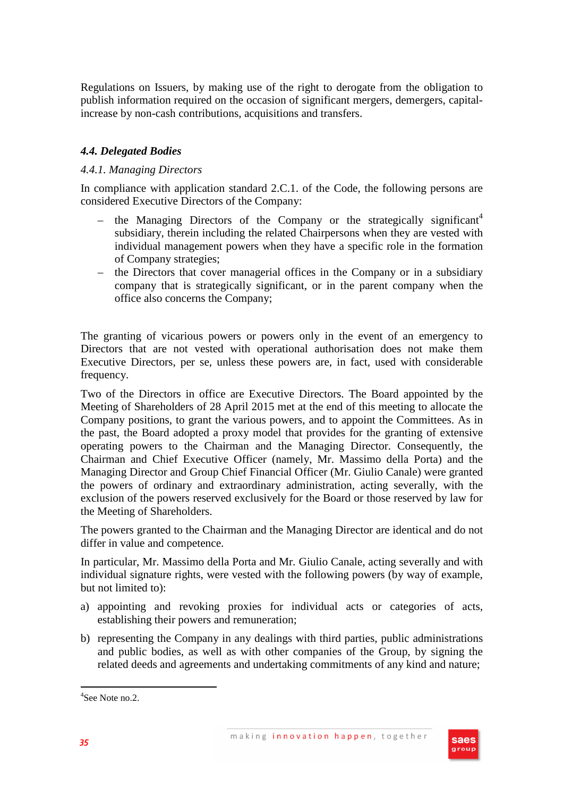Regulations on Issuers, by making use of the right to derogate from the obligation to publish information required on the occasion of significant mergers, demergers, capitalincrease by non-cash contributions, acquisitions and transfers.

# *4.4. Delegated Bodies*

## *4.4.1. Managing Directors*

In compliance with application standard 2.C.1. of the Code, the following persons are considered Executive Directors of the Company:

- the Managing Directors of the Company or the strategically significant<sup>4</sup> subsidiary, therein including the related Chairpersons when they are vested with individual management powers when they have a specific role in the formation of Company strategies;
- the Directors that cover managerial offices in the Company or in a subsidiary company that is strategically significant, or in the parent company when the office also concerns the Company;

The granting of vicarious powers or powers only in the event of an emergency to Directors that are not vested with operational authorisation does not make them Executive Directors, per se, unless these powers are, in fact, used with considerable frequency.

Two of the Directors in office are Executive Directors. The Board appointed by the Meeting of Shareholders of 28 April 2015 met at the end of this meeting to allocate the Company positions, to grant the various powers, and to appoint the Committees. As in the past, the Board adopted a proxy model that provides for the granting of extensive operating powers to the Chairman and the Managing Director. Consequently, the Chairman and Chief Executive Officer (namely, Mr. Massimo della Porta) and the Managing Director and Group Chief Financial Officer (Mr. Giulio Canale) were granted the powers of ordinary and extraordinary administration, acting severally, with the exclusion of the powers reserved exclusively for the Board or those reserved by law for the Meeting of Shareholders.

The powers granted to the Chairman and the Managing Director are identical and do not differ in value and competence.

In particular, Mr. Massimo della Porta and Mr. Giulio Canale, acting severally and with individual signature rights, were vested with the following powers (by way of example, but not limited to):

- a) appointing and revoking proxies for individual acts or categories of acts, establishing their powers and remuneration;
- b) representing the Company in any dealings with third parties, public administrations and public bodies, as well as with other companies of the Group, by signing the related deeds and agreements and undertaking commitments of any kind and nature;



 $\overline{a}$ 

<sup>4</sup> See Note no.2.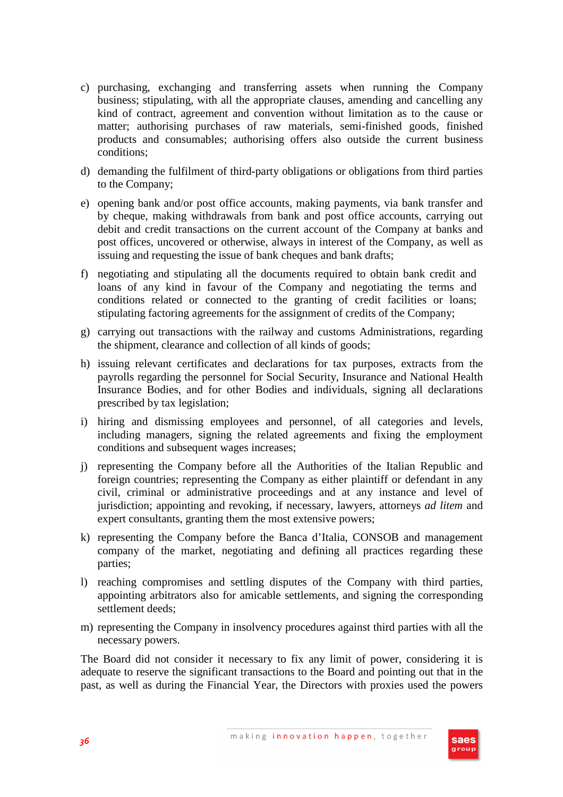- c) purchasing, exchanging and transferring assets when running the Company business; stipulating, with all the appropriate clauses, amending and cancelling any kind of contract, agreement and convention without limitation as to the cause or matter; authorising purchases of raw materials, semi-finished goods, finished products and consumables; authorising offers also outside the current business conditions;
- d) demanding the fulfilment of third-party obligations or obligations from third parties to the Company;
- e) opening bank and/or post office accounts, making payments, via bank transfer and by cheque, making withdrawals from bank and post office accounts, carrying out debit and credit transactions on the current account of the Company at banks and post offices, uncovered or otherwise, always in interest of the Company, as well as issuing and requesting the issue of bank cheques and bank drafts;
- f) negotiating and stipulating all the documents required to obtain bank credit and loans of any kind in favour of the Company and negotiating the terms and conditions related or connected to the granting of credit facilities or loans; stipulating factoring agreements for the assignment of credits of the Company;
- g) carrying out transactions with the railway and customs Administrations, regarding the shipment, clearance and collection of all kinds of goods;
- h) issuing relevant certificates and declarations for tax purposes, extracts from the payrolls regarding the personnel for Social Security, Insurance and National Health Insurance Bodies, and for other Bodies and individuals, signing all declarations prescribed by tax legislation;
- i) hiring and dismissing employees and personnel, of all categories and levels, including managers, signing the related agreements and fixing the employment conditions and subsequent wages increases;
- j) representing the Company before all the Authorities of the Italian Republic and foreign countries; representing the Company as either plaintiff or defendant in any civil, criminal or administrative proceedings and at any instance and level of jurisdiction; appointing and revoking, if necessary, lawyers, attorneys *ad litem* and expert consultants, granting them the most extensive powers;
- k) representing the Company before the Banca d'Italia, CONSOB and management company of the market, negotiating and defining all practices regarding these parties;
- l) reaching compromises and settling disputes of the Company with third parties, appointing arbitrators also for amicable settlements, and signing the corresponding settlement deeds;
- m) representing the Company in insolvency procedures against third parties with all the necessary powers.

The Board did not consider it necessary to fix any limit of power, considering it is adequate to reserve the significant transactions to the Board and pointing out that in the past, as well as during the Financial Year, the Directors with proxies used the powers

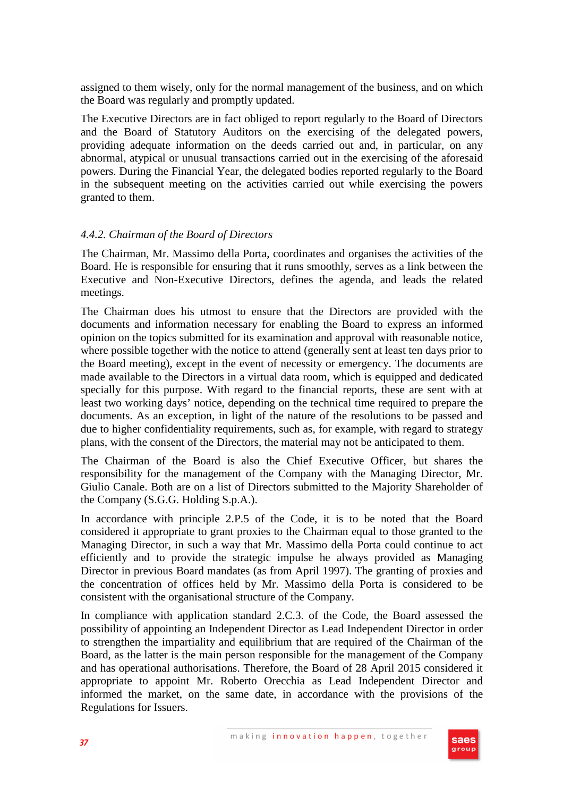assigned to them wisely, only for the normal management of the business, and on which the Board was regularly and promptly updated.

The Executive Directors are in fact obliged to report regularly to the Board of Directors and the Board of Statutory Auditors on the exercising of the delegated powers, providing adequate information on the deeds carried out and, in particular, on any abnormal, atypical or unusual transactions carried out in the exercising of the aforesaid powers. During the Financial Year, the delegated bodies reported regularly to the Board in the subsequent meeting on the activities carried out while exercising the powers granted to them.

## *4.4.2. Chairman of the Board of Directors*

The Chairman, Mr. Massimo della Porta, coordinates and organises the activities of the Board. He is responsible for ensuring that it runs smoothly, serves as a link between the Executive and Non-Executive Directors, defines the agenda, and leads the related meetings.

The Chairman does his utmost to ensure that the Directors are provided with the documents and information necessary for enabling the Board to express an informed opinion on the topics submitted for its examination and approval with reasonable notice, where possible together with the notice to attend (generally sent at least ten days prior to the Board meeting), except in the event of necessity or emergency. The documents are made available to the Directors in a virtual data room, which is equipped and dedicated specially for this purpose. With regard to the financial reports, these are sent with at least two working days' notice, depending on the technical time required to prepare the documents. As an exception, in light of the nature of the resolutions to be passed and due to higher confidentiality requirements, such as, for example, with regard to strategy plans, with the consent of the Directors, the material may not be anticipated to them.

The Chairman of the Board is also the Chief Executive Officer, but shares the responsibility for the management of the Company with the Managing Director, Mr. Giulio Canale. Both are on a list of Directors submitted to the Majority Shareholder of the Company (S.G.G. Holding S.p.A.).

In accordance with principle 2.P.5 of the Code, it is to be noted that the Board considered it appropriate to grant proxies to the Chairman equal to those granted to the Managing Director, in such a way that Mr. Massimo della Porta could continue to act efficiently and to provide the strategic impulse he always provided as Managing Director in previous Board mandates (as from April 1997). The granting of proxies and the concentration of offices held by Mr. Massimo della Porta is considered to be consistent with the organisational structure of the Company.

In compliance with application standard 2.C.3. of the Code, the Board assessed the possibility of appointing an Independent Director as Lead Independent Director in order to strengthen the impartiality and equilibrium that are required of the Chairman of the Board, as the latter is the main person responsible for the management of the Company and has operational authorisations. Therefore, the Board of 28 April 2015 considered it appropriate to appoint Mr. Roberto Orecchia as Lead Independent Director and informed the market, on the same date, in accordance with the provisions of the Regulations for Issuers.

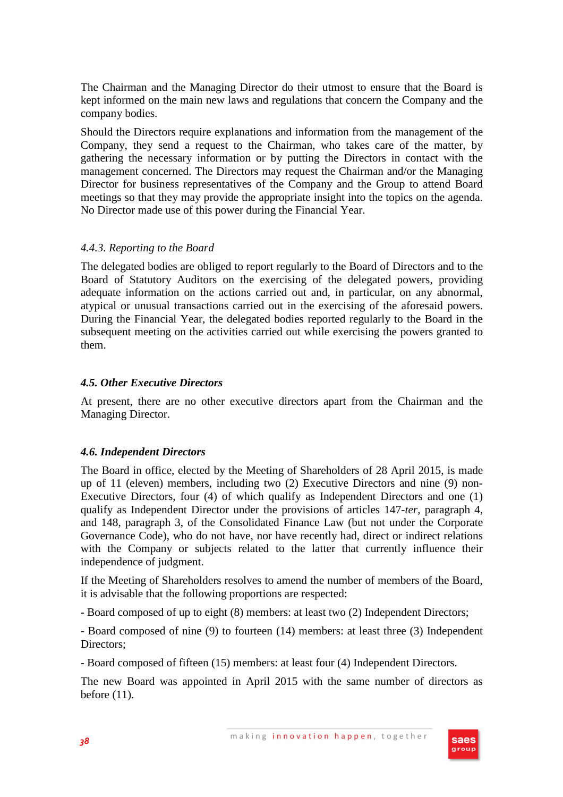The Chairman and the Managing Director do their utmost to ensure that the Board is kept informed on the main new laws and regulations that concern the Company and the company bodies.

Should the Directors require explanations and information from the management of the Company, they send a request to the Chairman, who takes care of the matter, by gathering the necessary information or by putting the Directors in contact with the management concerned. The Directors may request the Chairman and/or the Managing Director for business representatives of the Company and the Group to attend Board meetings so that they may provide the appropriate insight into the topics on the agenda. No Director made use of this power during the Financial Year.

#### *4.4.3. Reporting to the Board*

The delegated bodies are obliged to report regularly to the Board of Directors and to the Board of Statutory Auditors on the exercising of the delegated powers, providing adequate information on the actions carried out and, in particular, on any abnormal, atypical or unusual transactions carried out in the exercising of the aforesaid powers. During the Financial Year, the delegated bodies reported regularly to the Board in the subsequent meeting on the activities carried out while exercising the powers granted to them.

#### *4.5. Other Executive Directors*

At present, there are no other executive directors apart from the Chairman and the Managing Director.

#### *4.6. Independent Directors*

The Board in office, elected by the Meeting of Shareholders of 28 April 2015, is made up of 11 (eleven) members, including two (2) Executive Directors and nine (9) non-Executive Directors, four (4) of which qualify as Independent Directors and one (1) qualify as Independent Director under the provisions of articles 147-*ter*, paragraph 4, and 148, paragraph 3, of the Consolidated Finance Law (but not under the Corporate Governance Code), who do not have, nor have recently had, direct or indirect relations with the Company or subjects related to the latter that currently influence their independence of judgment.

If the Meeting of Shareholders resolves to amend the number of members of the Board, it is advisable that the following proportions are respected:

- Board composed of up to eight (8) members: at least two (2) Independent Directors;

- Board composed of nine (9) to fourteen (14) members: at least three (3) Independent Directors;

- Board composed of fifteen (15) members: at least four (4) Independent Directors.

The new Board was appointed in April 2015 with the same number of directors as before (11).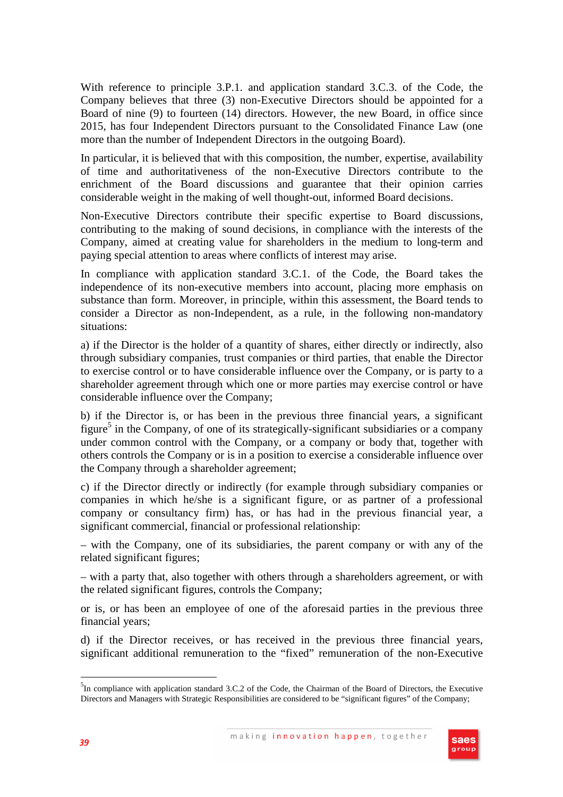With reference to principle 3.P.1. and application standard 3.C.3. of the Code, the Company believes that three (3) non-Executive Directors should be appointed for a Board of nine (9) to fourteen (14) directors. However, the new Board, in office since 2015, has four Independent Directors pursuant to the Consolidated Finance Law (one more than the number of Independent Directors in the outgoing Board).

In particular, it is believed that with this composition, the number, expertise, availability of time and authoritativeness of the non-Executive Directors contribute to the enrichment of the Board discussions and guarantee that their opinion carries considerable weight in the making of well thought-out, informed Board decisions.

Non-Executive Directors contribute their specific expertise to Board discussions, contributing to the making of sound decisions, in compliance with the interests of the Company, aimed at creating value for shareholders in the medium to long-term and paying special attention to areas where conflicts of interest may arise.

In compliance with application standard 3.C.1. of the Code, the Board takes the independence of its non-executive members into account, placing more emphasis on substance than form. Moreover, in principle, within this assessment, the Board tends to consider a Director as non-Independent, as a rule, in the following non-mandatory situations:

a) if the Director is the holder of a quantity of shares, either directly or indirectly, also through subsidiary companies, trust companies or third parties, that enable the Director to exercise control or to have considerable influence over the Company, or is party to a shareholder agreement through which one or more parties may exercise control or have considerable influence over the Company;

b) if the Director is, or has been in the previous three financial years, a significant figure<sup>5</sup> in the Company, of one of its strategically-significant subsidiaries or a company under common control with the Company, or a company or body that, together with others controls the Company or is in a position to exercise a considerable influence over the Company through a shareholder agreement;

c) if the Director directly or indirectly (for example through subsidiary companies or companies in which he/she is a significant figure, or as partner of a professional company or consultancy firm) has, or has had in the previous financial year, a significant commercial, financial or professional relationship:

– with the Company, one of its subsidiaries, the parent company or with any of the related significant figures;

– with a party that, also together with others through a shareholders agreement, or with the related significant figures, controls the Company;

or is, or has been an employee of one of the aforesaid parties in the previous three financial years;

d) if the Director receives, or has received in the previous three financial years, significant additional remuneration to the "fixed" remuneration of the non-Executive



 $\overline{a}$ 

<sup>&</sup>lt;sup>5</sup>In compliance with application standard 3.C.2 of the Code, the Chairman of the Board of Directors, the Executive Directors and Managers with Strategic Responsibilities are considered to be "significant figures" of the Company;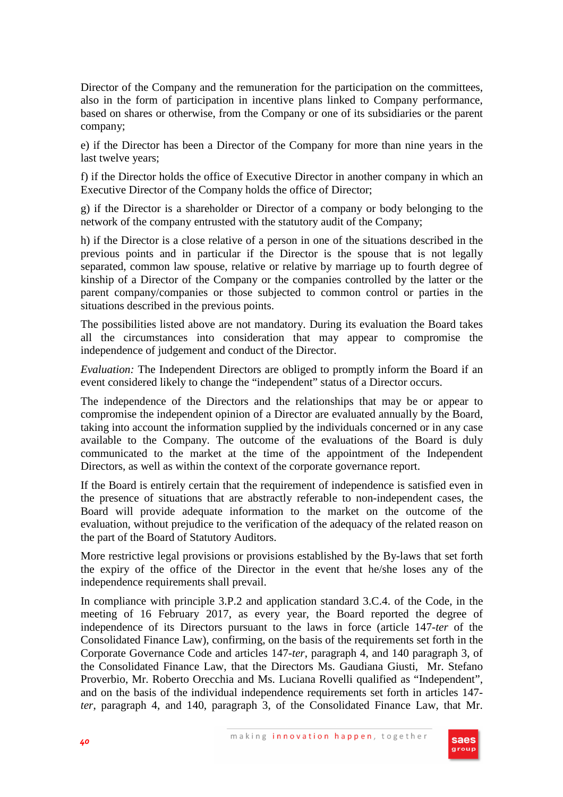Director of the Company and the remuneration for the participation on the committees, also in the form of participation in incentive plans linked to Company performance, based on shares or otherwise, from the Company or one of its subsidiaries or the parent company;

e) if the Director has been a Director of the Company for more than nine years in the last twelve years;

f) if the Director holds the office of Executive Director in another company in which an Executive Director of the Company holds the office of Director;

g) if the Director is a shareholder or Director of a company or body belonging to the network of the company entrusted with the statutory audit of the Company;

h) if the Director is a close relative of a person in one of the situations described in the previous points and in particular if the Director is the spouse that is not legally separated, common law spouse, relative or relative by marriage up to fourth degree of kinship of a Director of the Company or the companies controlled by the latter or the parent company/companies or those subjected to common control or parties in the situations described in the previous points.

The possibilities listed above are not mandatory. During its evaluation the Board takes all the circumstances into consideration that may appear to compromise the independence of judgement and conduct of the Director.

*Evaluation:* The Independent Directors are obliged to promptly inform the Board if an event considered likely to change the "independent" status of a Director occurs.

The independence of the Directors and the relationships that may be or appear to compromise the independent opinion of a Director are evaluated annually by the Board, taking into account the information supplied by the individuals concerned or in any case available to the Company. The outcome of the evaluations of the Board is duly communicated to the market at the time of the appointment of the Independent Directors, as well as within the context of the corporate governance report.

If the Board is entirely certain that the requirement of independence is satisfied even in the presence of situations that are abstractly referable to non-independent cases, the Board will provide adequate information to the market on the outcome of the evaluation, without prejudice to the verification of the adequacy of the related reason on the part of the Board of Statutory Auditors.

More restrictive legal provisions or provisions established by the By-laws that set forth the expiry of the office of the Director in the event that he/she loses any of the independence requirements shall prevail.

In compliance with principle 3.P.2 and application standard 3.C.4. of the Code, in the meeting of 16 February 2017, as every year, the Board reported the degree of independence of its Directors pursuant to the laws in force (article 147-*ter* of the Consolidated Finance Law), confirming, on the basis of the requirements set forth in the Corporate Governance Code and articles 147-*ter*, paragraph 4, and 140 paragraph 3, of the Consolidated Finance Law, that the Directors Ms. Gaudiana Giusti, Mr. Stefano Proverbio, Mr. Roberto Orecchia and Ms. Luciana Rovelli qualified as "Independent", and on the basis of the individual independence requirements set forth in articles 147 *ter*, paragraph 4, and 140, paragraph 3, of the Consolidated Finance Law, that Mr.

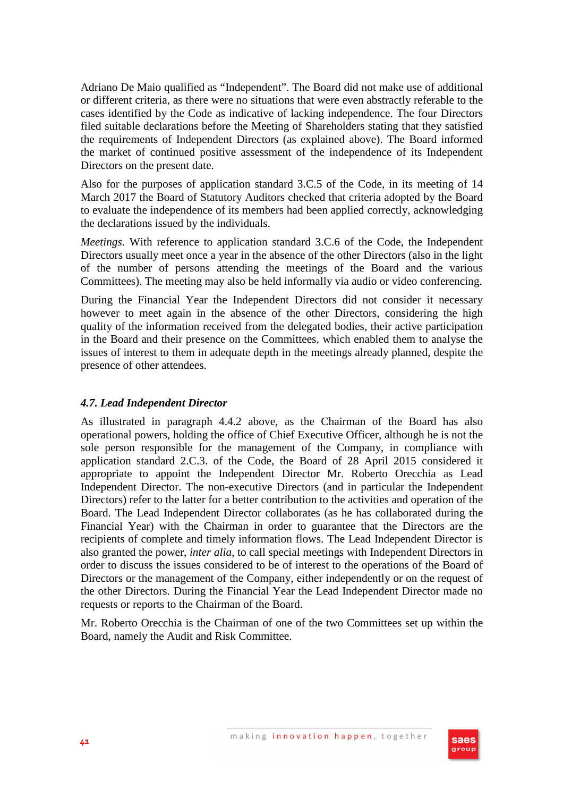Adriano De Maio qualified as "Independent". The Board did not make use of additional or different criteria, as there were no situations that were even abstractly referable to the cases identified by the Code as indicative of lacking independence. The four Directors filed suitable declarations before the Meeting of Shareholders stating that they satisfied the requirements of Independent Directors (as explained above). The Board informed the market of continued positive assessment of the independence of its Independent Directors on the present date.

Also for the purposes of application standard 3.C.5 of the Code, in its meeting of 14 March 2017 the Board of Statutory Auditors checked that criteria adopted by the Board to evaluate the independence of its members had been applied correctly, acknowledging the declarations issued by the individuals.

*Meetings.* With reference to application standard 3.C.6 of the Code, the Independent Directors usually meet once a year in the absence of the other Directors (also in the light of the number of persons attending the meetings of the Board and the various Committees). The meeting may also be held informally via audio or video conferencing.

During the Financial Year the Independent Directors did not consider it necessary however to meet again in the absence of the other Directors, considering the high quality of the information received from the delegated bodies, their active participation in the Board and their presence on the Committees, which enabled them to analyse the issues of interest to them in adequate depth in the meetings already planned, despite the presence of other attendees.

## *4.7. Lead Independent Director*

As illustrated in paragraph 4.4.2 above, as the Chairman of the Board has also operational powers, holding the office of Chief Executive Officer, although he is not the sole person responsible for the management of the Company, in compliance with application standard 2.C.3. of the Code, the Board of 28 April 2015 considered it appropriate to appoint the Independent Director Mr. Roberto Orecchia as Lead Independent Director. The non-executive Directors (and in particular the Independent Directors) refer to the latter for a better contribution to the activities and operation of the Board. The Lead Independent Director collaborates (as he has collaborated during the Financial Year) with the Chairman in order to guarantee that the Directors are the recipients of complete and timely information flows. The Lead Independent Director is also granted the power, *inter alia*, to call special meetings with Independent Directors in order to discuss the issues considered to be of interest to the operations of the Board of Directors or the management of the Company, either independently or on the request of the other Directors. During the Financial Year the Lead Independent Director made no requests or reports to the Chairman of the Board.

Mr. Roberto Orecchia is the Chairman of one of the two Committees set up within the Board, namely the Audit and Risk Committee.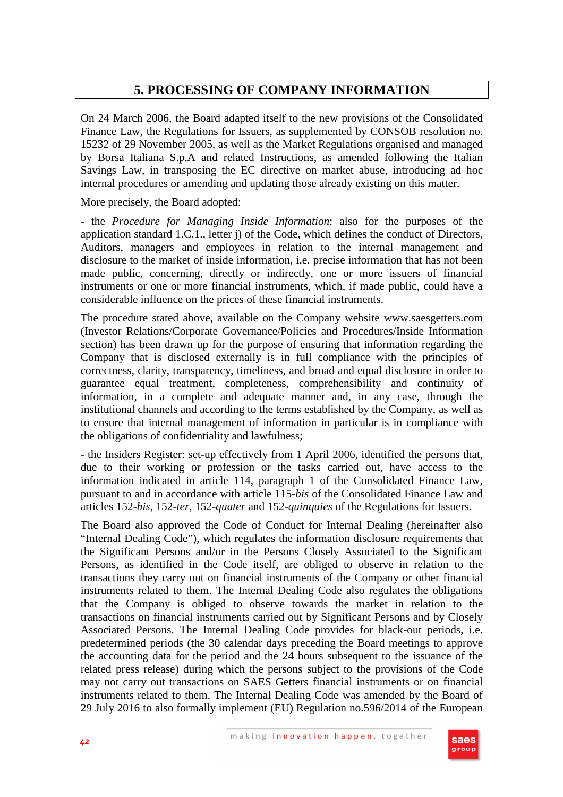## **5. PROCESSING OF COMPANY INFORMATION**

On 24 March 2006, the Board adapted itself to the new provisions of the Consolidated Finance Law, the Regulations for Issuers, as supplemented by CONSOB resolution no. 15232 of 29 November 2005, as well as the Market Regulations organised and managed by Borsa Italiana S.p.A and related Instructions, as amended following the Italian Savings Law, in transposing the EC directive on market abuse, introducing ad hoc internal procedures or amending and updating those already existing on this matter.

More precisely, the Board adopted:

- the *Procedure for Managing Inside Information*: also for the purposes of the application standard 1.C.1., letter j) of the Code, which defines the conduct of Directors, Auditors, managers and employees in relation to the internal management and disclosure to the market of inside information, i.e. precise information that has not been made public, concerning, directly or indirectly, one or more issuers of financial instruments or one or more financial instruments, which, if made public, could have a considerable influence on the prices of these financial instruments.

The procedure stated above, available on the Company website www.saesgetters.com (Investor Relations/Corporate Governance/Policies and Procedures/Inside Information section) has been drawn up for the purpose of ensuring that information regarding the Company that is disclosed externally is in full compliance with the principles of correctness, clarity, transparency, timeliness, and broad and equal disclosure in order to guarantee equal treatment, completeness, comprehensibility and continuity of information, in a complete and adequate manner and, in any case, through the institutional channels and according to the terms established by the Company, as well as to ensure that internal management of information in particular is in compliance with the obligations of confidentiality and lawfulness;

- the Insiders Register: set-up effectively from 1 April 2006, identified the persons that, due to their working or profession or the tasks carried out, have access to the information indicated in article 114, paragraph 1 of the Consolidated Finance Law, pursuant to and in accordance with article 115-*bis* of the Consolidated Finance Law and articles 152-*bis*, 152-*ter*, 152-*quater* and 152-*quinquies* of the Regulations for Issuers.

The Board also approved the Code of Conduct for Internal Dealing (hereinafter also "Internal Dealing Code"), which regulates the information disclosure requirements that the Significant Persons and/or in the Persons Closely Associated to the Significant Persons, as identified in the Code itself, are obliged to observe in relation to the transactions they carry out on financial instruments of the Company or other financial instruments related to them. The Internal Dealing Code also regulates the obligations that the Company is obliged to observe towards the market in relation to the transactions on financial instruments carried out by Significant Persons and by Closely Associated Persons. The Internal Dealing Code provides for black-out periods, i.e. predetermined periods (the 30 calendar days preceding the Board meetings to approve the accounting data for the period and the 24 hours subsequent to the issuance of the related press release) during which the persons subject to the provisions of the Code may not carry out transactions on SAES Getters financial instruments or on financial instruments related to them. The Internal Dealing Code was amended by the Board of 29 July 2016 to also formally implement (EU) Regulation no.596/2014 of the European

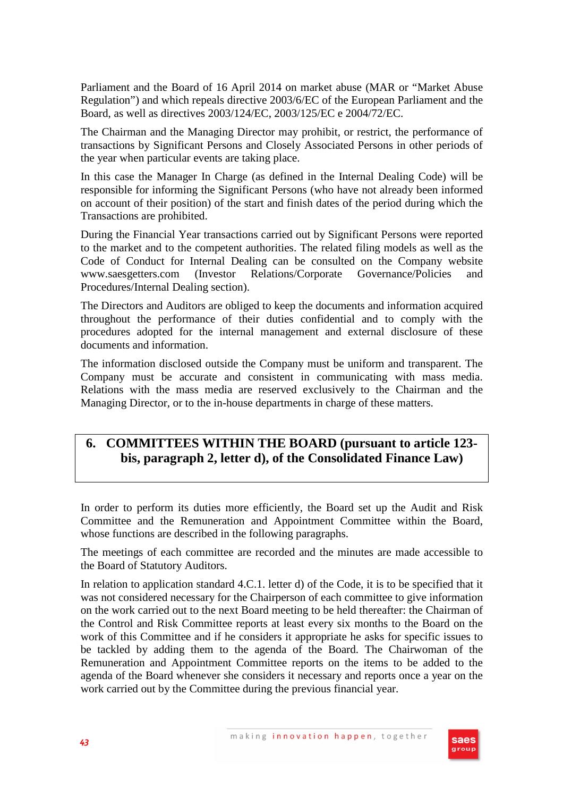Parliament and the Board of 16 April 2014 on market abuse (MAR or "Market Abuse Regulation") and which repeals directive 2003/6/EC of the European Parliament and the Board, as well as directives 2003/124/EC, 2003/125/EC e 2004/72/EC.

The Chairman and the Managing Director may prohibit, or restrict, the performance of transactions by Significant Persons and Closely Associated Persons in other periods of the year when particular events are taking place.

In this case the Manager In Charge (as defined in the Internal Dealing Code) will be responsible for informing the Significant Persons (who have not already been informed on account of their position) of the start and finish dates of the period during which the Transactions are prohibited.

During the Financial Year transactions carried out by Significant Persons were reported to the market and to the competent authorities. The related filing models as well as the Code of Conduct for Internal Dealing can be consulted on the Company website www.saesgetters.com (Investor Relations/Corporate Governance/Policies and Procedures/Internal Dealing section).

The Directors and Auditors are obliged to keep the documents and information acquired throughout the performance of their duties confidential and to comply with the procedures adopted for the internal management and external disclosure of these documents and information.

The information disclosed outside the Company must be uniform and transparent. The Company must be accurate and consistent in communicating with mass media. Relations with the mass media are reserved exclusively to the Chairman and the Managing Director, or to the in-house departments in charge of these matters.

# **6. COMMITTEES WITHIN THE BOARD (pursuant to article 123 bis, paragraph 2, letter d), of the Consolidated Finance Law)**

In order to perform its duties more efficiently, the Board set up the Audit and Risk Committee and the Remuneration and Appointment Committee within the Board, whose functions are described in the following paragraphs.

The meetings of each committee are recorded and the minutes are made accessible to the Board of Statutory Auditors.

In relation to application standard 4.C.1. letter d) of the Code, it is to be specified that it was not considered necessary for the Chairperson of each committee to give information on the work carried out to the next Board meeting to be held thereafter: the Chairman of the Control and Risk Committee reports at least every six months to the Board on the work of this Committee and if he considers it appropriate he asks for specific issues to be tackled by adding them to the agenda of the Board. The Chairwoman of the Remuneration and Appointment Committee reports on the items to be added to the agenda of the Board whenever she considers it necessary and reports once a year on the work carried out by the Committee during the previous financial year.

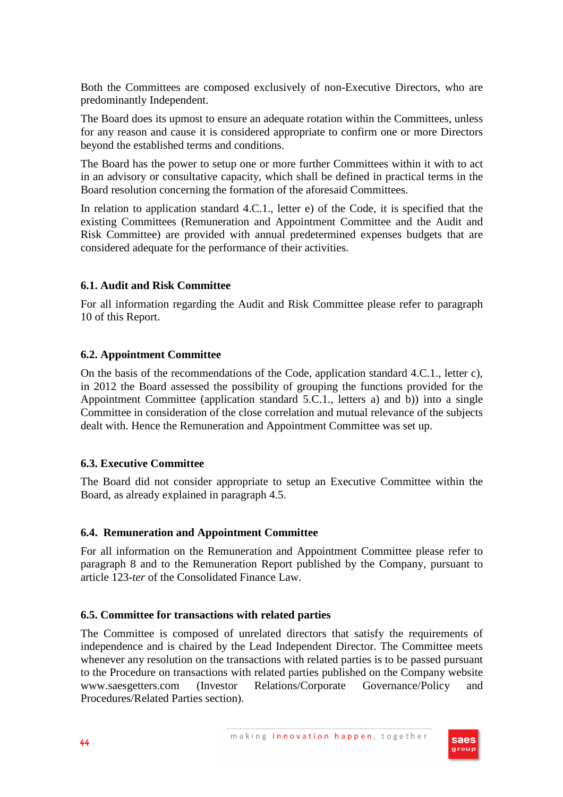Both the Committees are composed exclusively of non-Executive Directors, who are predominantly Independent.

The Board does its upmost to ensure an adequate rotation within the Committees, unless for any reason and cause it is considered appropriate to confirm one or more Directors beyond the established terms and conditions.

The Board has the power to setup one or more further Committees within it with to act in an advisory or consultative capacity, which shall be defined in practical terms in the Board resolution concerning the formation of the aforesaid Committees.

In relation to application standard 4.C.1., letter e) of the Code, it is specified that the existing Committees (Remuneration and Appointment Committee and the Audit and Risk Committee) are provided with annual predetermined expenses budgets that are considered adequate for the performance of their activities.

## **6.1. Audit and Risk Committee**

For all information regarding the Audit and Risk Committee please refer to paragraph 10 of this Report.

## **6.2. Appointment Committee**

On the basis of the recommendations of the Code, application standard 4.C.1., letter c), in 2012 the Board assessed the possibility of grouping the functions provided for the Appointment Committee (application standard 5.C.1., letters a) and b)) into a single Committee in consideration of the close correlation and mutual relevance of the subjects dealt with. Hence the Remuneration and Appointment Committee was set up.

## **6.3. Executive Committee**

The Board did not consider appropriate to setup an Executive Committee within the Board, as already explained in paragraph 4.5.

## **6.4. Remuneration and Appointment Committee**

For all information on the Remuneration and Appointment Committee please refer to paragraph 8 and to the Remuneration Report published by the Company, pursuant to article 123-*ter* of the Consolidated Finance Law.

## **6.5. Committee for transactions with related parties**

The Committee is composed of unrelated directors that satisfy the requirements of independence and is chaired by the Lead Independent Director. The Committee meets whenever any resolution on the transactions with related parties is to be passed pursuant to the Procedure on transactions with related parties published on the Company website www.saesgetters.com (Investor Relations/Corporate Governance/Policy and Procedures/Related Parties section).

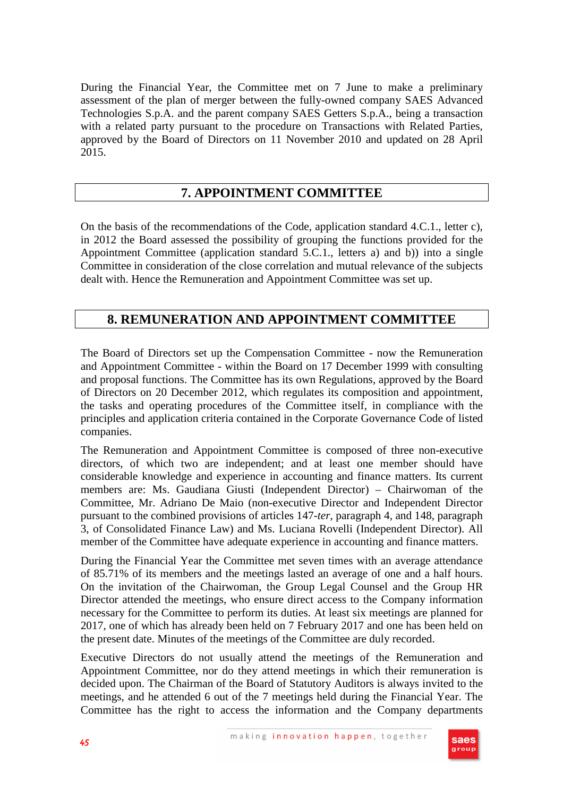During the Financial Year, the Committee met on 7 June to make a preliminary assessment of the plan of merger between the fully-owned company SAES Advanced Technologies S.p.A. and the parent company SAES Getters S.p.A., being a transaction with a related party pursuant to the procedure on Transactions with Related Parties, approved by the Board of Directors on 11 November 2010 and updated on 28 April 2015.

## **7. APPOINTMENT COMMITTEE**

On the basis of the recommendations of the Code, application standard 4.C.1., letter c), in 2012 the Board assessed the possibility of grouping the functions provided for the Appointment Committee (application standard 5.C.1., letters a) and b)) into a single Committee in consideration of the close correlation and mutual relevance of the subjects dealt with. Hence the Remuneration and Appointment Committee was set up.

## **8. REMUNERATION AND APPOINTMENT COMMITTEE**

The Board of Directors set up the Compensation Committee - now the Remuneration and Appointment Committee - within the Board on 17 December 1999 with consulting and proposal functions. The Committee has its own Regulations, approved by the Board of Directors on 20 December 2012, which regulates its composition and appointment, the tasks and operating procedures of the Committee itself, in compliance with the principles and application criteria contained in the Corporate Governance Code of listed companies.

The Remuneration and Appointment Committee is composed of three non-executive directors, of which two are independent; and at least one member should have considerable knowledge and experience in accounting and finance matters. Its current members are: Ms. Gaudiana Giusti (Independent Director) – Chairwoman of the Committee, Mr. Adriano De Maio (non-executive Director and Independent Director pursuant to the combined provisions of articles 147-*ter*, paragraph 4, and 148, paragraph 3, of Consolidated Finance Law) and Ms. Luciana Rovelli (Independent Director). All member of the Committee have adequate experience in accounting and finance matters.

During the Financial Year the Committee met seven times with an average attendance of 85.71% of its members and the meetings lasted an average of one and a half hours. On the invitation of the Chairwoman, the Group Legal Counsel and the Group HR Director attended the meetings, who ensure direct access to the Company information necessary for the Committee to perform its duties. At least six meetings are planned for 2017, one of which has already been held on 7 February 2017 and one has been held on the present date. Minutes of the meetings of the Committee are duly recorded.

Executive Directors do not usually attend the meetings of the Remuneration and Appointment Committee, nor do they attend meetings in which their remuneration is decided upon. The Chairman of the Board of Statutory Auditors is always invited to the meetings, and he attended 6 out of the 7 meetings held during the Financial Year. The Committee has the right to access the information and the Company departments

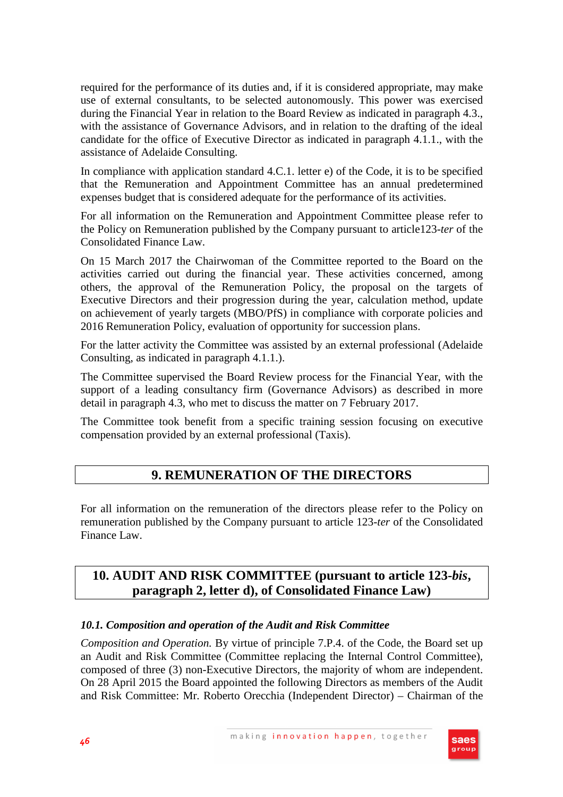required for the performance of its duties and, if it is considered appropriate, may make use of external consultants, to be selected autonomously. This power was exercised during the Financial Year in relation to the Board Review as indicated in paragraph 4.3., with the assistance of Governance Advisors, and in relation to the drafting of the ideal candidate for the office of Executive Director as indicated in paragraph 4.1.1., with the assistance of Adelaide Consulting.

In compliance with application standard 4.C.1. letter e) of the Code, it is to be specified that the Remuneration and Appointment Committee has an annual predetermined expenses budget that is considered adequate for the performance of its activities.

For all information on the Remuneration and Appointment Committee please refer to the Policy on Remuneration published by the Company pursuant to article123-*ter* of the Consolidated Finance Law.

On 15 March 2017 the Chairwoman of the Committee reported to the Board on the activities carried out during the financial year. These activities concerned, among others, the approval of the Remuneration Policy, the proposal on the targets of Executive Directors and their progression during the year, calculation method, update on achievement of yearly targets (MBO/PfS) in compliance with corporate policies and 2016 Remuneration Policy, evaluation of opportunity for succession plans.

For the latter activity the Committee was assisted by an external professional (Adelaide Consulting, as indicated in paragraph 4.1.1.).

The Committee supervised the Board Review process for the Financial Year, with the support of a leading consultancy firm (Governance Advisors) as described in more detail in paragraph 4.3, who met to discuss the matter on 7 February 2017.

The Committee took benefit from a specific training session focusing on executive compensation provided by an external professional (Taxis).

# **9. REMUNERATION OF THE DIRECTORS**

For all information on the remuneration of the directors please refer to the Policy on remuneration published by the Company pursuant to article 123-*ter* of the Consolidated Finance Law.

# **10. AUDIT AND RISK COMMITTEE (pursuant to article 123-***bis***, paragraph 2, letter d), of Consolidated Finance Law)**

## *10.1. Composition and operation of the Audit and Risk Committee*

*Composition and Operation.* By virtue of principle 7.P.4. of the Code, the Board set up an Audit and Risk Committee (Committee replacing the Internal Control Committee), composed of three (3) non-Executive Directors, the majority of whom are independent. On 28 April 2015 the Board appointed the following Directors as members of the Audit and Risk Committee: Mr. Roberto Orecchia (Independent Director) – Chairman of the

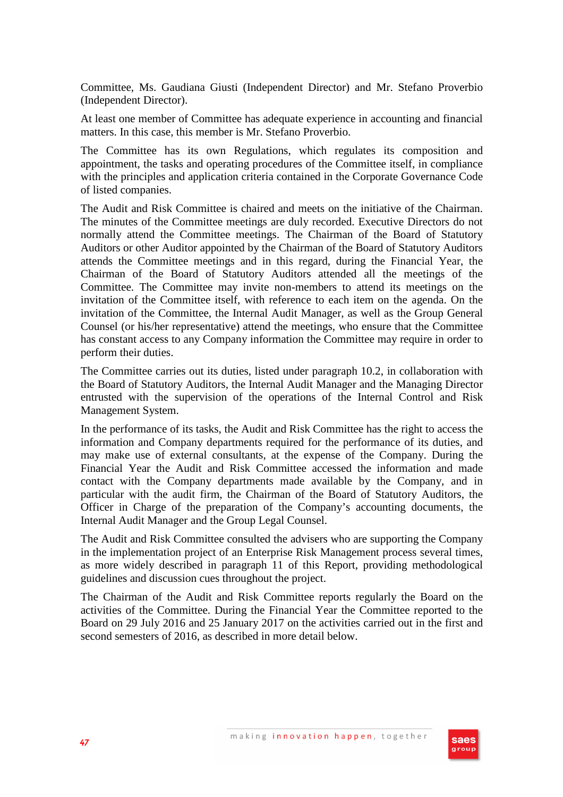Committee, Ms. Gaudiana Giusti (Independent Director) and Mr. Stefano Proverbio (Independent Director).

At least one member of Committee has adequate experience in accounting and financial matters. In this case, this member is Mr. Stefano Proverbio.

The Committee has its own Regulations, which regulates its composition and appointment, the tasks and operating procedures of the Committee itself, in compliance with the principles and application criteria contained in the Corporate Governance Code of listed companies.

The Audit and Risk Committee is chaired and meets on the initiative of the Chairman. The minutes of the Committee meetings are duly recorded. Executive Directors do not normally attend the Committee meetings. The Chairman of the Board of Statutory Auditors or other Auditor appointed by the Chairman of the Board of Statutory Auditors attends the Committee meetings and in this regard, during the Financial Year, the Chairman of the Board of Statutory Auditors attended all the meetings of the Committee. The Committee may invite non-members to attend its meetings on the invitation of the Committee itself, with reference to each item on the agenda. On the invitation of the Committee, the Internal Audit Manager, as well as the Group General Counsel (or his/her representative) attend the meetings, who ensure that the Committee has constant access to any Company information the Committee may require in order to perform their duties.

The Committee carries out its duties, listed under paragraph 10.2, in collaboration with the Board of Statutory Auditors, the Internal Audit Manager and the Managing Director entrusted with the supervision of the operations of the Internal Control and Risk Management System.

In the performance of its tasks, the Audit and Risk Committee has the right to access the information and Company departments required for the performance of its duties, and may make use of external consultants, at the expense of the Company. During the Financial Year the Audit and Risk Committee accessed the information and made contact with the Company departments made available by the Company, and in particular with the audit firm, the Chairman of the Board of Statutory Auditors, the Officer in Charge of the preparation of the Company's accounting documents, the Internal Audit Manager and the Group Legal Counsel.

The Audit and Risk Committee consulted the advisers who are supporting the Company in the implementation project of an Enterprise Risk Management process several times, as more widely described in paragraph 11 of this Report, providing methodological guidelines and discussion cues throughout the project.

The Chairman of the Audit and Risk Committee reports regularly the Board on the activities of the Committee. During the Financial Year the Committee reported to the Board on 29 July 2016 and 25 January 2017 on the activities carried out in the first and second semesters of 2016, as described in more detail below.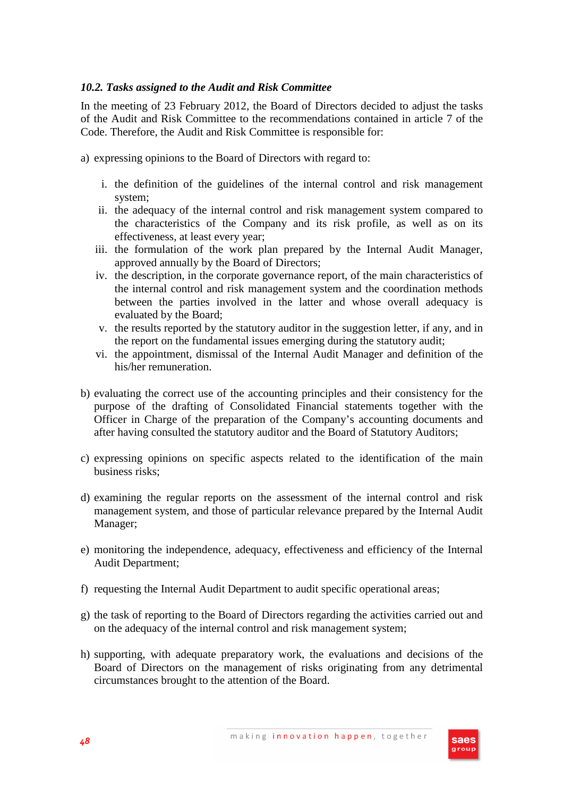## *10.2. Tasks assigned to the Audit and Risk Committee*

In the meeting of 23 February 2012, the Board of Directors decided to adjust the tasks of the Audit and Risk Committee to the recommendations contained in article 7 of the Code. Therefore, the Audit and Risk Committee is responsible for:

a) expressing opinions to the Board of Directors with regard to:

- i. the definition of the guidelines of the internal control and risk management system;
- ii. the adequacy of the internal control and risk management system compared to the characteristics of the Company and its risk profile, as well as on its effectiveness, at least every year;
- iii. the formulation of the work plan prepared by the Internal Audit Manager, approved annually by the Board of Directors;
- iv. the description, in the corporate governance report, of the main characteristics of the internal control and risk management system and the coordination methods between the parties involved in the latter and whose overall adequacy is evaluated by the Board;
- v. the results reported by the statutory auditor in the suggestion letter, if any, and in the report on the fundamental issues emerging during the statutory audit;
- vi. the appointment, dismissal of the Internal Audit Manager and definition of the his/her remuneration.
- b) evaluating the correct use of the accounting principles and their consistency for the purpose of the drafting of Consolidated Financial statements together with the Officer in Charge of the preparation of the Company's accounting documents and after having consulted the statutory auditor and the Board of Statutory Auditors;
- c) expressing opinions on specific aspects related to the identification of the main business risks;
- d) examining the regular reports on the assessment of the internal control and risk management system, and those of particular relevance prepared by the Internal Audit Manager;
- e) monitoring the independence, adequacy, effectiveness and efficiency of the Internal Audit Department;
- f) requesting the Internal Audit Department to audit specific operational areas;
- g) the task of reporting to the Board of Directors regarding the activities carried out and on the adequacy of the internal control and risk management system;
- h) supporting, with adequate preparatory work, the evaluations and decisions of the Board of Directors on the management of risks originating from any detrimental circumstances brought to the attention of the Board.

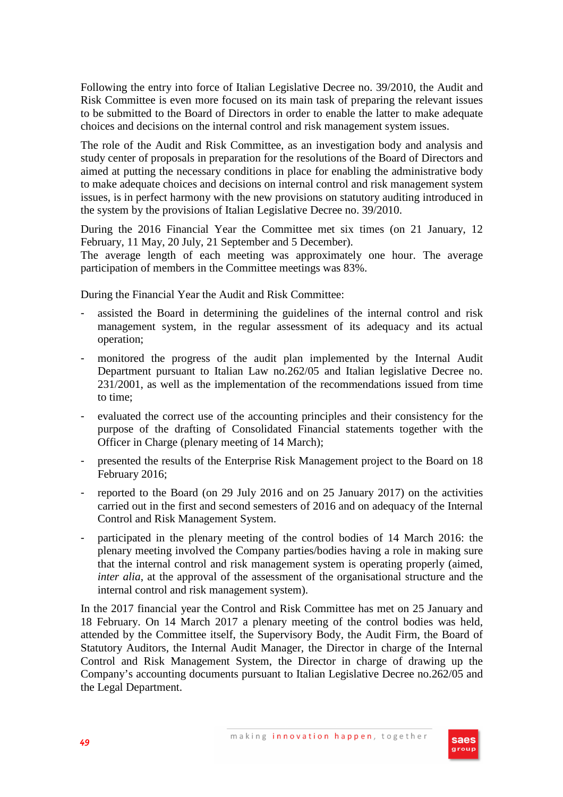Following the entry into force of Italian Legislative Decree no. 39/2010, the Audit and Risk Committee is even more focused on its main task of preparing the relevant issues to be submitted to the Board of Directors in order to enable the latter to make adequate choices and decisions on the internal control and risk management system issues.

The role of the Audit and Risk Committee, as an investigation body and analysis and study center of proposals in preparation for the resolutions of the Board of Directors and aimed at putting the necessary conditions in place for enabling the administrative body to make adequate choices and decisions on internal control and risk management system issues, is in perfect harmony with the new provisions on statutory auditing introduced in the system by the provisions of Italian Legislative Decree no. 39/2010.

During the 2016 Financial Year the Committee met six times (on 21 January, 12 February, 11 May, 20 July, 21 September and 5 December).

The average length of each meeting was approximately one hour. The average participation of members in the Committee meetings was 83%.

During the Financial Year the Audit and Risk Committee:

- assisted the Board in determining the guidelines of the internal control and risk management system, in the regular assessment of its adequacy and its actual operation;
- monitored the progress of the audit plan implemented by the Internal Audit Department pursuant to Italian Law no.262/05 and Italian legislative Decree no. 231/2001, as well as the implementation of the recommendations issued from time to time;
- evaluated the correct use of the accounting principles and their consistency for the purpose of the drafting of Consolidated Financial statements together with the Officer in Charge (plenary meeting of 14 March);
- presented the results of the Enterprise Risk Management project to the Board on 18 February 2016;
- reported to the Board (on 29 July 2016 and on 25 January 2017) on the activities carried out in the first and second semesters of 2016 and on adequacy of the Internal Control and Risk Management System.
- participated in the plenary meeting of the control bodies of 14 March 2016: the plenary meeting involved the Company parties/bodies having a role in making sure that the internal control and risk management system is operating properly (aimed, *inter alia*, at the approval of the assessment of the organisational structure and the internal control and risk management system).

In the 2017 financial year the Control and Risk Committee has met on 25 January and 18 February. On 14 March 2017 a plenary meeting of the control bodies was held, attended by the Committee itself, the Supervisory Body, the Audit Firm, the Board of Statutory Auditors, the Internal Audit Manager, the Director in charge of the Internal Control and Risk Management System, the Director in charge of drawing up the Company's accounting documents pursuant to Italian Legislative Decree no.262/05 and the Legal Department.

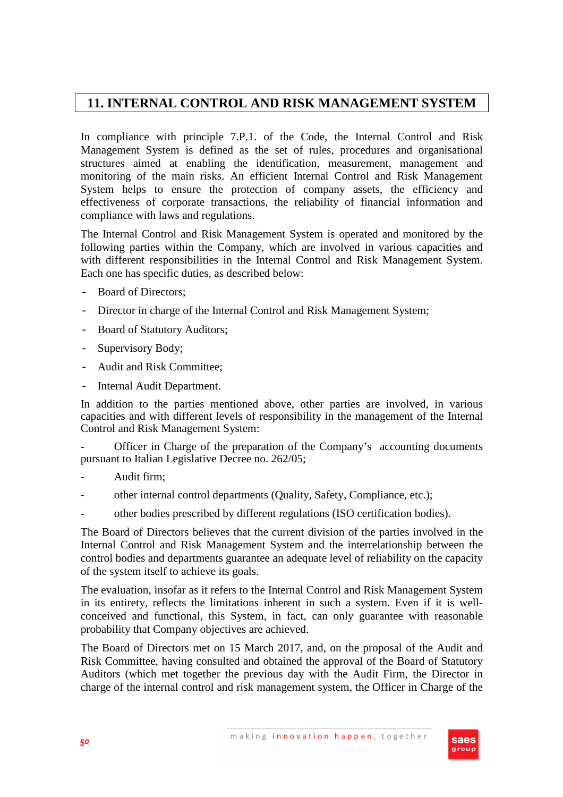## **11. INTERNAL CONTROL AND RISK MANAGEMENT SYSTEM**

In compliance with principle 7.P.1. of the Code, the Internal Control and Risk Management System is defined as the set of rules, procedures and organisational structures aimed at enabling the identification, measurement, management and monitoring of the main risks. An efficient Internal Control and Risk Management System helps to ensure the protection of company assets, the efficiency and effectiveness of corporate transactions, the reliability of financial information and compliance with laws and regulations.

The Internal Control and Risk Management System is operated and monitored by the following parties within the Company, which are involved in various capacities and with different responsibilities in the Internal Control and Risk Management System. Each one has specific duties, as described below:

- Board of Directors:
- Director in charge of the Internal Control and Risk Management System;
- Board of Statutory Auditors;
- Supervisory Body;
- Audit and Risk Committee;
- Internal Audit Department.

In addition to the parties mentioned above, other parties are involved, in various capacities and with different levels of responsibility in the management of the Internal Control and Risk Management System:

Officer in Charge of the preparation of the Company's accounting documents pursuant to Italian Legislative Decree no. 262/05;

- Audit firm:
- other internal control departments (Quality, Safety, Compliance, etc.);
- other bodies prescribed by different regulations (ISO certification bodies).

The Board of Directors believes that the current division of the parties involved in the Internal Control and Risk Management System and the interrelationship between the control bodies and departments guarantee an adequate level of reliability on the capacity of the system itself to achieve its goals.

The evaluation, insofar as it refers to the Internal Control and Risk Management System in its entirety, reflects the limitations inherent in such a system. Even if it is wellconceived and functional, this System, in fact, can only guarantee with reasonable probability that Company objectives are achieved.

The Board of Directors met on 15 March 2017, and, on the proposal of the Audit and Risk Committee, having consulted and obtained the approval of the Board of Statutory Auditors (which met together the previous day with the Audit Firm, the Director in charge of the internal control and risk management system, the Officer in Charge of the

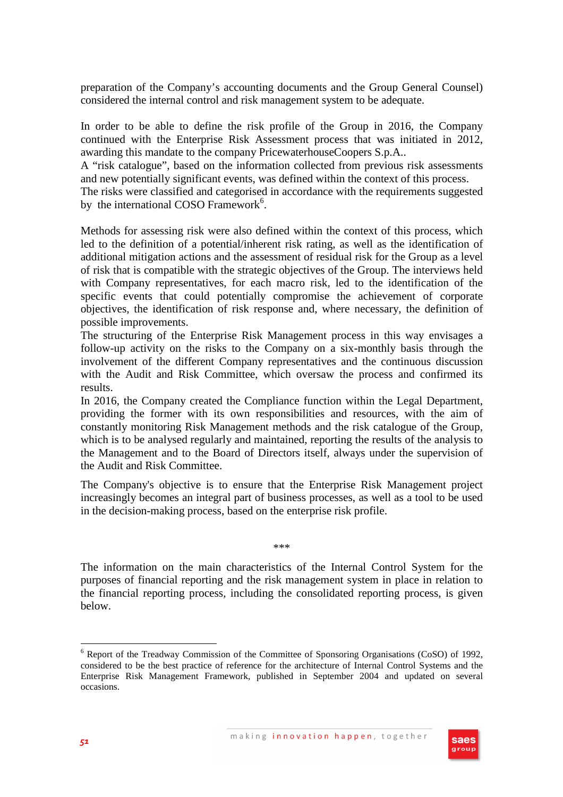preparation of the Company's accounting documents and the Group General Counsel) considered the internal control and risk management system to be adequate.

In order to be able to define the risk profile of the Group in 2016, the Company continued with the Enterprise Risk Assessment process that was initiated in 2012, awarding this mandate to the company PricewaterhouseCoopers S.p.A..

A "risk catalogue", based on the information collected from previous risk assessments and new potentially significant events, was defined within the context of this process.

The risks were classified and categorised in accordance with the requirements suggested by the international COSO Framework<sup>6</sup>.

Methods for assessing risk were also defined within the context of this process, which led to the definition of a potential/inherent risk rating, as well as the identification of additional mitigation actions and the assessment of residual risk for the Group as a level of risk that is compatible with the strategic objectives of the Group. The interviews held with Company representatives, for each macro risk, led to the identification of the specific events that could potentially compromise the achievement of corporate objectives, the identification of risk response and, where necessary, the definition of possible improvements.

The structuring of the Enterprise Risk Management process in this way envisages a follow-up activity on the risks to the Company on a six-monthly basis through the involvement of the different Company representatives and the continuous discussion with the Audit and Risk Committee, which oversaw the process and confirmed its results.

In 2016, the Company created the Compliance function within the Legal Department, providing the former with its own responsibilities and resources, with the aim of constantly monitoring Risk Management methods and the risk catalogue of the Group, which is to be analysed regularly and maintained, reporting the results of the analysis to the Management and to the Board of Directors itself, always under the supervision of the Audit and Risk Committee.

The Company's objective is to ensure that the Enterprise Risk Management project increasingly becomes an integral part of business processes, as well as a tool to be used in the decision-making process, based on the enterprise risk profile.

\*\*\*

The information on the main characteristics of the Internal Control System for the purposes of financial reporting and the risk management system in place in relation to the financial reporting process, including the consolidated reporting process, is given below.

<sup>&</sup>lt;sup>6</sup> Report of the Treadway Commission of the Committee of Sponsoring Organisations (CoSO) of 1992, considered to be the best practice of reference for the architecture of Internal Control Systems and the Enterprise Risk Management Framework, published in September 2004 and updated on several occasions.



 $\overline{a}$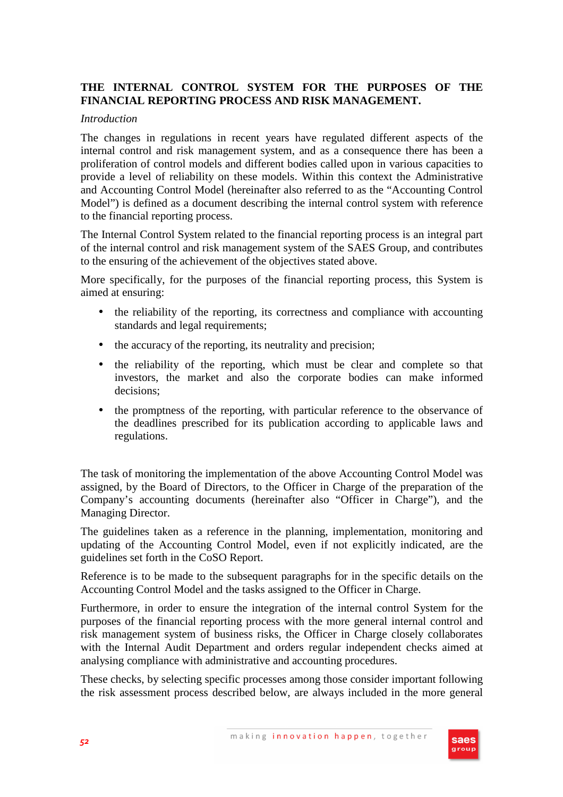## **THE INTERNAL CONTROL SYSTEM FOR THE PURPOSES OF THE FINANCIAL REPORTING PROCESS AND RISK MANAGEMENT.**

#### *Introduction*

The changes in regulations in recent years have regulated different aspects of the internal control and risk management system, and as a consequence there has been a proliferation of control models and different bodies called upon in various capacities to provide a level of reliability on these models. Within this context the Administrative and Accounting Control Model (hereinafter also referred to as the "Accounting Control Model") is defined as a document describing the internal control system with reference to the financial reporting process.

The Internal Control System related to the financial reporting process is an integral part of the internal control and risk management system of the SAES Group, and contributes to the ensuring of the achievement of the objectives stated above.

More specifically, for the purposes of the financial reporting process, this System is aimed at ensuring:

- the reliability of the reporting, its correctness and compliance with accounting standards and legal requirements;
- the accuracy of the reporting, its neutrality and precision;
- the reliability of the reporting, which must be clear and complete so that investors, the market and also the corporate bodies can make informed decisions;
- the promptness of the reporting, with particular reference to the observance of the deadlines prescribed for its publication according to applicable laws and regulations.

The task of monitoring the implementation of the above Accounting Control Model was assigned, by the Board of Directors, to the Officer in Charge of the preparation of the Company's accounting documents (hereinafter also "Officer in Charge"), and the Managing Director.

The guidelines taken as a reference in the planning, implementation, monitoring and updating of the Accounting Control Model, even if not explicitly indicated, are the guidelines set forth in the CoSO Report.

Reference is to be made to the subsequent paragraphs for in the specific details on the Accounting Control Model and the tasks assigned to the Officer in Charge.

Furthermore, in order to ensure the integration of the internal control System for the purposes of the financial reporting process with the more general internal control and risk management system of business risks, the Officer in Charge closely collaborates with the Internal Audit Department and orders regular independent checks aimed at analysing compliance with administrative and accounting procedures.

These checks, by selecting specific processes among those consider important following the risk assessment process described below, are always included in the more general

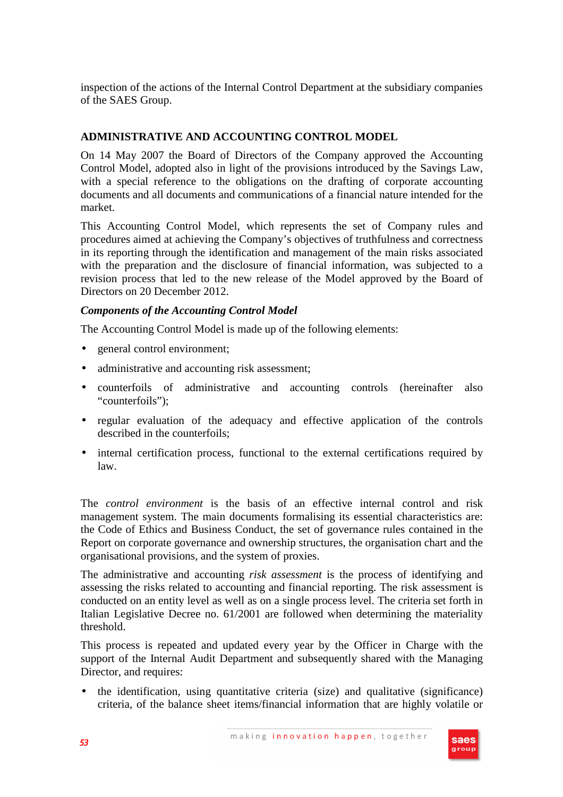inspection of the actions of the Internal Control Department at the subsidiary companies of the SAES Group.

## **ADMINISTRATIVE AND ACCOUNTING CONTROL MODEL**

On 14 May 2007 the Board of Directors of the Company approved the Accounting Control Model, adopted also in light of the provisions introduced by the Savings Law, with a special reference to the obligations on the drafting of corporate accounting documents and all documents and communications of a financial nature intended for the market.

This Accounting Control Model, which represents the set of Company rules and procedures aimed at achieving the Company's objectives of truthfulness and correctness in its reporting through the identification and management of the main risks associated with the preparation and the disclosure of financial information, was subjected to a revision process that led to the new release of the Model approved by the Board of Directors on 20 December 2012.

## *Components of the Accounting Control Model*

The Accounting Control Model is made up of the following elements:

- general control environment;
- administrative and accounting risk assessment;
- counterfoils of administrative and accounting controls (hereinafter also "counterfoils"):
- regular evaluation of the adequacy and effective application of the controls described in the counterfoils;
- internal certification process, functional to the external certifications required by law.

The *control environment* is the basis of an effective internal control and risk management system. The main documents formalising its essential characteristics are: the Code of Ethics and Business Conduct, the set of governance rules contained in the Report on corporate governance and ownership structures, the organisation chart and the organisational provisions, and the system of proxies.

The administrative and accounting *risk assessment* is the process of identifying and assessing the risks related to accounting and financial reporting. The risk assessment is conducted on an entity level as well as on a single process level. The criteria set forth in Italian Legislative Decree no. 61/2001 are followed when determining the materiality threshold.

This process is repeated and updated every year by the Officer in Charge with the support of the Internal Audit Department and subsequently shared with the Managing Director, and requires:

• the identification, using quantitative criteria (size) and qualitative (significance) criteria, of the balance sheet items/financial information that are highly volatile or

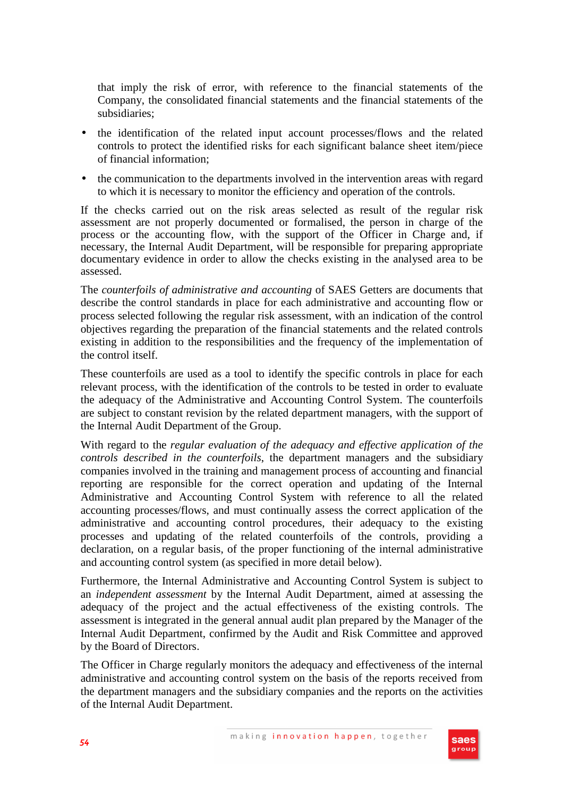that imply the risk of error, with reference to the financial statements of the Company, the consolidated financial statements and the financial statements of the subsidiaries;

- the identification of the related input account processes/flows and the related controls to protect the identified risks for each significant balance sheet item/piece of financial information;
- the communication to the departments involved in the intervention areas with regard to which it is necessary to monitor the efficiency and operation of the controls.

If the checks carried out on the risk areas selected as result of the regular risk assessment are not properly documented or formalised, the person in charge of the process or the accounting flow, with the support of the Officer in Charge and, if necessary, the Internal Audit Department, will be responsible for preparing appropriate documentary evidence in order to allow the checks existing in the analysed area to be assessed.

The *counterfoils of administrative and accounting* of SAES Getters are documents that describe the control standards in place for each administrative and accounting flow or process selected following the regular risk assessment, with an indication of the control objectives regarding the preparation of the financial statements and the related controls existing in addition to the responsibilities and the frequency of the implementation of the control itself.

These counterfoils are used as a tool to identify the specific controls in place for each relevant process, with the identification of the controls to be tested in order to evaluate the adequacy of the Administrative and Accounting Control System. The counterfoils are subject to constant revision by the related department managers, with the support of the Internal Audit Department of the Group.

With regard to the *regular evaluation of the adequacy and effective application of the controls described in the counterfoils*, the department managers and the subsidiary companies involved in the training and management process of accounting and financial reporting are responsible for the correct operation and updating of the Internal Administrative and Accounting Control System with reference to all the related accounting processes/flows, and must continually assess the correct application of the administrative and accounting control procedures, their adequacy to the existing processes and updating of the related counterfoils of the controls, providing a declaration, on a regular basis, of the proper functioning of the internal administrative and accounting control system (as specified in more detail below).

Furthermore, the Internal Administrative and Accounting Control System is subject to an *independent assessment* by the Internal Audit Department, aimed at assessing the adequacy of the project and the actual effectiveness of the existing controls. The assessment is integrated in the general annual audit plan prepared by the Manager of the Internal Audit Department, confirmed by the Audit and Risk Committee and approved by the Board of Directors.

The Officer in Charge regularly monitors the adequacy and effectiveness of the internal administrative and accounting control system on the basis of the reports received from the department managers and the subsidiary companies and the reports on the activities of the Internal Audit Department.

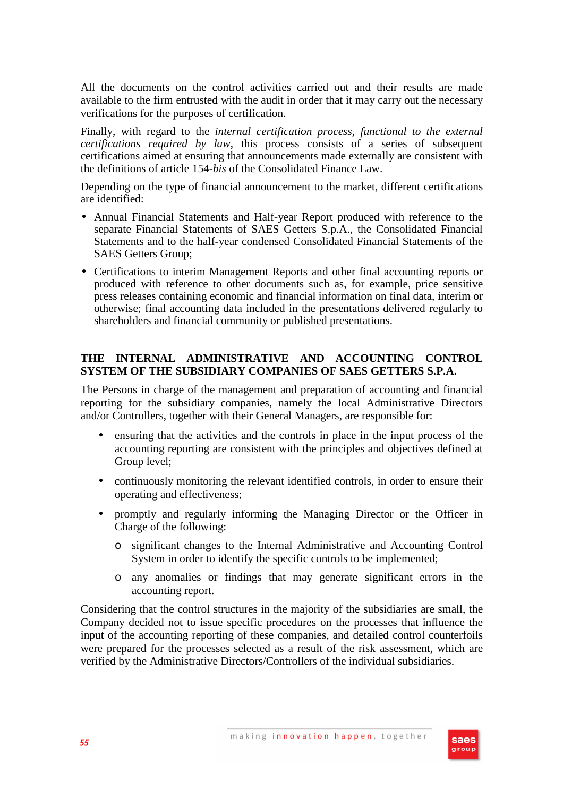All the documents on the control activities carried out and their results are made available to the firm entrusted with the audit in order that it may carry out the necessary verifications for the purposes of certification.

Finally, with regard to the *internal certification process, functional to the external certifications required by law*, this process consists of a series of subsequent certifications aimed at ensuring that announcements made externally are consistent with the definitions of article 154-*bis* of the Consolidated Finance Law.

Depending on the type of financial announcement to the market, different certifications are identified:

- Annual Financial Statements and Half-year Report produced with reference to the separate Financial Statements of SAES Getters S.p.A., the Consolidated Financial Statements and to the half-year condensed Consolidated Financial Statements of the SAES Getters Group;
- Certifications to interim Management Reports and other final accounting reports or produced with reference to other documents such as, for example, price sensitive press releases containing economic and financial information on final data, interim or otherwise; final accounting data included in the presentations delivered regularly to shareholders and financial community or published presentations.

#### **THE INTERNAL ADMINISTRATIVE AND ACCOUNTING CONTROL SYSTEM OF THE SUBSIDIARY COMPANIES OF SAES GETTERS S.P.A.**

The Persons in charge of the management and preparation of accounting and financial reporting for the subsidiary companies, namely the local Administrative Directors and/or Controllers, together with their General Managers, are responsible for:

- ensuring that the activities and the controls in place in the input process of the accounting reporting are consistent with the principles and objectives defined at Group level;
- continuously monitoring the relevant identified controls, in order to ensure their operating and effectiveness;
- promptly and regularly informing the Managing Director or the Officer in Charge of the following:
	- o significant changes to the Internal Administrative and Accounting Control System in order to identify the specific controls to be implemented:
	- o any anomalies or findings that may generate significant errors in the accounting report.

Considering that the control structures in the majority of the subsidiaries are small, the Company decided not to issue specific procedures on the processes that influence the input of the accounting reporting of these companies, and detailed control counterfoils were prepared for the processes selected as a result of the risk assessment, which are verified by the Administrative Directors/Controllers of the individual subsidiaries.

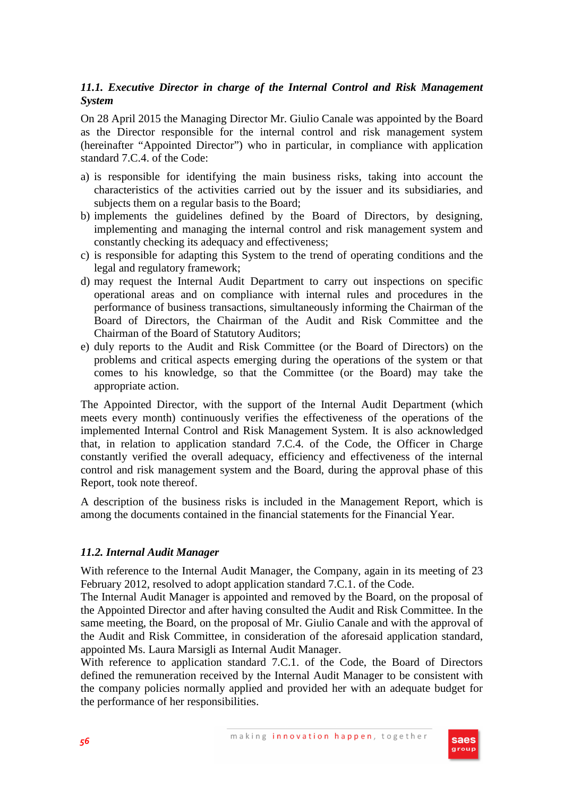## *11.1. Executive Director in charge of the Internal Control and Risk Management System*

On 28 April 2015 the Managing Director Mr. Giulio Canale was appointed by the Board as the Director responsible for the internal control and risk management system (hereinafter "Appointed Director") who in particular, in compliance with application standard 7.C.4. of the Code:

- a) is responsible for identifying the main business risks, taking into account the characteristics of the activities carried out by the issuer and its subsidiaries, and subjects them on a regular basis to the Board;
- b) implements the guidelines defined by the Board of Directors, by designing, implementing and managing the internal control and risk management system and constantly checking its adequacy and effectiveness;
- c) is responsible for adapting this System to the trend of operating conditions and the legal and regulatory framework;
- d) may request the Internal Audit Department to carry out inspections on specific operational areas and on compliance with internal rules and procedures in the performance of business transactions, simultaneously informing the Chairman of the Board of Directors, the Chairman of the Audit and Risk Committee and the Chairman of the Board of Statutory Auditors;
- e) duly reports to the Audit and Risk Committee (or the Board of Directors) on the problems and critical aspects emerging during the operations of the system or that comes to his knowledge, so that the Committee (or the Board) may take the appropriate action.

The Appointed Director, with the support of the Internal Audit Department (which meets every month) continuously verifies the effectiveness of the operations of the implemented Internal Control and Risk Management System. It is also acknowledged that, in relation to application standard 7.C.4. of the Code, the Officer in Charge constantly verified the overall adequacy, efficiency and effectiveness of the internal control and risk management system and the Board, during the approval phase of this Report, took note thereof.

A description of the business risks is included in the Management Report, which is among the documents contained in the financial statements for the Financial Year.

## *11.2. Internal Audit Manager*

With reference to the Internal Audit Manager, the Company, again in its meeting of 23 February 2012, resolved to adopt application standard 7.C.1. of the Code.

The Internal Audit Manager is appointed and removed by the Board, on the proposal of the Appointed Director and after having consulted the Audit and Risk Committee. In the same meeting, the Board, on the proposal of Mr. Giulio Canale and with the approval of the Audit and Risk Committee, in consideration of the aforesaid application standard, appointed Ms. Laura Marsigli as Internal Audit Manager.

With reference to application standard 7.C.1. of the Code, the Board of Directors defined the remuneration received by the Internal Audit Manager to be consistent with the company policies normally applied and provided her with an adequate budget for the performance of her responsibilities.

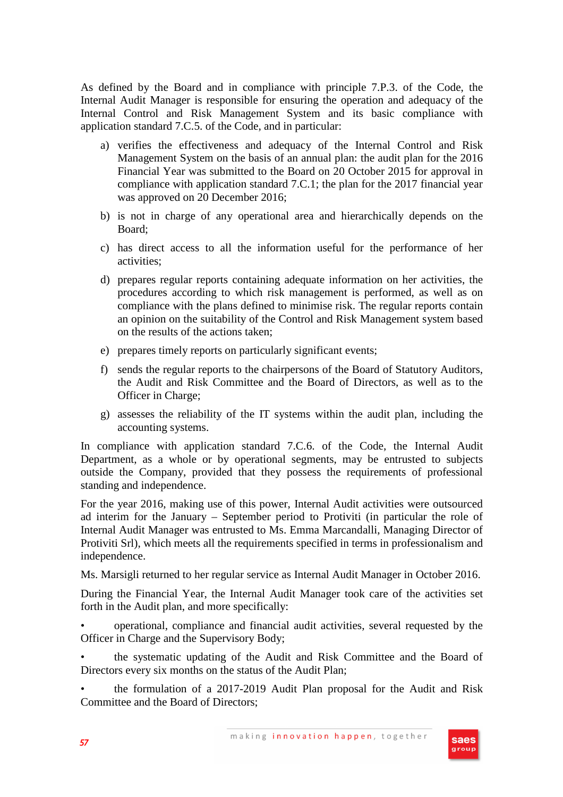As defined by the Board and in compliance with principle 7.P.3. of the Code, the Internal Audit Manager is responsible for ensuring the operation and adequacy of the Internal Control and Risk Management System and its basic compliance with application standard 7.C.5. of the Code, and in particular:

- a) verifies the effectiveness and adequacy of the Internal Control and Risk Management System on the basis of an annual plan: the audit plan for the 2016 Financial Year was submitted to the Board on 20 October 2015 for approval in compliance with application standard 7.C.1; the plan for the 2017 financial year was approved on 20 December 2016;
- b) is not in charge of any operational area and hierarchically depends on the Board;
- c) has direct access to all the information useful for the performance of her activities;
- d) prepares regular reports containing adequate information on her activities, the procedures according to which risk management is performed, as well as on compliance with the plans defined to minimise risk. The regular reports contain an opinion on the suitability of the Control and Risk Management system based on the results of the actions taken;
- e) prepares timely reports on particularly significant events;
- f) sends the regular reports to the chairpersons of the Board of Statutory Auditors, the Audit and Risk Committee and the Board of Directors, as well as to the Officer in Charge;
- g) assesses the reliability of the IT systems within the audit plan, including the accounting systems.

In compliance with application standard 7.C.6. of the Code, the Internal Audit Department, as a whole or by operational segments, may be entrusted to subjects outside the Company, provided that they possess the requirements of professional standing and independence.

For the year 2016, making use of this power, Internal Audit activities were outsourced ad interim for the January – September period to Protiviti (in particular the role of Internal Audit Manager was entrusted to Ms. Emma Marcandalli, Managing Director of Protiviti Srl), which meets all the requirements specified in terms in professionalism and independence.

Ms. Marsigli returned to her regular service as Internal Audit Manager in October 2016.

During the Financial Year, the Internal Audit Manager took care of the activities set forth in the Audit plan, and more specifically:

• operational, compliance and financial audit activities, several requested by the Officer in Charge and the Supervisory Body;

• the systematic updating of the Audit and Risk Committee and the Board of Directors every six months on the status of the Audit Plan;

• the formulation of a 2017-2019 Audit Plan proposal for the Audit and Risk Committee and the Board of Directors;

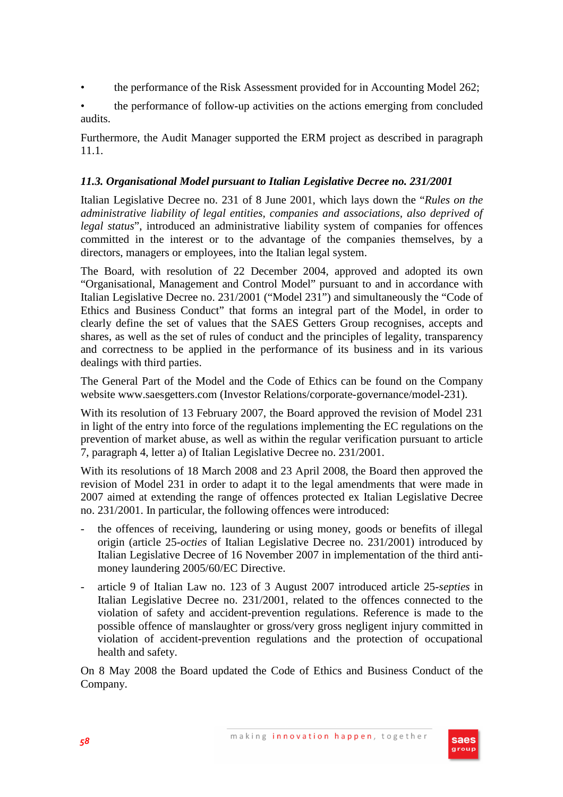- the performance of the Risk Assessment provided for in Accounting Model 262;
- the performance of follow-up activities on the actions emerging from concluded audits.

Furthermore, the Audit Manager supported the ERM project as described in paragraph 11.1.

## *11.3. Organisational Model pursuant to Italian Legislative Decree no. 231/2001*

Italian Legislative Decree no. 231 of 8 June 2001, which lays down the "*Rules on the administrative liability of legal entities, companies and associations, also deprived of legal status*", introduced an administrative liability system of companies for offences committed in the interest or to the advantage of the companies themselves, by a directors, managers or employees, into the Italian legal system.

The Board, with resolution of 22 December 2004, approved and adopted its own "Organisational, Management and Control Model" pursuant to and in accordance with Italian Legislative Decree no. 231/2001 ("Model 231") and simultaneously the "Code of Ethics and Business Conduct" that forms an integral part of the Model, in order to clearly define the set of values that the SAES Getters Group recognises, accepts and shares, as well as the set of rules of conduct and the principles of legality, transparency and correctness to be applied in the performance of its business and in its various dealings with third parties.

The General Part of the Model and the Code of Ethics can be found on the Company website www.saesgetters.com (Investor Relations/corporate-governance/model-231).

With its resolution of 13 February 2007, the Board approved the revision of Model 231 in light of the entry into force of the regulations implementing the EC regulations on the prevention of market abuse, as well as within the regular verification pursuant to article 7, paragraph 4, letter a) of Italian Legislative Decree no. 231/2001.

With its resolutions of 18 March 2008 and 23 April 2008, the Board then approved the revision of Model 231 in order to adapt it to the legal amendments that were made in 2007 aimed at extending the range of offences protected ex Italian Legislative Decree no. 231/2001. In particular, the following offences were introduced:

- the offences of receiving, laundering or using money, goods or benefits of illegal origin (article 25-*octies* of Italian Legislative Decree no. 231/2001) introduced by Italian Legislative Decree of 16 November 2007 in implementation of the third antimoney laundering 2005/60/EC Directive.
- article 9 of Italian Law no. 123 of 3 August 2007 introduced article 25-*septies* in Italian Legislative Decree no. 231/2001, related to the offences connected to the violation of safety and accident-prevention regulations. Reference is made to the possible offence of manslaughter or gross/very gross negligent injury committed in violation of accident-prevention regulations and the protection of occupational health and safety.

On 8 May 2008 the Board updated the Code of Ethics and Business Conduct of the Company.

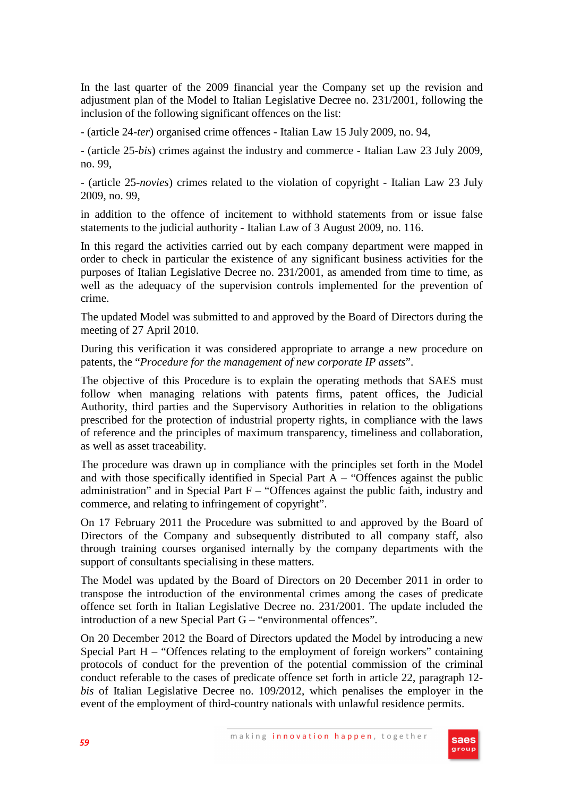In the last quarter of the 2009 financial year the Company set up the revision and adjustment plan of the Model to Italian Legislative Decree no. 231/2001, following the inclusion of the following significant offences on the list:

- (article 24-*ter*) organised crime offences - Italian Law 15 July 2009, no. 94,

- (article 25-*bis*) crimes against the industry and commerce - Italian Law 23 July 2009, no. 99,

- (article 25-*novies*) crimes related to the violation of copyright - Italian Law 23 July 2009, no. 99,

in addition to the offence of incitement to withhold statements from or issue false statements to the judicial authority - Italian Law of 3 August 2009, no. 116.

In this regard the activities carried out by each company department were mapped in order to check in particular the existence of any significant business activities for the purposes of Italian Legislative Decree no. 231/2001, as amended from time to time, as well as the adequacy of the supervision controls implemented for the prevention of crime.

The updated Model was submitted to and approved by the Board of Directors during the meeting of 27 April 2010.

During this verification it was considered appropriate to arrange a new procedure on patents, the "*Procedure for the management of new corporate IP assets*".

The objective of this Procedure is to explain the operating methods that SAES must follow when managing relations with patents firms, patent offices, the Judicial Authority, third parties and the Supervisory Authorities in relation to the obligations prescribed for the protection of industrial property rights, in compliance with the laws of reference and the principles of maximum transparency, timeliness and collaboration, as well as asset traceability.

The procedure was drawn up in compliance with the principles set forth in the Model and with those specifically identified in Special Part  $A -$  "Offences against the public administration" and in Special Part  $F -$  "Offences against the public faith, industry and commerce, and relating to infringement of copyright".

On 17 February 2011 the Procedure was submitted to and approved by the Board of Directors of the Company and subsequently distributed to all company staff, also through training courses organised internally by the company departments with the support of consultants specialising in these matters.

The Model was updated by the Board of Directors on 20 December 2011 in order to transpose the introduction of the environmental crimes among the cases of predicate offence set forth in Italian Legislative Decree no. 231/2001. The update included the introduction of a new Special Part G – "environmental offences".

On 20 December 2012 the Board of Directors updated the Model by introducing a new Special Part H – "Offences relating to the employment of foreign workers" containing protocols of conduct for the prevention of the potential commission of the criminal conduct referable to the cases of predicate offence set forth in article 22, paragraph 12 *bis* of Italian Legislative Decree no. 109/2012, which penalises the employer in the event of the employment of third-country nationals with unlawful residence permits.

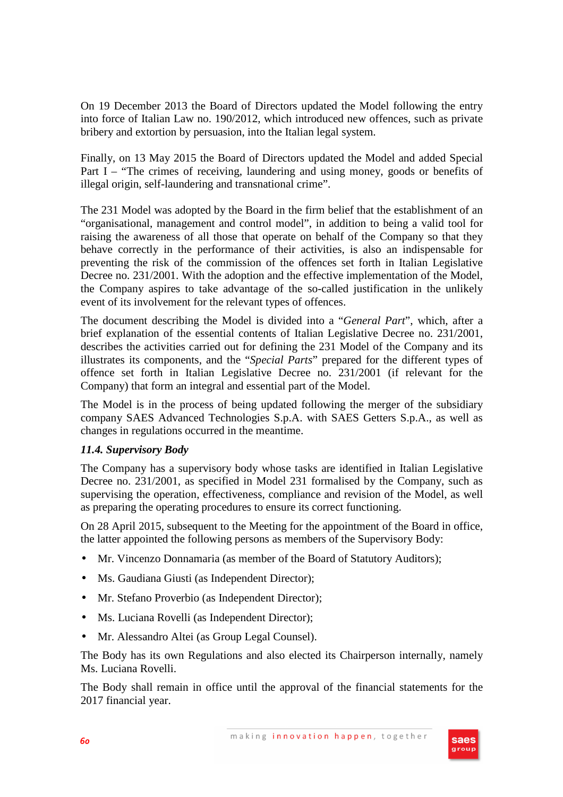On 19 December 2013 the Board of Directors updated the Model following the entry into force of Italian Law no. 190/2012, which introduced new offences, such as private bribery and extortion by persuasion, into the Italian legal system.

Finally, on 13 May 2015 the Board of Directors updated the Model and added Special Part I – "The crimes of receiving, laundering and using money, goods or benefits of illegal origin, self-laundering and transnational crime".

The 231 Model was adopted by the Board in the firm belief that the establishment of an "organisational, management and control model", in addition to being a valid tool for raising the awareness of all those that operate on behalf of the Company so that they behave correctly in the performance of their activities, is also an indispensable for preventing the risk of the commission of the offences set forth in Italian Legislative Decree no. 231/2001. With the adoption and the effective implementation of the Model, the Company aspires to take advantage of the so-called justification in the unlikely event of its involvement for the relevant types of offences.

The document describing the Model is divided into a "*General Part*", which, after a brief explanation of the essential contents of Italian Legislative Decree no. 231/2001, describes the activities carried out for defining the 231 Model of the Company and its illustrates its components, and the "*Special Parts*" prepared for the different types of offence set forth in Italian Legislative Decree no. 231/2001 (if relevant for the Company) that form an integral and essential part of the Model.

The Model is in the process of being updated following the merger of the subsidiary company SAES Advanced Technologies S.p.A. with SAES Getters S.p.A., as well as changes in regulations occurred in the meantime.

## *11.4. Supervisory Body*

The Company has a supervisory body whose tasks are identified in Italian Legislative Decree no. 231/2001, as specified in Model 231 formalised by the Company, such as supervising the operation, effectiveness, compliance and revision of the Model, as well as preparing the operating procedures to ensure its correct functioning.

On 28 April 2015, subsequent to the Meeting for the appointment of the Board in office, the latter appointed the following persons as members of the Supervisory Body:

- Mr. Vincenzo Donnamaria (as member of the Board of Statutory Auditors);
- Ms. Gaudiana Giusti (as Independent Director);
- Mr. Stefano Proverbio (as Independent Director);
- Ms. Luciana Rovelli (as Independent Director);
- Mr. Alessandro Altei (as Group Legal Counsel).

The Body has its own Regulations and also elected its Chairperson internally, namely Ms. Luciana Rovelli.

The Body shall remain in office until the approval of the financial statements for the 2017 financial year.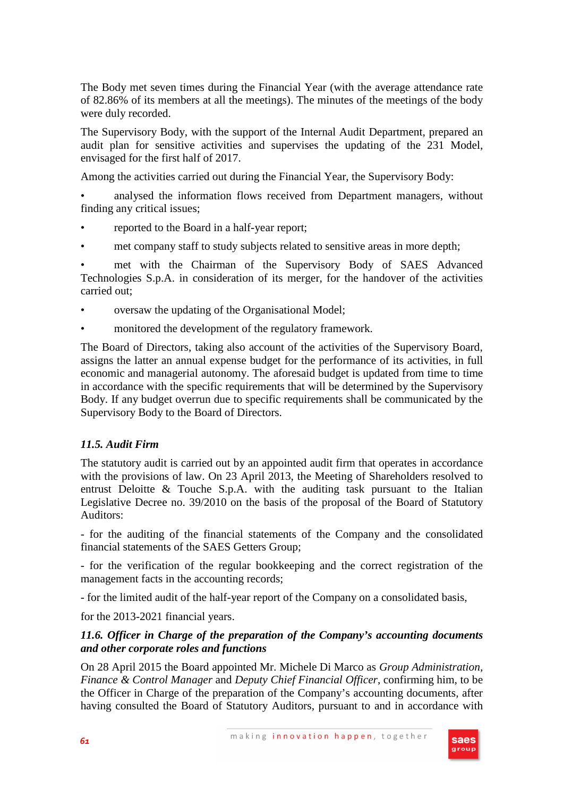The Body met seven times during the Financial Year (with the average attendance rate of 82.86% of its members at all the meetings). The minutes of the meetings of the body were duly recorded.

The Supervisory Body, with the support of the Internal Audit Department, prepared an audit plan for sensitive activities and supervises the updating of the 231 Model, envisaged for the first half of 2017.

Among the activities carried out during the Financial Year, the Supervisory Body:

• analysed the information flows received from Department managers, without finding any critical issues;

- reported to the Board in a half-year report;
- met company staff to study subjects related to sensitive areas in more depth;

met with the Chairman of the Supervisory Body of SAES Advanced Technologies S.p.A. in consideration of its merger, for the handover of the activities carried out;

- oversaw the updating of the Organisational Model;
- monitored the development of the regulatory framework.

The Board of Directors, taking also account of the activities of the Supervisory Board, assigns the latter an annual expense budget for the performance of its activities, in full economic and managerial autonomy. The aforesaid budget is updated from time to time in accordance with the specific requirements that will be determined by the Supervisory Body. If any budget overrun due to specific requirements shall be communicated by the Supervisory Body to the Board of Directors.

## *11.5. Audit Firm*

The statutory audit is carried out by an appointed audit firm that operates in accordance with the provisions of law. On 23 April 2013, the Meeting of Shareholders resolved to entrust Deloitte  $\&$  Touche S.p.A. with the auditing task pursuant to the Italian Legislative Decree no. 39/2010 on the basis of the proposal of the Board of Statutory Auditors:

- for the auditing of the financial statements of the Company and the consolidated financial statements of the SAES Getters Group;

- for the verification of the regular bookkeeping and the correct registration of the management facts in the accounting records;

- for the limited audit of the half-year report of the Company on a consolidated basis,

for the 2013-2021 financial years.

## *11.6. Officer in Charge of the preparation of the Company's accounting documents and other corporate roles and functions*

On 28 April 2015 the Board appointed Mr. Michele Di Marco as *Group Administration, Finance & Control Manager* and *Deputy Chief Financial Officer*, confirming him, to be the Officer in Charge of the preparation of the Company's accounting documents, after having consulted the Board of Statutory Auditors, pursuant to and in accordance with

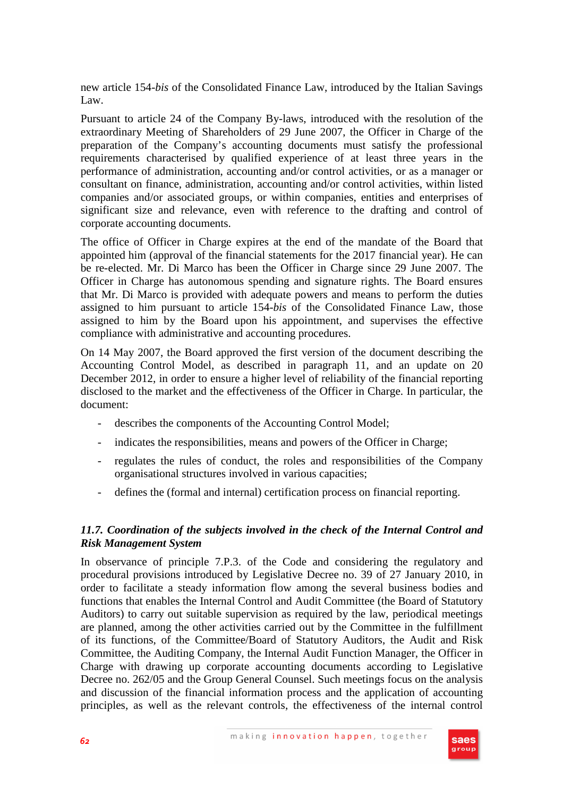new article 154-*bis* of the Consolidated Finance Law, introduced by the Italian Savings Law.

Pursuant to article 24 of the Company By-laws, introduced with the resolution of the extraordinary Meeting of Shareholders of 29 June 2007, the Officer in Charge of the preparation of the Company's accounting documents must satisfy the professional requirements characterised by qualified experience of at least three years in the performance of administration, accounting and/or control activities, or as a manager or consultant on finance, administration, accounting and/or control activities, within listed companies and/or associated groups, or within companies, entities and enterprises of significant size and relevance, even with reference to the drafting and control of corporate accounting documents.

The office of Officer in Charge expires at the end of the mandate of the Board that appointed him (approval of the financial statements for the 2017 financial year). He can be re-elected. Mr. Di Marco has been the Officer in Charge since 29 June 2007. The Officer in Charge has autonomous spending and signature rights. The Board ensures that Mr. Di Marco is provided with adequate powers and means to perform the duties assigned to him pursuant to article 154-*bis* of the Consolidated Finance Law, those assigned to him by the Board upon his appointment, and supervises the effective compliance with administrative and accounting procedures.

On 14 May 2007, the Board approved the first version of the document describing the Accounting Control Model, as described in paragraph 11, and an update on 20 December 2012, in order to ensure a higher level of reliability of the financial reporting disclosed to the market and the effectiveness of the Officer in Charge. In particular, the document:

- describes the components of the Accounting Control Model;
- indicates the responsibilities, means and powers of the Officer in Charge;
- regulates the rules of conduct, the roles and responsibilities of the Company organisational structures involved in various capacities;
- defines the (formal and internal) certification process on financial reporting.

## *11.7. Coordination of the subjects involved in the check of the Internal Control and Risk Management System*

In observance of principle 7.P.3. of the Code and considering the regulatory and procedural provisions introduced by Legislative Decree no. 39 of 27 January 2010, in order to facilitate a steady information flow among the several business bodies and functions that enables the Internal Control and Audit Committee (the Board of Statutory Auditors) to carry out suitable supervision as required by the law, periodical meetings are planned, among the other activities carried out by the Committee in the fulfillment of its functions, of the Committee/Board of Statutory Auditors, the Audit and Risk Committee, the Auditing Company, the Internal Audit Function Manager, the Officer in Charge with drawing up corporate accounting documents according to Legislative Decree no. 262/05 and the Group General Counsel. Such meetings focus on the analysis and discussion of the financial information process and the application of accounting principles, as well as the relevant controls, the effectiveness of the internal control

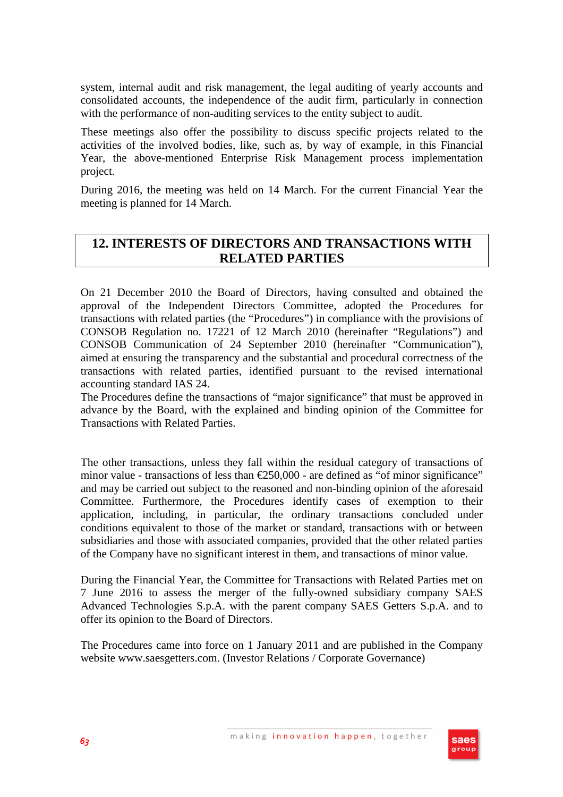system, internal audit and risk management, the legal auditing of yearly accounts and consolidated accounts, the independence of the audit firm, particularly in connection with the performance of non-auditing services to the entity subject to audit.

These meetings also offer the possibility to discuss specific projects related to the activities of the involved bodies, like, such as, by way of example, in this Financial Year, the above-mentioned Enterprise Risk Management process implementation project.

During 2016, the meeting was held on 14 March. For the current Financial Year the meeting is planned for 14 March.

## **12. INTERESTS OF DIRECTORS AND TRANSACTIONS WITH RELATED PARTIES**

On 21 December 2010 the Board of Directors, having consulted and obtained the approval of the Independent Directors Committee, adopted the Procedures for transactions with related parties (the "Procedures") in compliance with the provisions of CONSOB Regulation no. 17221 of 12 March 2010 (hereinafter "Regulations") and CONSOB Communication of 24 September 2010 (hereinafter "Communication"), aimed at ensuring the transparency and the substantial and procedural correctness of the transactions with related parties, identified pursuant to the revised international accounting standard IAS 24.

The Procedures define the transactions of "major significance" that must be approved in advance by the Board, with the explained and binding opinion of the Committee for Transactions with Related Parties.

The other transactions, unless they fall within the residual category of transactions of minor value - transactions of less than  $\epsilon$ 250,000 - are defined as "of minor significance" and may be carried out subject to the reasoned and non-binding opinion of the aforesaid Committee. Furthermore, the Procedures identify cases of exemption to their application, including, in particular, the ordinary transactions concluded under conditions equivalent to those of the market or standard, transactions with or between subsidiaries and those with associated companies, provided that the other related parties of the Company have no significant interest in them, and transactions of minor value.

During the Financial Year, the Committee for Transactions with Related Parties met on 7 June 2016 to assess the merger of the fully-owned subsidiary company SAES Advanced Technologies S.p.A. with the parent company SAES Getters S.p.A. and to offer its opinion to the Board of Directors.

The Procedures came into force on 1 January 2011 and are published in the Company website www.saesgetters.com. (Investor Relations / Corporate Governance)

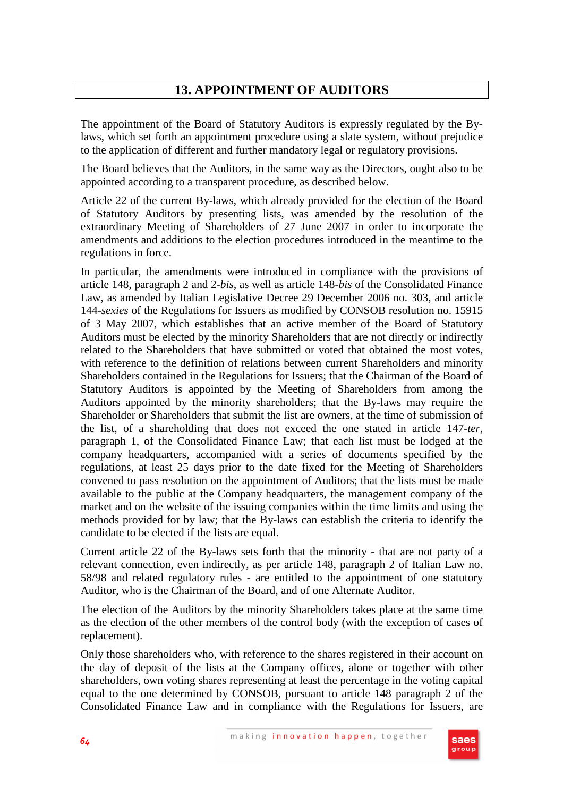# **13. APPOINTMENT OF AUDITORS**

The appointment of the Board of Statutory Auditors is expressly regulated by the Bylaws, which set forth an appointment procedure using a slate system, without prejudice to the application of different and further mandatory legal or regulatory provisions.

The Board believes that the Auditors, in the same way as the Directors, ought also to be appointed according to a transparent procedure, as described below.

Article 22 of the current By-laws, which already provided for the election of the Board of Statutory Auditors by presenting lists, was amended by the resolution of the extraordinary Meeting of Shareholders of 27 June 2007 in order to incorporate the amendments and additions to the election procedures introduced in the meantime to the regulations in force.

In particular, the amendments were introduced in compliance with the provisions of article 148, paragraph 2 and 2-*bis*, as well as article 148-*bis* of the Consolidated Finance Law, as amended by Italian Legislative Decree 29 December 2006 no. 303, and article 144-*sexies* of the Regulations for Issuers as modified by CONSOB resolution no. 15915 of 3 May 2007, which establishes that an active member of the Board of Statutory Auditors must be elected by the minority Shareholders that are not directly or indirectly related to the Shareholders that have submitted or voted that obtained the most votes, with reference to the definition of relations between current Shareholders and minority Shareholders contained in the Regulations for Issuers; that the Chairman of the Board of Statutory Auditors is appointed by the Meeting of Shareholders from among the Auditors appointed by the minority shareholders; that the By-laws may require the Shareholder or Shareholders that submit the list are owners, at the time of submission of the list, of a shareholding that does not exceed the one stated in article 147-*ter*, paragraph 1, of the Consolidated Finance Law; that each list must be lodged at the company headquarters, accompanied with a series of documents specified by the regulations, at least 25 days prior to the date fixed for the Meeting of Shareholders convened to pass resolution on the appointment of Auditors; that the lists must be made available to the public at the Company headquarters, the management company of the market and on the website of the issuing companies within the time limits and using the methods provided for by law; that the By-laws can establish the criteria to identify the candidate to be elected if the lists are equal.

Current article 22 of the By-laws sets forth that the minority - that are not party of a relevant connection, even indirectly, as per article 148, paragraph 2 of Italian Law no. 58/98 and related regulatory rules - are entitled to the appointment of one statutory Auditor, who is the Chairman of the Board, and of one Alternate Auditor.

The election of the Auditors by the minority Shareholders takes place at the same time as the election of the other members of the control body (with the exception of cases of replacement).

Only those shareholders who, with reference to the shares registered in their account on the day of deposit of the lists at the Company offices, alone or together with other shareholders, own voting shares representing at least the percentage in the voting capital equal to the one determined by CONSOB, pursuant to article 148 paragraph 2 of the Consolidated Finance Law and in compliance with the Regulations for Issuers, are

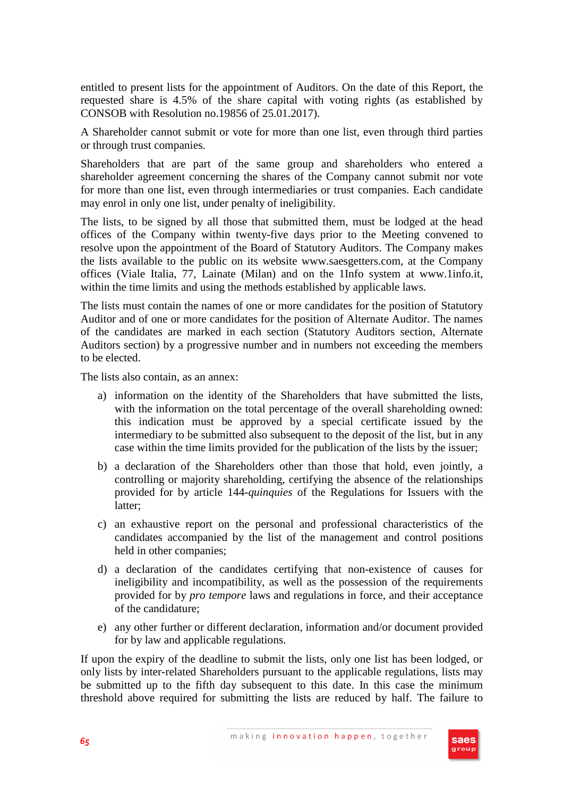entitled to present lists for the appointment of Auditors. On the date of this Report, the requested share is 4.5% of the share capital with voting rights (as established by CONSOB with Resolution no.19856 of 25.01.2017).

A Shareholder cannot submit or vote for more than one list, even through third parties or through trust companies.

Shareholders that are part of the same group and shareholders who entered a shareholder agreement concerning the shares of the Company cannot submit nor vote for more than one list, even through intermediaries or trust companies. Each candidate may enrol in only one list, under penalty of ineligibility.

The lists, to be signed by all those that submitted them, must be lodged at the head offices of the Company within twenty-five days prior to the Meeting convened to resolve upon the appointment of the Board of Statutory Auditors. The Company makes the lists available to the public on its website www.saesgetters.com, at the Company offices (Viale Italia, 77, Lainate (Milan) and on the 1Info system at www.1info.it, within the time limits and using the methods established by applicable laws.

The lists must contain the names of one or more candidates for the position of Statutory Auditor and of one or more candidates for the position of Alternate Auditor. The names of the candidates are marked in each section (Statutory Auditors section, Alternate Auditors section) by a progressive number and in numbers not exceeding the members to be elected.

The lists also contain, as an annex:

- a) information on the identity of the Shareholders that have submitted the lists, with the information on the total percentage of the overall shareholding owned: this indication must be approved by a special certificate issued by the intermediary to be submitted also subsequent to the deposit of the list, but in any case within the time limits provided for the publication of the lists by the issuer;
- b) a declaration of the Shareholders other than those that hold, even jointly, a controlling or majority shareholding, certifying the absence of the relationships provided for by article 144-*quinquies* of the Regulations for Issuers with the latter;
- c) an exhaustive report on the personal and professional characteristics of the candidates accompanied by the list of the management and control positions held in other companies;
- d) a declaration of the candidates certifying that non-existence of causes for ineligibility and incompatibility, as well as the possession of the requirements provided for by *pro tempore* laws and regulations in force, and their acceptance of the candidature;
- e) any other further or different declaration, information and/or document provided for by law and applicable regulations.

If upon the expiry of the deadline to submit the lists, only one list has been lodged, or only lists by inter-related Shareholders pursuant to the applicable regulations, lists may be submitted up to the fifth day subsequent to this date. In this case the minimum threshold above required for submitting the lists are reduced by half. The failure to

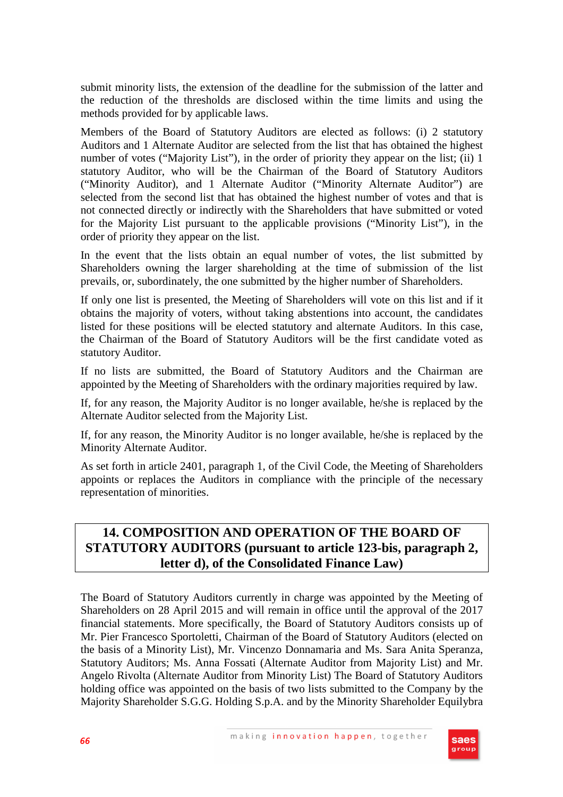submit minority lists, the extension of the deadline for the submission of the latter and the reduction of the thresholds are disclosed within the time limits and using the methods provided for by applicable laws.

Members of the Board of Statutory Auditors are elected as follows: (i) 2 statutory Auditors and 1 Alternate Auditor are selected from the list that has obtained the highest number of votes ("Majority List"), in the order of priority they appear on the list; (ii) 1 statutory Auditor, who will be the Chairman of the Board of Statutory Auditors ("Minority Auditor), and 1 Alternate Auditor ("Minority Alternate Auditor") are selected from the second list that has obtained the highest number of votes and that is not connected directly or indirectly with the Shareholders that have submitted or voted for the Majority List pursuant to the applicable provisions ("Minority List"), in the order of priority they appear on the list.

In the event that the lists obtain an equal number of votes, the list submitted by Shareholders owning the larger shareholding at the time of submission of the list prevails, or, subordinately, the one submitted by the higher number of Shareholders.

If only one list is presented, the Meeting of Shareholders will vote on this list and if it obtains the majority of voters, without taking abstentions into account, the candidates listed for these positions will be elected statutory and alternate Auditors. In this case, the Chairman of the Board of Statutory Auditors will be the first candidate voted as statutory Auditor.

If no lists are submitted, the Board of Statutory Auditors and the Chairman are appointed by the Meeting of Shareholders with the ordinary majorities required by law.

If, for any reason, the Majority Auditor is no longer available, he/she is replaced by the Alternate Auditor selected from the Majority List.

If, for any reason, the Minority Auditor is no longer available, he/she is replaced by the Minority Alternate Auditor.

As set forth in article 2401, paragraph 1, of the Civil Code, the Meeting of Shareholders appoints or replaces the Auditors in compliance with the principle of the necessary representation of minorities.

# **14. COMPOSITION AND OPERATION OF THE BOARD OF STATUTORY AUDITORS (pursuant to article 123-bis, paragraph 2, letter d), of the Consolidated Finance Law)**

The Board of Statutory Auditors currently in charge was appointed by the Meeting of Shareholders on 28 April 2015 and will remain in office until the approval of the 2017 financial statements. More specifically, the Board of Statutory Auditors consists up of Mr. Pier Francesco Sportoletti, Chairman of the Board of Statutory Auditors (elected on the basis of a Minority List), Mr. Vincenzo Donnamaria and Ms. Sara Anita Speranza, Statutory Auditors; Ms. Anna Fossati (Alternate Auditor from Majority List) and Mr. Angelo Rivolta (Alternate Auditor from Minority List) The Board of Statutory Auditors holding office was appointed on the basis of two lists submitted to the Company by the Majority Shareholder S.G.G. Holding S.p.A. and by the Minority Shareholder Equilybra

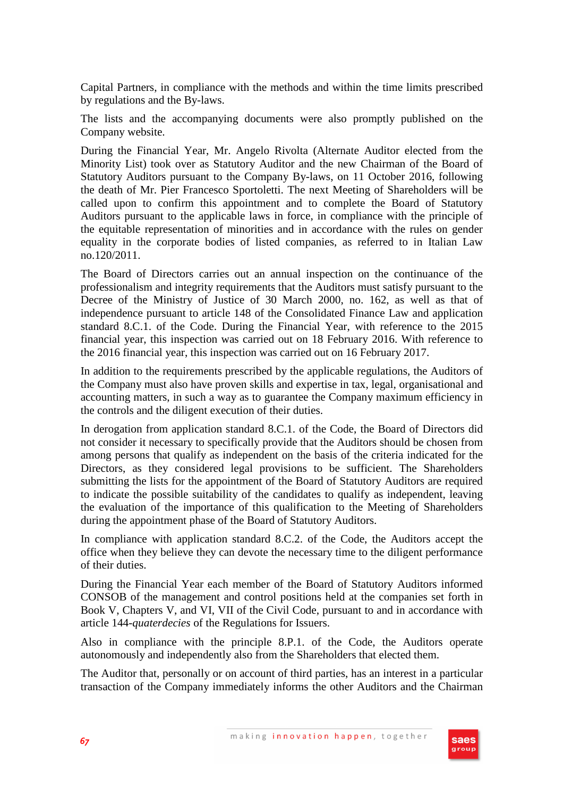Capital Partners, in compliance with the methods and within the time limits prescribed by regulations and the By-laws.

The lists and the accompanying documents were also promptly published on the Company website.

During the Financial Year, Mr. Angelo Rivolta (Alternate Auditor elected from the Minority List) took over as Statutory Auditor and the new Chairman of the Board of Statutory Auditors pursuant to the Company By-laws, on 11 October 2016, following the death of Mr. Pier Francesco Sportoletti. The next Meeting of Shareholders will be called upon to confirm this appointment and to complete the Board of Statutory Auditors pursuant to the applicable laws in force, in compliance with the principle of the equitable representation of minorities and in accordance with the rules on gender equality in the corporate bodies of listed companies, as referred to in Italian Law no.120/2011.

The Board of Directors carries out an annual inspection on the continuance of the professionalism and integrity requirements that the Auditors must satisfy pursuant to the Decree of the Ministry of Justice of 30 March 2000, no. 162, as well as that of independence pursuant to article 148 of the Consolidated Finance Law and application standard 8.C.1. of the Code. During the Financial Year, with reference to the 2015 financial year, this inspection was carried out on 18 February 2016. With reference to the 2016 financial year, this inspection was carried out on 16 February 2017.

In addition to the requirements prescribed by the applicable regulations, the Auditors of the Company must also have proven skills and expertise in tax, legal, organisational and accounting matters, in such a way as to guarantee the Company maximum efficiency in the controls and the diligent execution of their duties.

In derogation from application standard 8.C.1. of the Code, the Board of Directors did not consider it necessary to specifically provide that the Auditors should be chosen from among persons that qualify as independent on the basis of the criteria indicated for the Directors, as they considered legal provisions to be sufficient. The Shareholders submitting the lists for the appointment of the Board of Statutory Auditors are required to indicate the possible suitability of the candidates to qualify as independent, leaving the evaluation of the importance of this qualification to the Meeting of Shareholders during the appointment phase of the Board of Statutory Auditors.

In compliance with application standard 8.C.2. of the Code, the Auditors accept the office when they believe they can devote the necessary time to the diligent performance of their duties.

During the Financial Year each member of the Board of Statutory Auditors informed CONSOB of the management and control positions held at the companies set forth in Book V, Chapters V, and VI, VII of the Civil Code, pursuant to and in accordance with article 144-*quaterdecies* of the Regulations for Issuers.

Also in compliance with the principle 8.P.1. of the Code, the Auditors operate autonomously and independently also from the Shareholders that elected them.

The Auditor that, personally or on account of third parties, has an interest in a particular transaction of the Company immediately informs the other Auditors and the Chairman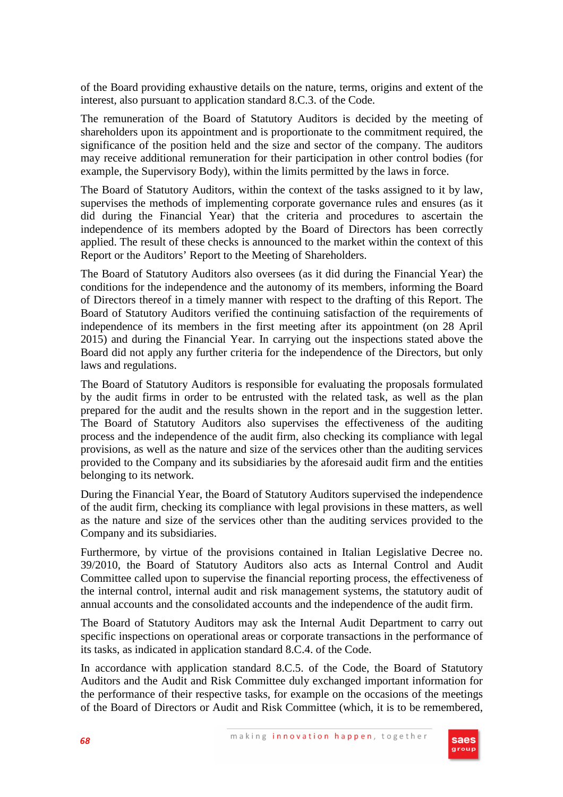of the Board providing exhaustive details on the nature, terms, origins and extent of the interest, also pursuant to application standard 8.C.3. of the Code.

The remuneration of the Board of Statutory Auditors is decided by the meeting of shareholders upon its appointment and is proportionate to the commitment required, the significance of the position held and the size and sector of the company. The auditors may receive additional remuneration for their participation in other control bodies (for example, the Supervisory Body), within the limits permitted by the laws in force.

The Board of Statutory Auditors, within the context of the tasks assigned to it by law, supervises the methods of implementing corporate governance rules and ensures (as it did during the Financial Year) that the criteria and procedures to ascertain the independence of its members adopted by the Board of Directors has been correctly applied. The result of these checks is announced to the market within the context of this Report or the Auditors' Report to the Meeting of Shareholders.

The Board of Statutory Auditors also oversees (as it did during the Financial Year) the conditions for the independence and the autonomy of its members, informing the Board of Directors thereof in a timely manner with respect to the drafting of this Report. The Board of Statutory Auditors verified the continuing satisfaction of the requirements of independence of its members in the first meeting after its appointment (on 28 April 2015) and during the Financial Year. In carrying out the inspections stated above the Board did not apply any further criteria for the independence of the Directors, but only laws and regulations.

The Board of Statutory Auditors is responsible for evaluating the proposals formulated by the audit firms in order to be entrusted with the related task, as well as the plan prepared for the audit and the results shown in the report and in the suggestion letter. The Board of Statutory Auditors also supervises the effectiveness of the auditing process and the independence of the audit firm, also checking its compliance with legal provisions, as well as the nature and size of the services other than the auditing services provided to the Company and its subsidiaries by the aforesaid audit firm and the entities belonging to its network.

During the Financial Year, the Board of Statutory Auditors supervised the independence of the audit firm, checking its compliance with legal provisions in these matters, as well as the nature and size of the services other than the auditing services provided to the Company and its subsidiaries.

Furthermore, by virtue of the provisions contained in Italian Legislative Decree no. 39/2010, the Board of Statutory Auditors also acts as Internal Control and Audit Committee called upon to supervise the financial reporting process, the effectiveness of the internal control, internal audit and risk management systems, the statutory audit of annual accounts and the consolidated accounts and the independence of the audit firm.

The Board of Statutory Auditors may ask the Internal Audit Department to carry out specific inspections on operational areas or corporate transactions in the performance of its tasks, as indicated in application standard 8.C.4. of the Code.

In accordance with application standard 8.C.5. of the Code, the Board of Statutory Auditors and the Audit and Risk Committee duly exchanged important information for the performance of their respective tasks, for example on the occasions of the meetings of the Board of Directors or Audit and Risk Committee (which, it is to be remembered,

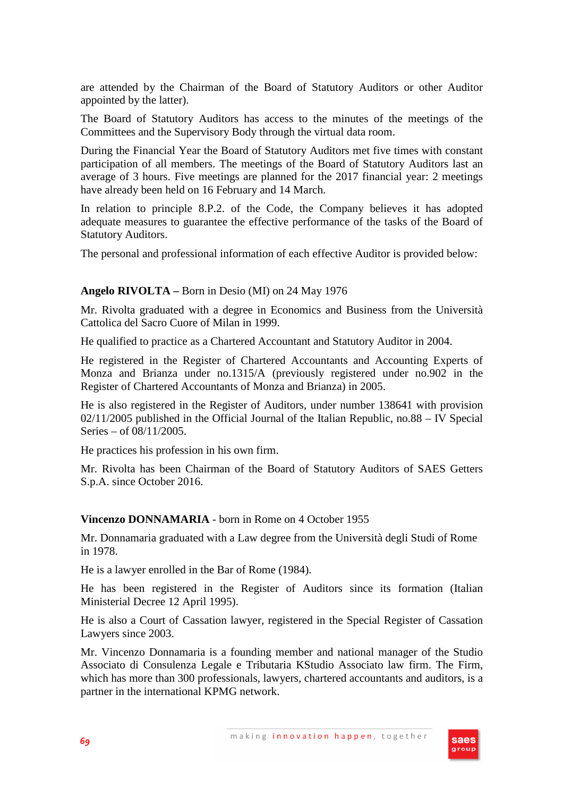are attended by the Chairman of the Board of Statutory Auditors or other Auditor appointed by the latter).

The Board of Statutory Auditors has access to the minutes of the meetings of the Committees and the Supervisory Body through the virtual data room.

During the Financial Year the Board of Statutory Auditors met five times with constant participation of all members. The meetings of the Board of Statutory Auditors last an average of 3 hours. Five meetings are planned for the 2017 financial year: 2 meetings have already been held on 16 February and 14 March.

In relation to principle 8.P.2. of the Code, the Company believes it has adopted adequate measures to guarantee the effective performance of the tasks of the Board of Statutory Auditors.

The personal and professional information of each effective Auditor is provided below:

## **Angelo RIVOLTA –** Born in Desio (MI) on 24 May 1976

Mr. Rivolta graduated with a degree in Economics and Business from the Università Cattolica del Sacro Cuore of Milan in 1999.

He qualified to practice as a Chartered Accountant and Statutory Auditor in 2004.

He registered in the Register of Chartered Accountants and Accounting Experts of Monza and Brianza under no.1315/A (previously registered under no.902 in the Register of Chartered Accountants of Monza and Brianza) in 2005.

He is also registered in the Register of Auditors, under number 138641 with provision 02/11/2005 published in the Official Journal of the Italian Republic, no.88 – IV Special Series – of 08/11/2005.

He practices his profession in his own firm.

Mr. Rivolta has been Chairman of the Board of Statutory Auditors of SAES Getters S.p.A. since October 2016.

## **Vincenzo DONNAMARIA** - born in Rome on 4 October 1955

Mr. Donnamaria graduated with a Law degree from the Università degli Studi of Rome in 1978.

He is a lawyer enrolled in the Bar of Rome (1984).

He has been registered in the Register of Auditors since its formation (Italian Ministerial Decree 12 April 1995).

He is also a Court of Cassation lawyer, registered in the Special Register of Cassation Lawyers since 2003.

Mr. Vincenzo Donnamaria is a founding member and national manager of the Studio Associato di Consulenza Legale e Tributaria KStudio Associato law firm. The Firm, which has more than 300 professionals, lawyers, chartered accountants and auditors, is a partner in the international KPMG network.

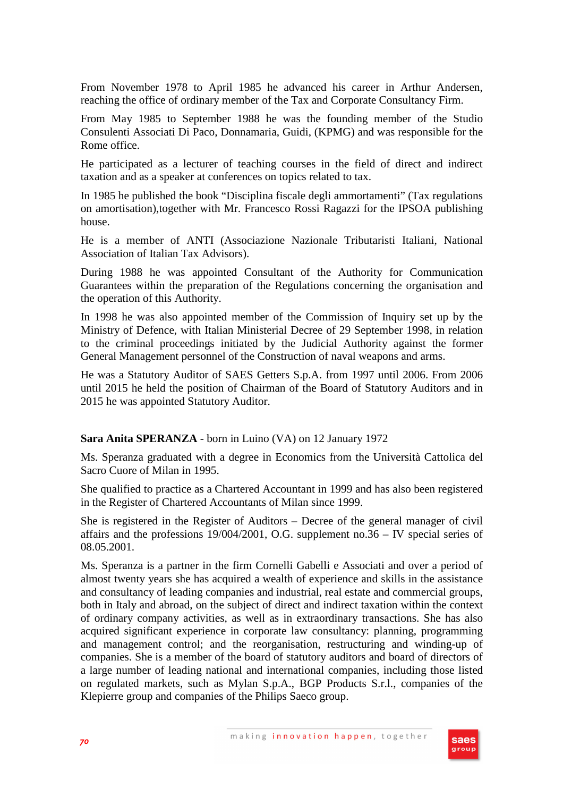From November 1978 to April 1985 he advanced his career in Arthur Andersen, reaching the office of ordinary member of the Tax and Corporate Consultancy Firm.

From May 1985 to September 1988 he was the founding member of the Studio Consulenti Associati Di Paco, Donnamaria, Guidi, (KPMG) and was responsible for the Rome office.

He participated as a lecturer of teaching courses in the field of direct and indirect taxation and as a speaker at conferences on topics related to tax.

In 1985 he published the book "Disciplina fiscale degli ammortamenti" (Tax regulations on amortisation),together with Mr. Francesco Rossi Ragazzi for the IPSOA publishing house.

He is a member of ANTI (Associazione Nazionale Tributaristi Italiani, National Association of Italian Tax Advisors).

During 1988 he was appointed Consultant of the Authority for Communication Guarantees within the preparation of the Regulations concerning the organisation and the operation of this Authority.

In 1998 he was also appointed member of the Commission of Inquiry set up by the Ministry of Defence, with Italian Ministerial Decree of 29 September 1998, in relation to the criminal proceedings initiated by the Judicial Authority against the former General Management personnel of the Construction of naval weapons and arms.

He was a Statutory Auditor of SAES Getters S.p.A. from 1997 until 2006. From 2006 until 2015 he held the position of Chairman of the Board of Statutory Auditors and in 2015 he was appointed Statutory Auditor.

## **Sara Anita SPERANZA** - born in Luino (VA) on 12 January 1972

Ms. Speranza graduated with a degree in Economics from the Università Cattolica del Sacro Cuore of Milan in 1995.

She qualified to practice as a Chartered Accountant in 1999 and has also been registered in the Register of Chartered Accountants of Milan since 1999.

She is registered in the Register of Auditors – Decree of the general manager of civil affairs and the professions 19/004/2001, O.G. supplement no.36 – IV special series of 08.05.2001.

Ms. Speranza is a partner in the firm Cornelli Gabelli e Associati and over a period of almost twenty years she has acquired a wealth of experience and skills in the assistance and consultancy of leading companies and industrial, real estate and commercial groups, both in Italy and abroad, on the subject of direct and indirect taxation within the context of ordinary company activities, as well as in extraordinary transactions. She has also acquired significant experience in corporate law consultancy: planning, programming and management control; and the reorganisation, restructuring and winding-up of companies. She is a member of the board of statutory auditors and board of directors of a large number of leading national and international companies, including those listed on regulated markets, such as Mylan S.p.A., BGP Products S.r.l., companies of the Klepierre group and companies of the Philips Saeco group.

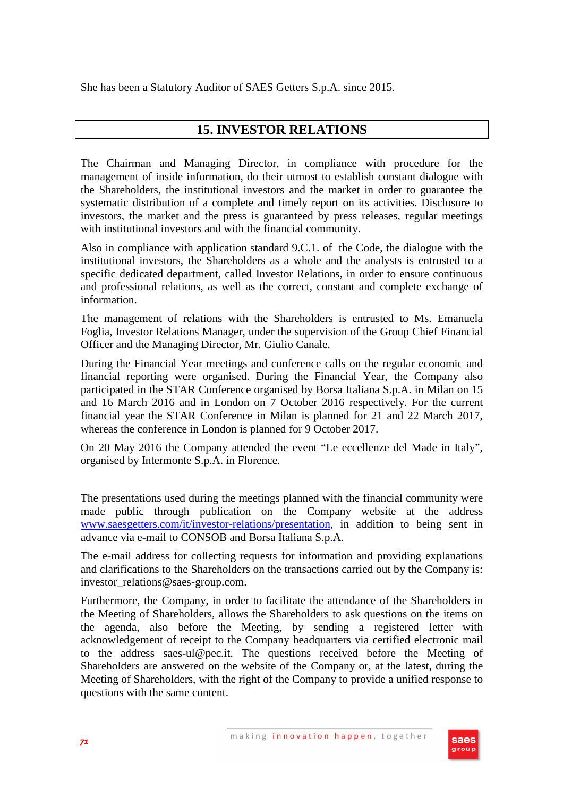She has been a Statutory Auditor of SAES Getters S.p.A. since 2015.

## **15. INVESTOR RELATIONS**

The Chairman and Managing Director, in compliance with procedure for the management of inside information, do their utmost to establish constant dialogue with the Shareholders, the institutional investors and the market in order to guarantee the systematic distribution of a complete and timely report on its activities. Disclosure to investors, the market and the press is guaranteed by press releases, regular meetings with institutional investors and with the financial community.

Also in compliance with application standard 9.C.1. of the Code, the dialogue with the institutional investors, the Shareholders as a whole and the analysts is entrusted to a specific dedicated department, called Investor Relations, in order to ensure continuous and professional relations, as well as the correct, constant and complete exchange of information.

The management of relations with the Shareholders is entrusted to Ms. Emanuela Foglia, Investor Relations Manager, under the supervision of the Group Chief Financial Officer and the Managing Director, Mr. Giulio Canale.

During the Financial Year meetings and conference calls on the regular economic and financial reporting were organised. During the Financial Year, the Company also participated in the STAR Conference organised by Borsa Italiana S.p.A. in Milan on 15 and 16 March 2016 and in London on 7 October 2016 respectively. For the current financial year the STAR Conference in Milan is planned for 21 and 22 March 2017, whereas the conference in London is planned for 9 October 2017.

On 20 May 2016 the Company attended the event "Le eccellenze del Made in Italy", organised by Intermonte S.p.A. in Florence.

The presentations used during the meetings planned with the financial community were made public through publication on the Company website at the address www.saesgetters.com/it/investor-relations/presentation, in addition to being sent in advance via e-mail to CONSOB and Borsa Italiana S.p.A.

The e-mail address for collecting requests for information and providing explanations and clarifications to the Shareholders on the transactions carried out by the Company is: investor\_relations@saes-group.com.

Furthermore, the Company, in order to facilitate the attendance of the Shareholders in the Meeting of Shareholders, allows the Shareholders to ask questions on the items on the agenda, also before the Meeting, by sending a registered letter with acknowledgement of receipt to the Company headquarters via certified electronic mail to the address saes-ul@pec.it. The questions received before the Meeting of Shareholders are answered on the website of the Company or, at the latest, during the Meeting of Shareholders, with the right of the Company to provide a unified response to questions with the same content.

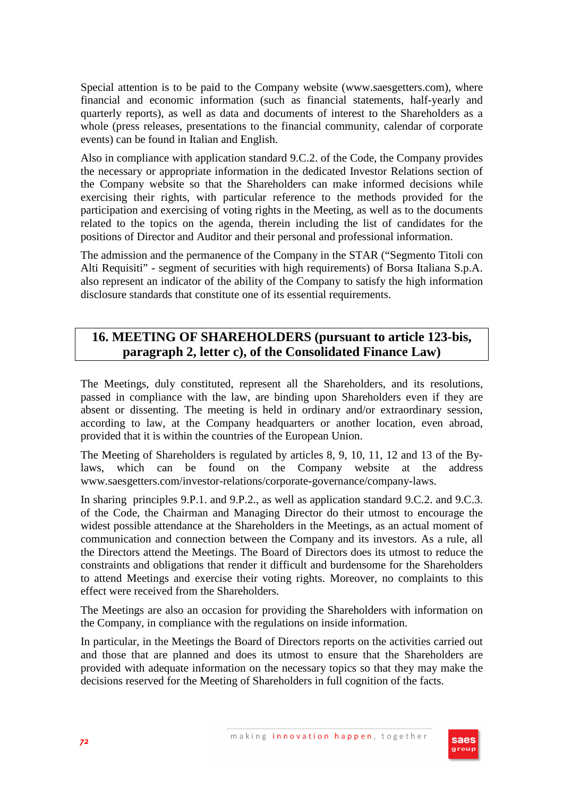Special attention is to be paid to the Company website (www.saesgetters.com), where financial and economic information (such as financial statements, half-yearly and quarterly reports), as well as data and documents of interest to the Shareholders as a whole (press releases, presentations to the financial community, calendar of corporate events) can be found in Italian and English.

Also in compliance with application standard 9.C.2. of the Code, the Company provides the necessary or appropriate information in the dedicated Investor Relations section of the Company website so that the Shareholders can make informed decisions while exercising their rights, with particular reference to the methods provided for the participation and exercising of voting rights in the Meeting, as well as to the documents related to the topics on the agenda, therein including the list of candidates for the positions of Director and Auditor and their personal and professional information.

The admission and the permanence of the Company in the STAR ("Segmento Titoli con Alti Requisiti" - segment of securities with high requirements) of Borsa Italiana S.p.A. also represent an indicator of the ability of the Company to satisfy the high information disclosure standards that constitute one of its essential requirements.

## **16. MEETING OF SHAREHOLDERS (pursuant to article 123-bis, paragraph 2, letter c), of the Consolidated Finance Law)**

The Meetings, duly constituted, represent all the Shareholders, and its resolutions, passed in compliance with the law, are binding upon Shareholders even if they are absent or dissenting. The meeting is held in ordinary and/or extraordinary session, according to law, at the Company headquarters or another location, even abroad, provided that it is within the countries of the European Union.

The Meeting of Shareholders is regulated by articles 8, 9, 10, 11, 12 and 13 of the Bylaws, which can be found on the Company website at the address www.saesgetters.com/investor-relations/corporate-governance/company-laws.

In sharing principles 9.P.1. and 9.P.2., as well as application standard 9.C.2. and 9.C.3. of the Code, the Chairman and Managing Director do their utmost to encourage the widest possible attendance at the Shareholders in the Meetings, as an actual moment of communication and connection between the Company and its investors. As a rule, all the Directors attend the Meetings. The Board of Directors does its utmost to reduce the constraints and obligations that render it difficult and burdensome for the Shareholders to attend Meetings and exercise their voting rights. Moreover, no complaints to this effect were received from the Shareholders.

The Meetings are also an occasion for providing the Shareholders with information on the Company, in compliance with the regulations on inside information.

In particular, in the Meetings the Board of Directors reports on the activities carried out and those that are planned and does its utmost to ensure that the Shareholders are provided with adequate information on the necessary topics so that they may make the decisions reserved for the Meeting of Shareholders in full cognition of the facts.

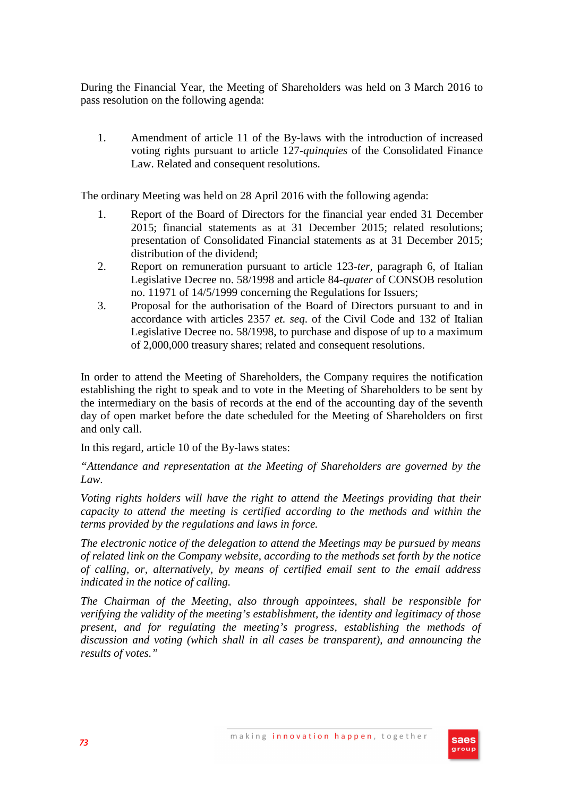During the Financial Year, the Meeting of Shareholders was held on 3 March 2016 to pass resolution on the following agenda:

1. Amendment of article 11 of the By-laws with the introduction of increased voting rights pursuant to article 127-*quinquies* of the Consolidated Finance Law. Related and consequent resolutions.

The ordinary Meeting was held on 28 April 2016 with the following agenda:

- 1. Report of the Board of Directors for the financial year ended 31 December 2015; financial statements as at 31 December 2015; related resolutions; presentation of Consolidated Financial statements as at 31 December 2015; distribution of the dividend;
- 2. Report on remuneration pursuant to article 123-*ter,* paragraph 6, of Italian Legislative Decree no. 58/1998 and article 84-*quater* of CONSOB resolution no. 11971 of 14/5/1999 concerning the Regulations for Issuers;
- 3. Proposal for the authorisation of the Board of Directors pursuant to and in accordance with articles 2357 *et. seq*. of the Civil Code and 132 of Italian Legislative Decree no. 58/1998, to purchase and dispose of up to a maximum of 2,000,000 treasury shares; related and consequent resolutions.

In order to attend the Meeting of Shareholders, the Company requires the notification establishing the right to speak and to vote in the Meeting of Shareholders to be sent by the intermediary on the basis of records at the end of the accounting day of the seventh day of open market before the date scheduled for the Meeting of Shareholders on first and only call.

In this regard, article 10 of the By-laws states:

*"Attendance and representation at the Meeting of Shareholders are governed by the Law.* 

*Voting rights holders will have the right to attend the Meetings providing that their capacity to attend the meeting is certified according to the methods and within the terms provided by the regulations and laws in force.* 

*The electronic notice of the delegation to attend the Meetings may be pursued by means of related link on the Company website, according to the methods set forth by the notice of calling, or, alternatively, by means of certified email sent to the email address indicated in the notice of calling.* 

*The Chairman of the Meeting, also through appointees, shall be responsible for verifying the validity of the meeting's establishment, the identity and legitimacy of those present, and for regulating the meeting's progress, establishing the methods of discussion and voting (which shall in all cases be transparent), and announcing the results of votes."* 

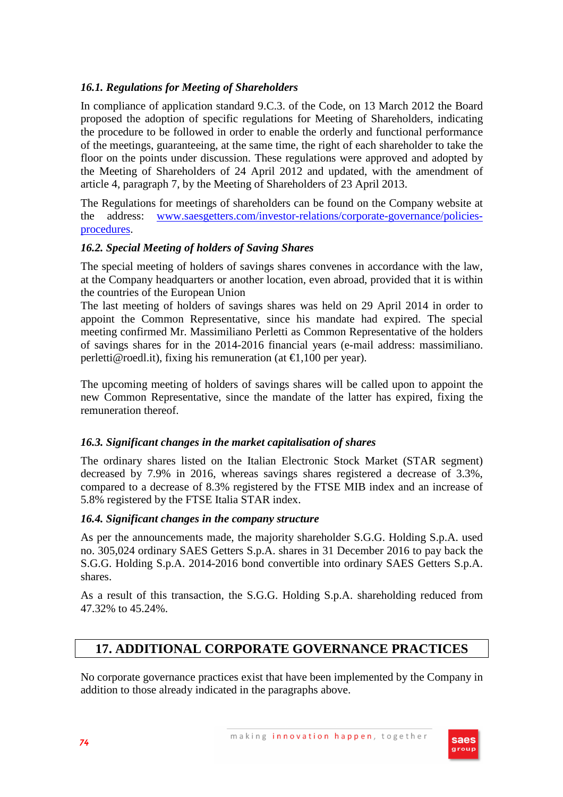# *16.1. Regulations for Meeting of Shareholders*

In compliance of application standard 9.C.3. of the Code, on 13 March 2012 the Board proposed the adoption of specific regulations for Meeting of Shareholders, indicating the procedure to be followed in order to enable the orderly and functional performance of the meetings, guaranteeing, at the same time, the right of each shareholder to take the floor on the points under discussion. These regulations were approved and adopted by the Meeting of Shareholders of 24 April 2012 and updated, with the amendment of article 4, paragraph 7, by the Meeting of Shareholders of 23 April 2013.

The Regulations for meetings of shareholders can be found on the Company website at the address: www.saesgetters.com/investor-relations/corporate-governance/policiesprocedures.

### *16.2. Special Meeting of holders of Saving Shares*

The special meeting of holders of savings shares convenes in accordance with the law, at the Company headquarters or another location, even abroad, provided that it is within the countries of the European Union

The last meeting of holders of savings shares was held on 29 April 2014 in order to appoint the Common Representative, since his mandate had expired. The special meeting confirmed Mr. Massimiliano Perletti as Common Representative of the holders of savings shares for in the 2014-2016 financial years (e-mail address: massimiliano. perletti@roedl.it), fixing his remuneration (at €1,100 per year).

The upcoming meeting of holders of savings shares will be called upon to appoint the new Common Representative, since the mandate of the latter has expired, fixing the remuneration thereof.

#### *16.3. Significant changes in the market capitalisation of shares*

The ordinary shares listed on the Italian Electronic Stock Market (STAR segment) decreased by 7.9% in 2016, whereas savings shares registered a decrease of 3.3%, compared to a decrease of 8.3% registered by the FTSE MIB index and an increase of 5.8% registered by the FTSE Italia STAR index.

#### *16.4. Significant changes in the company structure*

As per the announcements made, the majority shareholder S.G.G. Holding S.p.A. used no. 305,024 ordinary SAES Getters S.p.A. shares in 31 December 2016 to pay back the S.G.G. Holding S.p.A. 2014-2016 bond convertible into ordinary SAES Getters S.p.A. shares.

As a result of this transaction, the S.G.G. Holding S.p.A. shareholding reduced from 47.32% to 45.24%.

# **17. ADDITIONAL CORPORATE GOVERNANCE PRACTICES**

No corporate governance practices exist that have been implemented by the Company in addition to those already indicated in the paragraphs above.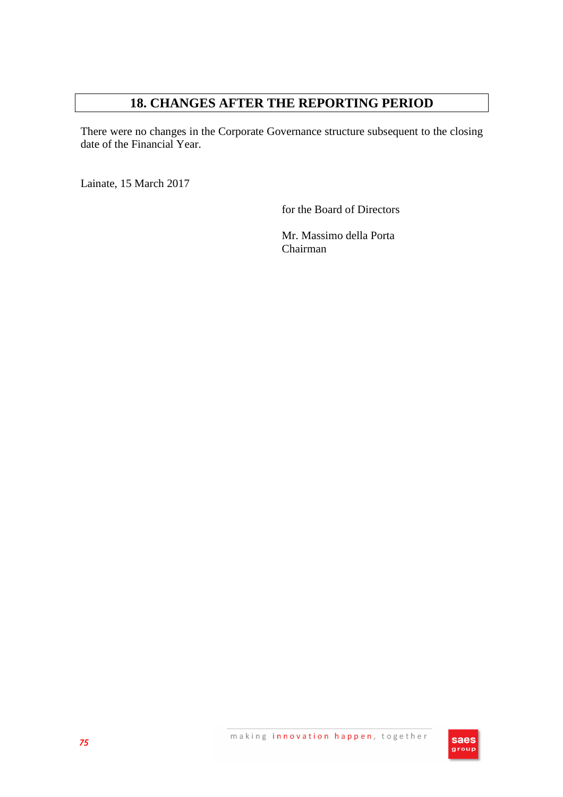# **18. CHANGES AFTER THE REPORTING PERIOD**

There were no changes in the Corporate Governance structure subsequent to the closing date of the Financial Year.

Lainate, 15 March 2017

for the Board of Directors

Mr. Massimo della Porta Chairman

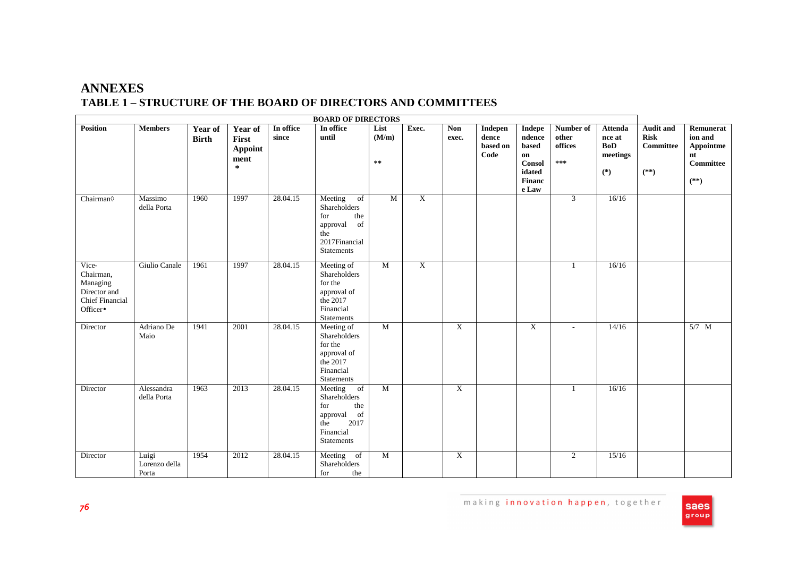# **ANNEXES TABLE 1 – STRUCTURE OF THE BOARD OF DIRECTORS AND COMMITTEES**

| <b>BOARD OF DIRECTORS</b>                                                            |                                 |                         |                                               |                    |                                                                                                                           |                              |                |                     |                                      |                                                                                      |                                      |                                                             |                                                               |                                                                |
|--------------------------------------------------------------------------------------|---------------------------------|-------------------------|-----------------------------------------------|--------------------|---------------------------------------------------------------------------------------------------------------------------|------------------------------|----------------|---------------------|--------------------------------------|--------------------------------------------------------------------------------------|--------------------------------------|-------------------------------------------------------------|---------------------------------------------------------------|----------------------------------------------------------------|
| <b>Position</b>                                                                      | <b>Members</b>                  | Year of<br><b>Birth</b> | Year of<br>First<br>Appoint<br>ment<br>$\ast$ | In office<br>since | In office<br>until                                                                                                        | List<br>(M/m)<br>$\pm\, \pm$ | Exec.          | <b>Non</b><br>exec. | Indepen<br>dence<br>based on<br>Code | <b>Indepe</b><br>ndence<br>based<br>on<br><b>Consol</b><br>idated<br>Financ<br>e Law | Number of<br>other<br>offices<br>*** | <b>Attenda</b><br>nce at<br><b>BoD</b><br>meetings<br>$(*)$ | <b>Audit and</b><br><b>Risk</b><br><b>Committee</b><br>$(**)$ | Remunerat<br>ion and<br>Appointme<br>nt<br>Committee<br>$(**)$ |
| Chairman                                                                             | Massimo<br>della Porta          | 1960                    | 1997                                          | 28.04.15           | Meeting<br>of<br>Shareholders<br>the<br>for<br>of<br>approval<br>the<br>2017Financial<br><b>Statements</b>                | M                            | $\overline{X}$ |                     |                                      |                                                                                      | 3                                    | 16/16                                                       |                                                               |                                                                |
| Vice-<br>Chairman,<br>Managing<br>Director and<br><b>Chief Financial</b><br>Officer• | Giulio Canale                   | 1961                    | 1997                                          | 28.04.15           | Meeting of<br>Shareholders<br>for the<br>approval of<br>the 2017<br>Financial<br><b>Statements</b>                        | M                            | $\overline{X}$ |                     |                                      |                                                                                      | $\overline{1}$                       | 16/16                                                       |                                                               |                                                                |
| Director                                                                             | Adriano De<br>Maio              | 1941                    | 2001                                          | 28.04.15           | Meeting of<br>Shareholders<br>for the<br>approval of<br>the 2017<br>Financial<br><b>Statements</b>                        | M                            |                | $\mathbf X$         |                                      | $\mathbf X$                                                                          | $\overline{\phantom{a}}$             | 14/16                                                       |                                                               | $5/7$ M                                                        |
| Director                                                                             | Alessandra<br>della Porta       | 1963                    | 2013                                          | 28.04.15           | Meeting<br>of<br>Shareholders<br>for<br>the<br>approval<br><sub>of</sub><br>2017<br>the<br>Financial<br><b>Statements</b> | M                            |                | $\mathbf X$         |                                      |                                                                                      | $\overline{1}$                       | 16/16                                                       |                                                               |                                                                |
| Director                                                                             | Luigi<br>Lorenzo della<br>Porta | 1954                    | 2012                                          | 28.04.15           | Meeting of<br>Shareholders<br>for<br>the                                                                                  | M                            |                | X                   |                                      |                                                                                      | 2                                    | 15/16                                                       |                                                               |                                                                |

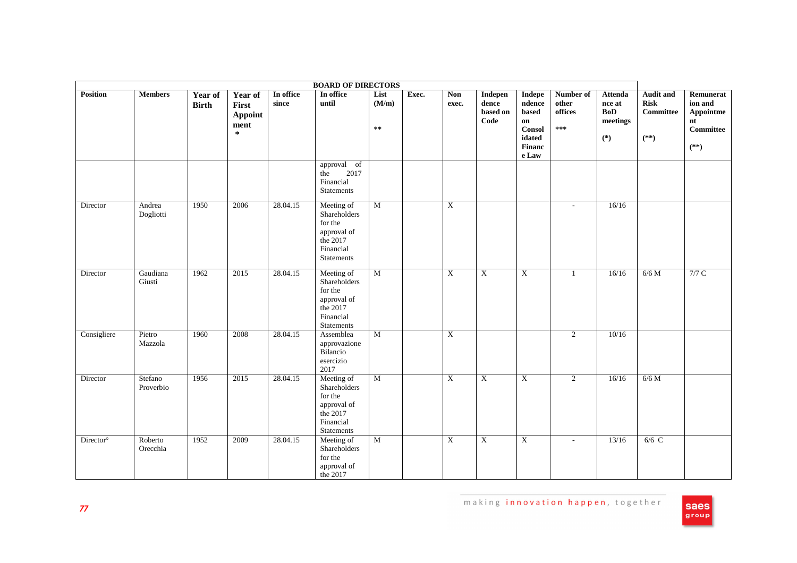| <b>BOARD OF DIRECTORS</b> |                      |                         |                                                      |                    |                                                                                                      |                             |       |              |                                      |                                                                                                       |                                        |                                                             |                                                               |                                                                       |
|---------------------------|----------------------|-------------------------|------------------------------------------------------|--------------------|------------------------------------------------------------------------------------------------------|-----------------------------|-------|--------------|--------------------------------------|-------------------------------------------------------------------------------------------------------|----------------------------------------|-------------------------------------------------------------|---------------------------------------------------------------|-----------------------------------------------------------------------|
| <b>Position</b>           | <b>Members</b>       | Year of<br><b>Birth</b> | Year of<br>First<br><b>Appoint</b><br>ment<br>$\ast$ | In office<br>since | In office<br>until<br>approval of                                                                    | List<br>(M/m)<br>$\ast\ast$ | Exec. | Non<br>exec. | Indepen<br>dence<br>based on<br>Code | Indepe<br>ndence<br>based<br>on<br><b>Consol</b><br>idated<br>Financ<br>$\boldsymbol{\mathsf{e}}$ Law | Number of<br>other<br>offices<br>$***$ | <b>Attenda</b><br>nce at<br><b>BoD</b><br>meetings<br>$(*)$ | <b>Audit and</b><br><b>Risk</b><br><b>Committee</b><br>$(**)$ | Remunerat<br>ion and<br>Appointme<br>nt<br><b>Committee</b><br>$(**)$ |
|                           |                      |                         |                                                      |                    | 2017<br>the<br>Financial<br>Statements                                                               |                             |       |              |                                      |                                                                                                       |                                        |                                                             |                                                               |                                                                       |
| Director                  | Andrea<br>Dogliotti  | 1950                    | 2006                                                 | 28.04.15           | Meeting of<br>Shareholders<br>for the<br>approval of<br>the $2017$<br>Financial<br>Statements        | $\overline{M}$              |       | $\mathbf X$  |                                      |                                                                                                       | ÷,                                     | 16/16                                                       |                                                               |                                                                       |
| Director                  | Gaudiana<br>Giusti   | 1962                    | 2015                                                 | 28.04.15           | Meeting of<br>Shareholders<br>for the<br>approval of<br>the $2017$<br>Financial<br><b>Statements</b> | $\overline{M}$              |       | X            | $\overline{X}$                       | X                                                                                                     | 1                                      | 16/16                                                       | $6/6$ M                                                       | 7/7C                                                                  |
| Consigliere               | Pietro<br>Mazzola    | 1960                    | 2008                                                 | 28.04.15           | Assemblea<br>approvazione<br>Bilancio<br>esercizio<br>2017                                           | $\mathbf M$                 |       | $\mathbf X$  |                                      |                                                                                                       | 2                                      | 10/16                                                       |                                                               |                                                                       |
| Director                  | Stefano<br>Proverbio | 1956                    | 2015                                                 | 28.04.15           | Meeting of<br>Shareholders<br>for the<br>approval of<br>the 2017<br>Financial<br>Statements          | $\overline{M}$              |       | X            | $\overline{X}$                       | $\mathbf X$                                                                                           | $\overline{2}$                         | 16/16                                                       | $6/6$ M                                                       |                                                                       |
| Director <sup>o</sup>     | Roberto<br>Orecchia  | 1952                    | 2009                                                 | 28.04.15           | Meeting of<br>Shareholders<br>for the<br>approval of<br>the 2017                                     | $\overline{M}$              |       | $\mathbf X$  | $\boldsymbol{\mathrm{X}}$            | $\mathbf X$                                                                                           | $\sim$                                 | 13/16                                                       | $6/6$ C                                                       |                                                                       |

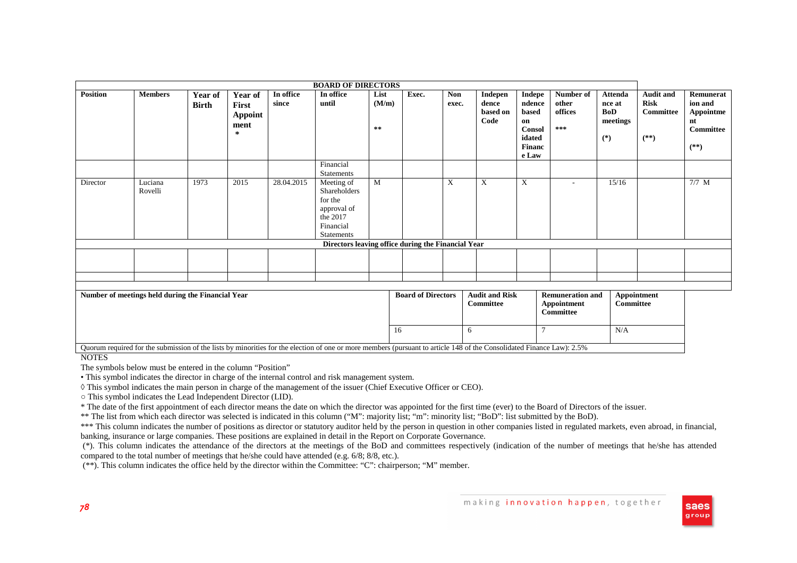| <b>BOARD OF DIRECTORS</b>                         |                    |                  |                                                 |                    |                                                                                                    |                              |       |                                    |                                      |                                                                        |                                        |                                                      |                                                               |                                                                |
|---------------------------------------------------|--------------------|------------------|-------------------------------------------------|--------------------|----------------------------------------------------------------------------------------------------|------------------------------|-------|------------------------------------|--------------------------------------|------------------------------------------------------------------------|----------------------------------------|------------------------------------------------------|---------------------------------------------------------------|----------------------------------------------------------------|
| <b>Position</b>                                   | <b>Members</b>     | Year of<br>Birth | Year of<br>First<br><b>Appoint</b><br>ment<br>∗ | In office<br>since | In office<br>until                                                                                 | List<br>(M/m)<br>$\pm\, \pm$ | Exec. | <b>Non</b><br>exec.                | Indepen<br>dence<br>based on<br>Code | Indepe<br>ndence<br>based<br>on<br>Consol<br>idated<br>Financ<br>e Law | Number of<br>other<br>offices<br>$***$ | <b>Attenda</b><br>nce at<br>BoD<br>meetings<br>$(*)$ | <b>Audit and</b><br><b>Risk</b><br><b>Committee</b><br>$(**)$ | Remunerat<br>ion and<br>Appointme<br>nt<br>Committee<br>$(**)$ |
|                                                   |                    |                  |                                                 |                    | Financial<br>Statements                                                                            |                              |       |                                    |                                      |                                                                        |                                        |                                                      |                                                               |                                                                |
| Director                                          | Luciana<br>Rovelli | 1973             | 2015                                            | 28.04.2015         | Meeting of<br>Shareholders<br>for the<br>approval of<br>the 2017<br>Financial<br><b>Statements</b> | M                            |       | X                                  | X                                    | X                                                                      |                                        | 15/16                                                |                                                               | $7/7$ M                                                        |
|                                                   |                    |                  |                                                 |                    | Directors leaving office during the Financial Year                                                 |                              |       |                                    |                                      |                                                                        |                                        |                                                      |                                                               |                                                                |
|                                                   |                    |                  |                                                 |                    |                                                                                                    |                              |       |                                    |                                      |                                                                        |                                        |                                                      |                                                               |                                                                |
|                                                   |                    |                  |                                                 |                    |                                                                                                    |                              |       |                                    |                                      |                                                                        |                                        |                                                      |                                                               |                                                                |
| Number of meetings held during the Financial Year |                    |                  |                                                 |                    |                                                                                                    | <b>Board of Directors</b>    |       | <b>Audit and Risk</b><br>Committee |                                      | <b>Remuneration and</b><br>Appointment<br><b>Committee</b>             | <b>Committee</b>                       | <b>Appointment</b>                                   |                                                               |                                                                |
|                                                   |                    |                  |                                                 |                    |                                                                                                    |                              | 16    |                                    | 6                                    | $\tau$                                                                 |                                        | N/A                                                  |                                                               |                                                                |

NOTES

The symbols below must be entered in the column "Position"

• This symbol indicates the director in charge of the internal control and risk management system.

◊ This symbol indicates the main person in charge of the management of the issuer (Chief Executive Officer or CEO).

○ This symbol indicates the Lead Independent Director (LID).

\* The date of the first appointment of each director means the date on which the director was appointed for the first time (ever) to the Board of Directors of the issuer.

\*\* The list from which each director was selected is indicated in this column ("M": majority list; "m": minority list; "BoD": list submitted by the BoD).

Quorum required for the submission of the lists by minorities for the election of one or more members (pursuant to article 148 of the Consolidated Finance Law): 2.5%

\*\*\* This column indicates the number of positions as director or statutory auditor held by the person in question in other companies listed in regulated markets, even abroad, in financial, banking, insurance or large companies. These positions are explained in detail in the Report on Corporate Governance.

 (\*). This column indicates the attendance of the directors at the meetings of the BoD and committees respectively (indication of the number of meetings that he/she has attended compared to the total number of meetings that he/she could have attended (e.g. 6/8; 8/8, etc.).

(\*\*). This column indicates the office held by the director within the Committee: "C": chairperson; "M" member.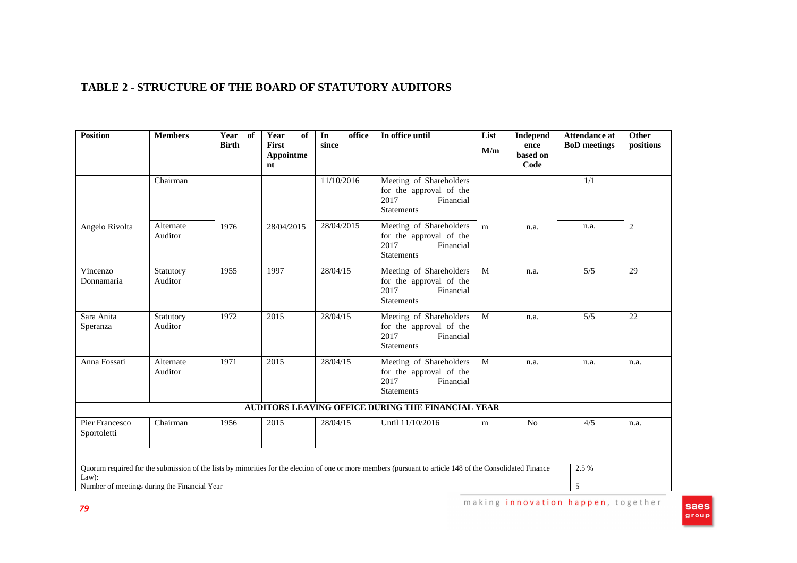# **TABLE 2 - STRUCTURE OF THE BOARD OF STATUTORY AUDITORS**

| <b>Position</b>                                       | <b>Members</b>       | Year of<br><b>Birth</b> | Year<br>of<br>First<br>Appointme<br>nt | office<br>In<br>since | In office until                                                                                                                                            | List<br>M/m | <b>Independ</b><br>ence<br>based on<br>Code | <b>Attendance at</b><br><b>BoD</b> meetings | <b>Other</b><br>positions |
|-------------------------------------------------------|----------------------|-------------------------|----------------------------------------|-----------------------|------------------------------------------------------------------------------------------------------------------------------------------------------------|-------------|---------------------------------------------|---------------------------------------------|---------------------------|
|                                                       | Chairman             |                         |                                        | 11/10/2016            | Meeting of Shareholders<br>for the approval of the<br>2017<br>Financial<br><b>Statements</b>                                                               |             |                                             | 1/1                                         |                           |
| Angelo Rivolta                                        | Alternate<br>Auditor | 1976                    | 28/04/2015                             | 28/04/2015            | Meeting of Shareholders<br>for the approval of the<br>2017<br>Financial<br><b>Statements</b>                                                               | m           | n.a.                                        | n.a.                                        | 2                         |
| Vincenzo<br>Donnamaria                                | Statutory<br>Auditor | 1955                    | 1997                                   | 28/04/15              | Meeting of Shareholders<br>for the approval of the<br>Financial<br>2017<br><b>Statements</b>                                                               | M           | n.a.                                        | 5/5                                         | 29                        |
| Sara Anita<br>Speranza                                | Statutory<br>Auditor | 1972                    | 2015                                   | 28/04/15              | Meeting of Shareholders<br>for the approval of the<br>2017<br>Financial<br><b>Statements</b>                                                               | M           | n.a.                                        | 5/5                                         | $\overline{22}$           |
| Anna Fossati                                          | Alternate<br>Auditor | 1971                    | 2015                                   | 28/04/15              | Meeting of Shareholders<br>for the approval of the<br>2017<br>Financial<br><b>Statements</b>                                                               | M           | n.a.                                        | n.a.                                        | n.a.                      |
|                                                       |                      |                         |                                        |                       | AUDITORS LEAVING OFFICE DURING THE FINANCIAL YEAR                                                                                                          |             |                                             |                                             |                           |
| Pier Francesco<br>Sportoletti                         | Chairman             | 1956                    | 2015                                   | 28/04/15              | Until 11/10/2016                                                                                                                                           | m           | No                                          | 4/5                                         | n.a.                      |
| Law):<br>Number of meetings during the Financial Year |                      |                         |                                        |                       | Quorum required for the submission of the lists by minorities for the election of one or more members (pursuant to article 148 of the Consolidated Finance |             |                                             | 2.5 %<br>$\overline{5}$                     |                           |

Saes